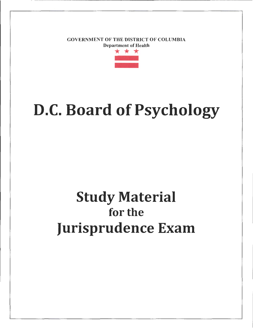GOVERNMENT OF THE DISTRICT OF COLUMBIA



# D.C. Board of Psychology

## Study Material for the Jurisprudence Exam

------ ------ -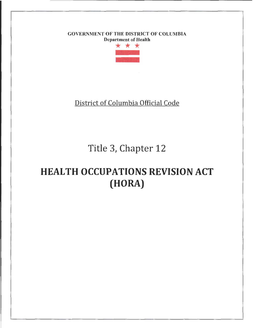### GOVERNMENT OF THE DISTRICT OF COLUMBIA



### District of Columbia Official Code

### Title 3, Chapter 12

### HEALTH OCCUPATIONS REVISION ACT (HORA)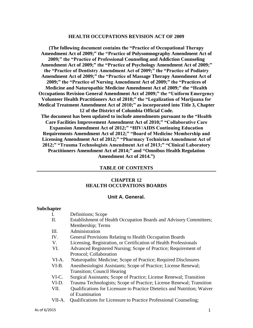#### **HEALTH OCCUPATIONS REVISION ACT OF 2009**

**(The following document contains the "Practice of Occupational Therapy Amendment Act of 2009;" the "Practice of Polysomnography Amendment Act of 2009;" the "Practice of Professional Counseling and Addiction Counseling Amendment Act of 2009;" the "Practice of Psychology Amendment Act of 2009;" the "Practice of Dentistry Amendment Act of 2009;" the "Practice of Podiatry Amendment Act of 2009;" the "Practice of Massage Therapy Amendment Act of 2009;" the "Practice of Nursing Amendment Act of 2009;" the "Practices of Medicine and Naturopathic Medicine Amendment Act of 2009;" the "Health Occupations Revision General Amendment Act of 2009;" the "Uniform Emergency Volunteer Health Practitioners Act of 2010;" the "Legalization of Marijuana for Medical Treatment Amendment Act of 2010;" as incorporated into Title 3, Chapter 12 of the District of Columbia Official Code. The document has been updated to include amendments pursuant to the "Health Care Facilities Improvement Amendment Act of 2010;" "Collaborative Care Expansion Amendment Act of 2012;" "HIV/AIDS Continuing Education Requirements Amendment Act of 2012;" "Board of Medicine Membership and Licensing Amendment Act of 2012;" "Pharmacy Technician Amendment Act of 2012;" "Trauma Technologists Amendment Act of 2013;" "Clinical Laboratory Practitioners Amendment Act of 2014;" and "Omnibus Health Regulation Amendment Act of 2014.")**

#### **TABLE OF CONTENTS**

#### **CHAPTER 12 HEALTH OCCUPATIONS BOARDS**

#### **Unit A. General.**

#### **Subchapter**

| I.     | Definitions; Scope                                                       |  |
|--------|--------------------------------------------------------------------------|--|
| Π.     | Establishment of Health Occupation Boards and Advisory Committees;       |  |
|        | Membership; Terms                                                        |  |
| Ш.     | Administration                                                           |  |
| IV.    | <b>General Provisions Relating to Health Occupation Boards</b>           |  |
| V.     | Licensing, Registration, or Certification of Health Professionals        |  |
| VI.    | Advanced Registered Nursing; Scope of Practice; Requirement of           |  |
|        | Protocol; Collaboration                                                  |  |
| VI-A.  | Naturopathic Medicine; Scope of Practice; Required Disclosures           |  |
| VI-B.  | Anesthesiologist Assistants; Scope of Practice; License Renewal;         |  |
|        | <b>Transition</b> ; Council Hearing                                      |  |
| VI-C.  | Surgical Assistants; Scope of Practice; License Renewal; Transition      |  |
| VI-D.  | Trauma Technologists; Scope of Practice; License Renewal; Transition     |  |
| VII.   | Qualifications for Licensure to Practice Dietetics and Nutrition; Waiver |  |
|        | of Examination                                                           |  |
| VII-A. | Qualifications for Licensure to Practice Professional Counseling;        |  |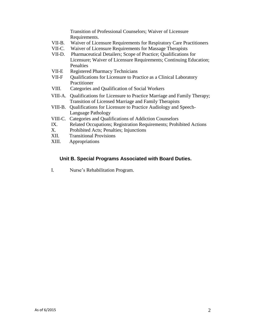Transition of Professional Counselors; Waiver of Licensure Requirements.

- VII-B. Waiver of Licensure Requirements for Respiratory Care Practitioners<br>VII-C. Waiver of Licensure Requirements for Massage Therapists
- Waiver of Licensure Requirements for Massage Therapists
- VII-D. Pharmaceutical Detailers; Scope of Practice; Qualifications for Licensure; Waiver of Licensure Requirements; Continuing Education; Penalties
- VII-E Registered Pharmacy Technicians
- VII-F Qualifications for Licensure to Practice as a Clinical Laboratory Practitioner
- VIII. Categories and Qualification of Social Workers
- VIII-A. Qualifications for Licensure to Practice Marriage and Family Therapy; Transition of Licensed Marriage and Family Therapists
- VIII-B. Qualifications for Licensure to Practice Audiology and Speech-Language Pathology
- VIII-C. Categories and Qualifications of Addiction Counselors
- IX. Related Occupations; Registration Requirements; Prohibited Actions
- X. Prohibited Acts; Penalties; Injunctions
- XII. Transitional Provisions
- XIII. Appropriations

#### **Unit B. Special Programs Associated with Board Duties.**

I. Nurse's Rehabilitation Program.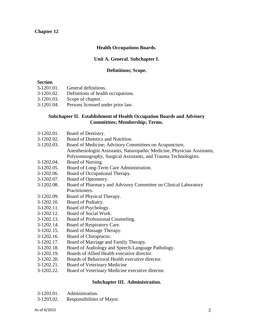#### **Chapter 12**

#### **Health Occupations Boards.**

#### **Unit A. General. Subchapter I.**

#### **Definitions; Scope.**

#### **Section**

- 3-1201.01. General definitions.
- 3-1201.02. Definitions of health occupations.
- 3-1201.03. Scope of chapter.
- 3-1201.04. Persons licensed under prior law.

#### **Subchapter II. Establishment of Health Occupation Boards and Advisory Committees; Membership; Terms.**

- 3-1202.01. Board of Dentistry.
- 3-1202.02. Board of Dietetics and Nutrition.
- 3-1202.03. Board of Medicine; Advisory Committees on Acupuncture, Anesthesiologist Assistants, Naturopathic Medicine, Physician Assistants, Polysomnography, Surgical Assistants, and Trauma Technologists.
- 3-1202.04. Board of Nursing.
- 3-1202.05. Board of Long-Term Care Administration.
- 3-1202.06. Board of Occupational Therapy.
- 3-1202.07. Board of Optometry.
- 3-1202.08. Board of Pharmacy and Advisory Committee on Clinical Laboratory Practitioners.
- 3-1202.09. Board of Physical Therapy.
- 3-1202.10. Board of Podiatry.
- 3-1202.11. Board of Psychology.
- 3-1202.12. Board of Social Work.
- 3-1202.13. Board of Professional Counseling.
- 3-1202.14. Board of Respiratory Care.
- 3-1202.15. Board of Massage Therapy.
- 3-1202.16. Board of Chiropractic.
- 3-1202.17. Board of Marriage and Family Therapy.
- 3-1202.18. Board of Audiology and Speech-Language Pathology.
- 3-1202.19. Boards of Allied Health executive director.
- 3-1202.20. Boards of Behavioral Health executive director.
- 3-1202.21. Board of Veterinary Medicine
- 3-1202.22. Board of Veterinary Medicine executive director.

#### **Subchapter III. Administration.**

- 3-1203.01. Administration.
- 3-1203.02. Responsibilities of Mayor.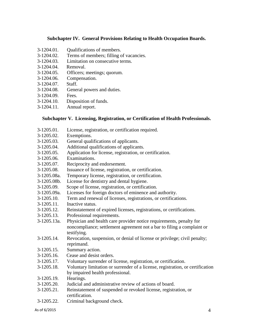#### **Subchapter IV. General Provisions Relating to Health Occupation Boards.**

- 3-1204.01. Qualifications of members.
- 3-1204.02. Terms of members; filling of vacancies.
- 3-1204.03. Limitation on consecutive terms.
- 3-1204.04. Removal.
- 3-1204.05. Officers; meetings; quorum.
- 3-1204.06. Compensation.
- 3-1204.07. Staff.
- 3-1204.08. General powers and duties.
- 3-1204.09. Fees.
- 3-1204.10. Disposition of funds.
- 3-1204.11. Annual report.

#### **Subchapter V. Licensing, Registration, or Certification of Health Professionals.**

- 3-1205.01. License, registration, or certification required.
- 3-1205.02. Exemptions.
- 3-1205.03. General qualifications of applicants.
- 3-1205.04. Additional qualifications of applicants.
- 3-1205.05. Application for license, registration, or certification.
- 3-1205.06. Examinations.
- 3-1205.07. Reciprocity and endorsement.
- 3-1205.08. Issuance of license, registration, or certification.
- 3-1205.08a. Temporary license, registration, or certification.
- 3-1205.08b. License for dentistry and dental hygiene.
- 3-1205.09. Scope of license, registration, or certification.
- 3-1205.09a. Licenses for foreign doctors of eminence and authority.
- 3-1205.10. Term and renewal of licenses, registrations, or certifications.
- 3-1205.11. Inactive status.
- 3-1205.12. Reinstatement of expired licenses, registrations, or certifications.
- 3-1205.13. Professional requirements.
- 3-1205.13a. Physician and health care provider notice requirements, penalty for noncompliance; settlement agreement not a bar to filing a complaint or testifying.
- 3-1205.14. Revocation, suspension, or denial of license or privilege; civil penalty; reprimand.
- 3-1205.15. Summary action.
- 3-1205.16. Cease and desist orders.
- 3-1205.17. Voluntary surrender of license, registration, or certification.
- 3-1205.18. Voluntary limitation or surrender of a license, registration, or certification by impaired health professional.
- 3-1205.19. Hearings.
- 3-1205.20. Judicial and administrative review of actions of board.
- 3-1205.21. Reinstatement of suspended or revoked license, registration, or certification.
- 3-1205.22. Criminal background check.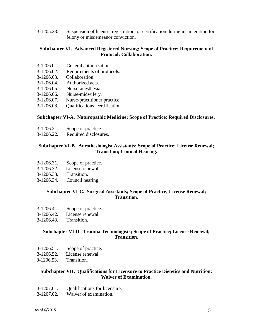3-1205.23. Suspension of license, registration, or certification during incarceration for felony or misdemeanor conviction.

#### **Subchapter VI. Advanced Registered Nursing; Scope of Practice; Requirement of Protocol; Collaboration.**

- 3-1206.01. General authorization.
- 3-1206.02. Requirements of protocols.
- 3-1206.03. Collaboration.
- 3-1206.04. Authorized acts.
- 3-1206.05. Nurse-anesthesia.
- 3-1206.06. Nurse-midwifery.
- 3-1206.07. Nurse-practitioner practice.
- 3-1206.08. Qualifications, certification.

#### **Subchapter VI-A. Naturopathic Medicine; Scope of Practice; Required Disclosures.**

- 3-1206.21. Scope of practice
- 3-1206.22. Required disclosures.

#### **Subchapter VI-B. Anesthesiologist Assistants; Scope of Practice; License Renewal; Transition; Council Hearing.**

- 3-1206.31. Scope of practice.
- 3-1206.32. License renewal.
- 3-1206.33. Transition.
- 3-1206.34. Council hearing.

#### **Subchapter VI-C. Surgical Assistants; Scope of Practice; License Renewal; Transition.**

- 3-1206.41. Scope of practice.
- 3-1206.42. License renewal.
- 3-1206.43. Transition.

#### **Subchapter VI-D. Trauma Technologists; Scope of Practice; License Renewal; Transition.**

- 3-1206.51. Scope of practice.
- 3-1206.52. License renewal.
- 3-1206.53. Transition.

#### **Subchapter VII. Qualifications for Licensure to Practice Dietetics and Nutrition; Waiver of Examination.**

- 3-1207.01. Qualifications for licensure.
- 3-1207.02. Waiver of examination.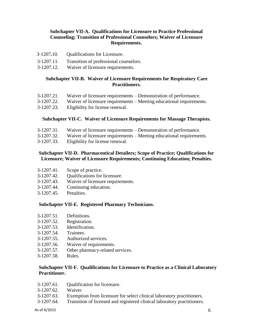#### **Subchapter VII-A. Qualifications for Licensure to Practice Professional Counseling; Transition of Professional Counselors; Waiver of Licensure Requirements.**

- 3-1207**.**10. Qualifications for Licensure.
- 3-1207.11. Transition of professional counselors.
- 3-1207.12. Waiver of licensure requirements.

#### **Subchapter VII-B. Waiver of Licensure Requirements for Respiratory Care Practitioners.**

- 3-1207.21. Waiver of licensure requirements Demonstration of performance.
- 3-1207.22. Waiver of licensure requirements Meeting educational requirements.
- 3-1207.23. Eligibility for license renewal.

#### **Subchapter VII-C. Waiver of Licensure Requirements for Massage Therapists.**

- 3-1207.31. Waiver of licensure requirements Demonstration of performance.
- 3-1207.32. Waiver of licensure requirements Meeting educational requirements.
- 3-1207.33. Eligibility for license renewal.

#### **Subchapter VII-D. Pharmaceutical Detailers; Scope of Practice; Qualifications for Licensure; Waiver of Licensure Requirements; Continuing Education; Penalties.**

| 3-1207.41.<br>Scope of practice. |
|----------------------------------|
|----------------------------------|

- 3-1207.42. Qualifications for licensure.
- 3-1207.43. Waiver of licensure requirements.
- 3-1207.44. Continuing education.
- 3-1207.45. Penalties.

#### **Subchapter VII-E. Registered Pharmacy Technicians.**

| 3-1207.51. | Definitions.    |
|------------|-----------------|
| 3-1207.52. | Registration.   |
| 3-1207.53. | Identification. |

- 3-1207.54. Trainees.
- 3-1207.55. Authorized services.
- 3-1207.56. Waiver of requirements.
- 3-1207.57. Other pharmacy-related services.
- 3-1207.58. Rules.

#### **Subchapter VII-F. Qualifications for Licensure to Practice as a Clinical Laboratory Practitioner.**

- 3-1207.61. Qualification for licensure.
- 3-1207.62. Waiver.
- 3-1207.63. Exemption from licensure for select clinical laboratory practitioners.
- 3-1207.64. Transition of licensed and registered clinical laboratory practitioners.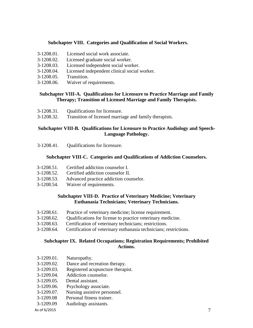#### **Subchapter VIII. Categories and Qualification of Social Workers.**

- 3-1208.01. Licensed social work associate.
- 3-1208.02. Licensed graduate social worker.
- 3-1208.03. Licensed independent social worker.
- 3-1208.04. Licensed independent clinical social worker.
- 3-1208.05. Transition.
- 3-1208.06. Waiver of requirements.

#### **Subchapter VIII-A. Qualifications for Licensure to Practice Marriage and Family Therapy; Transition of Licensed Marriage and Family Therapists.**

- 3-1208.31. Qualifications for licensure.
- 3-1208.32. Transition of licensed marriage and family therapists.

#### **Subchapter VIII-B. Qualifications for Licensure to Practice Audiology and Speech-Language Pathology.**

3-1208.41. Qualifications for licensure.

#### **Subchapter VIII-C. Categories and Qualifications of Addiction Counselors.**

- 3-1208.51. Certified addiction counselor I.
- 3-1208.52. Certified addiction counselor II.
- 3-1208.53. Advanced practice addiction counselor.
- 3-1208.54. Waiver of requirements.

#### **Subchapter VIII-D. Practice of Veterinary Medicine; Veterinary Euthanasia Technicians; Veterinary Technicians.**

- 3-1208.61. Practice of veterinary medicine; license requirement.
- 3-1208.62. Qualifications for license to practice veterinary medicine.
- 3-1208.63. Certification of veterinary technicians; restrictions.
- 3-1208.64. Certification of veterinary euthanasia technicians; restrictions.

#### **Subchapter IX. Related Occupations; Registration Requirements; Prohibited Actions.**

- 3-1209.01. Naturopathy.
- 3-1209.02. Dance and recreation therapy.
- 3-1209.03. Registered acupuncture therapist.
- 3-1209.04. Addiction counselor.
- 3-1209.05. Dental assistant.
- 3-1209.06. Psychology associate.
- 3-1209.07. Nursing assistive personnel.
- 3-1209.08 Personal fitness trainer.
- 3-1209.09 Audiology assistants.

#### As of 6/2015  $\overline{7}$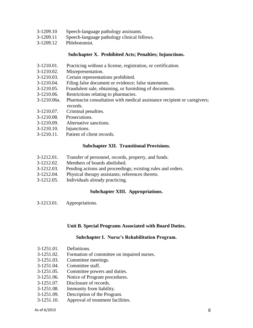- 3-1209.10 Speech-language pathology assistants.
- 3-1209.11 Speech-language pathology clinical fellows.
- 3-1209.12 Phlebotomist.

#### **Subchapter X. Prohibited Acts; Penalties; Injunctions.**

- 3-1210.01. Practicing without a license, registration, or certification.
- 3-1210.02. Misrepresentation.
- 3-1210.03. Certain representations prohibited.
- 3-1210.04. Filing false document or evidence; false statements.
- 3-1210.05. Fraudulent sale, obtaining, or furnishing of documents.
- 3-1210.06. Restrictions relating to pharmacies.
- 3-1210.06a. Pharmacist consultation with medical assistance recipient or caregivers; records.
- 3-1210.07. Criminal penalties.
- 3-1210.08. Prosecutions.
- 3-1210.09. Alternative sanctions.
- 3-1210.10. Injunctions.
- 3-1210.11. Patient of client records.

#### **Subchapter XII. Transitional Provisions.**

- 3-1212.01. Transfer of personnel, records, property, and funds.
- 3-1212.02. Members of boards abolished.
- 3-1212.03. Pending actions and proceedings; existing rules and orders.
- 3-1212.04. Physical therapy assistants; references thereto.
- 3-1212.05. Individuals already practicing.

#### **Subchapter XIII. Appropriations.**

3-1213.01. Appropriations.

#### **Unit B. Special Programs Associated with Board Duties.**

#### **Subchapter I. Nurse's Rehabilitation Program.**

- 3-1251.01. Definitions.
- 3-1251.02. Formation of committee on impaired nurses.
- 3-1251.03. Committee meetings.
- 3-1251.04. Committee staff.
- 3-1251.05. Committee powers and duties.
- 3-1251.06. Notice of Program procedures.
- 3-1251.07. Disclosure of records.
- 3-1251.08. Immunity from liability.
- 3-1251.09. Description of the Program.
- 3-1251.10. Approval of treatment facilities.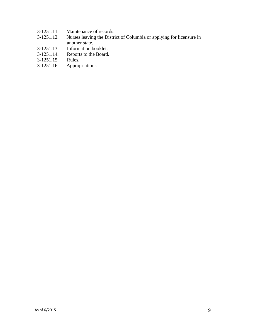- 3-1251.11. Maintenance of records.<br>3-1251.12. Nurses leaving the Distri
- Nurses leaving the District of Columbia or applying for licensure in another state.
- 3-1251.13. Information booklet.
- 3-1251.14. Reports to the Board.<br>3-1251.15. Rules.
- 3-1251.15.<br>3-1251.16.
- Appropriations.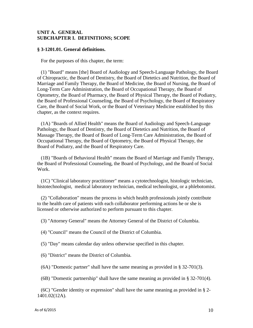#### **UNIT A. GENERAL SUBCHAPTER I. DEFINITIONS; SCOPE**

#### **§ 3-1201.01. General definitions.**

For the purposes of this chapter, the term:

(1) "Board" means [the] Board of Audiology and Speech-Language Pathology, the Board of Chiropractic, the Board of Dentistry, the Board of Dietetics and Nutrition, the Board of Marriage and Family Therapy, the Board of Medicine, the Board of Nursing, the Board of Long-Term Care Administration, the Board of Occupational Therapy, the Board of Optometry, the Board of Pharmacy, the Board of Physical Therapy, the Board of Podiatry, the Board of Professional Counseling, the Board of Psychology, the Board of Respiratory Care, the Board of Social Work, or the Board of Veterinary Medicine established by this chapter, as the context requires.

(1A) "Boards of Allied Health" means the Board of Audiology and Speech-Language Pathology, the Board of Dentistry, the Board of Dietetics and Nutrition, the Board of Massage Therapy, the Board of Board of Long-Term Care Administration, the Board of Occupational Therapy, the Board of Optometry, the Board of Physical Therapy, the Board of Podiatry, and the Board of Respiratory Care.

(1B) "Boards of Behavioral Health" means the Board of Marriage and Family Therapy, the Board of Professional Counseling, the Board of Psychology, and the Board of Social Work.

(1C) "Clinical laboratory practitioner" means a cytotechnologist, histologic technician, histotechnologist, medical laboratory technician, medical technologist, or a phlebotomist.

(2) "Collaboration" means the process in which health professionals jointly contribute to the health care of patients with each collaborator performing actions he or she is licensed or otherwise authorized to perform pursuant to this chapter.

(3) "Attorney General" means the Attorney General of the District of Columbia.

(4) "Council" means the Council of the District of Columbia.

(5) "Day" means calendar day unless otherwise specified in this chapter.

(6) "District" means the District of Columbia.

(6A) "Domestic partner" shall have the same meaning as provided in § 32-701(3).

(6B) "Domestic partnership" shall have the same meaning as provided in § 32-701(4).

(6C) "Gender identity or expression" shall have the same meaning as provided in § 2- 1401.02(12A).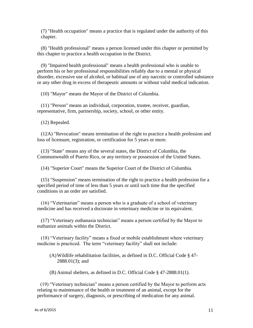(7) "Health occupation" means a practice that is regulated under the authority of this chapter.

(8) "Health professional" means a person licensed under this chapter or permitted by this chapter to practice a health occupation in the District.

(9) "Impaired health professional" means a health professional who is unable to perform his or her professional responsibilities reliably due to a mental or physical disorder, excessive use of alcohol, or habitual use of any narcotic or controlled substance or any other drug in excess of therapeutic amounts or without valid medical indication.

(10) "Mayor" means the Mayor of the District of Columbia.

(11) "Person" means an individual, corporation, trustee, receiver, guardian, representative, firm, partnership, society, school, or other entity.

(12) Repealed.

(12A) "Revocation" means termination of the right to practice a health profession and loss of licensure, registration, or certification for 5 years or more.

(13) "State" means any of the several states, the District of Columbia, the Commonwealth of Puerto Rico, or any territory or possession of the United States.

(14) "Superior Court" means the Superior Court of the District of Columbia.

(15) "Suspension" means termination of the right to practice a health profession for a specified period of time of less than 5 years or until such time that the specified conditions in an order are satisfied.

(16) "Veterinarian" means a person who is a graduate of a school of veterinary medicine and has received a doctorate in veterinary medicine or its equivalent.

(17) "Veterinary euthanasia technician" means a person certified by the Mayor to euthanize animals within the District.

(18) "Veterinary facility" means a fixed or mobile establishment where veterinary medicine is practiced. The term "veterinary facility" shall not include:

(A)Wildlife rehabilitation facilities, as defined in D.C. Official Code § 47- 2888.01(3); and

(B) Animal shelters, as defined in D.C. Official Code § 47-2888.01(1).

(19) "Veterinary technician" means a person certified by the Mayor to perform acts relating to maintenance of the health or treatment of an animal, except for the performance of surgery, diagnosis, or prescribing of medication for any animal.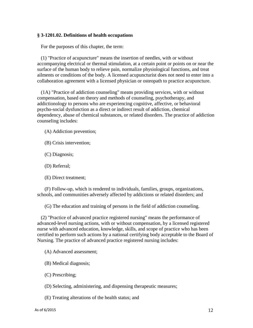#### **§ 3-1201.02. Definitions of health occupations**

For the purposes of this chapter, the term:

(1) "Practice of acupuncture" means the insertion of needles, with or without accompanying electrical or thermal stimulation, at a certain point or points on or near the surface of the human body to relieve pain, normalize physiological functions, and treat ailments or conditions of the body. A licensed acupuncturist does not need to enter into a collaboration agreement with a licensed physician or osteopath to practice acupuncture.

(1A) "Practice of addiction counseling" means providing services, with or without compensation, based on theory and methods of counseling, psychotherapy, and addictionology to persons who are experiencing cognitive, affective, or behavioral psycho-social dysfunction as a direct or indirect result of addiction, chemical dependency, abuse of chemical substances, or related disorders. The practice of addiction counseling includes:

- (A) Addiction prevention;
- (B) Crisis intervention;
- (C) Diagnosis;
- (D) Referral;
- (E) Direct treatment;

(F) Follow-up, which is rendered to individuals, families, groups, organizations, schools, and communities adversely affected by addictions or related disorders; and

(G) The education and training of persons in the field of addiction counseling.

(2) "Practice of advanced practice registered nursing" means the performance of advanced-level nursing actions, with or without compensation, by a licensed registered nurse with advanced education, knowledge, skills, and scope of practice who has been certified to perform such actions by a national certifying body acceptable to the Board of Nursing. The practice of advanced practice registered nursing includes:

- (A) Advanced assessment;
- (B) Medical diagnosis;
- (C) Prescribing;
- (D) Selecting, administering, and dispensing therapeutic measures;
- (E) Treating alterations of the health status; and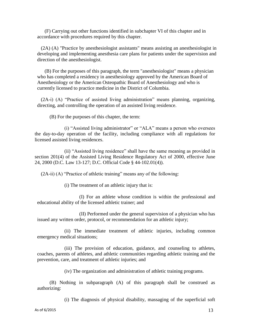(F) Carrying out other functions identified in subchapter VI of this chapter and in accordance with procedures required by this chapter.

(2A) (A) "Practice by anesthesiologist assistants" means assisting an anesthesiologist in developing and implementing anesthesia care plans for patients under the supervision and direction of the anesthesiologist.

(B) For the purposes of this paragraph, the term "anesthesiologist" means a physician who has completed a residency in anesthesiology approved by the American Board of Anesthesiology or the American Osteopathic Board of Anesthesiology and who is currently licensed to practice medicine in the District of Columbia.

(2A-i) (A) "Practice of assisted living administration" means planning, organizing, directing, and controlling the operation of an assisted living residence.

(B) For the purposes of this chapter, the term:

(i) "Assisted living administrator" or "ALA" means a person who oversees the day-to-day operation of the facility, including compliance with all regulations for licensed assisted living residences.

(ii) "Assisted living residence" shall have the same meaning as provided in section 201(4) of the Assisted Living Residence Regulatory Act of 2000, effective June 24, 2000 (D.C. Law 13-127; D.C. Official Code § 44-102.01(4)).

(2A-ii) (A) "Practice of athletic training" means any of the following:

(i) The treatment of an athletic injury that is:

(I) For an athlete whose condition is within the professional and educational ability of the licensed athletic trainer; and

(II) Performed under the general supervision of a physician who has issued any written order, protocol, or recommendation for an athletic injury;

(ii) The immediate treatment of athletic injuries, including common emergency medical situations;

(iii) The provision of education, guidance, and counseling to athletes, coaches, parents of athletes, and athletic communities regarding athletic training and the prevention, care, and treatment of athletic injuries; and

(iv) The organization and administration of athletic training programs.

(B) Nothing in subparagraph (A) of this paragraph shall be construed as authorizing:

(i) The diagnosis of physical disability, massaging of the superficial soft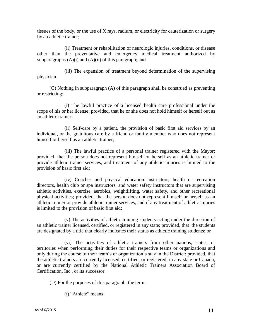tissues of the body, or the use of X rays, radium, or electricity for cauterization or surgery by an athletic trainer;

(ii) Treatment or rehabilitation of neurologic injuries, conditions, or disease other than the preventative and emergency medical treatment authorized by subparagraphs  $(A)(i)$  and  $(A)(ii)$  of this paragraph; and

(iii) The expansion of treatment beyond determination of the supervising physician.

(C) Nothing in subparagraph (A) of this paragraph shall be construed as preventing or restricting:

(i) The lawful practice of a licensed health care professional under the scope of his or her license; provided, that he or she does not hold himself or herself out as an athletic trainer;

(ii) Self-care by a patient, the provision of basic first aid services by an individual, or the gratuitous care by a friend or family member who does not represent himself or herself as an athletic trainer;

(iii) The lawful practice of a personal trainer registered with the Mayor; provided, that the person does not represent himself or herself as an athletic trainer or provide athletic trainer services, and treatment of any athletic injuries is limited to the provision of basic first aid;

(iv) Coaches and physical education instructors, health or recreation directors, health club or spa instructors, and water safety instructors that are supervising athletic activities, exercise, aerobics, weightlifting, water safety, and other recreational physical activities; provided, that the person does not represent himself or herself as an athletic trainer or provide athletic trainer services, and if any treatment of athletic injuries is limited to the provision of basic first aid;

(v) The activities of athletic training students acting under the direction of an athletic trainer licensed, certified, or registered in any state; provided, that the students are designated by a title that clearly indicates their status as athletic training students; or

(vi) The activities of athletic trainers from other nations, states, or territories when performing their duties for their respective teams or organizations and only during the course of their team's or organization's stay in the District; provided, that the athletic trainers are currently licensed, certified, or registered, in any state or Canada, or are currently certified by the National Athletic Trainers Association Board of Certification, Inc., or its successor.

(D) For the purposes of this paragraph, the term:

(i) "Athlete" means: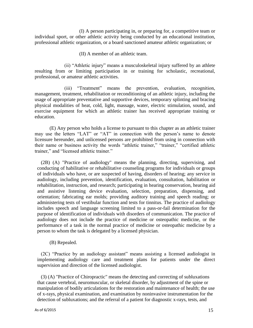(I) A person participating in, or preparing for, a competitive team or individual sport, or other athletic activity being conducted by an educational institution, professional athletic organization, or a board sanctioned amateur athletic organization; or

(II) A member of an athletic team.

(ii) "Athletic injury" means a musculoskeletal injury suffered by an athlete resulting from or limiting participation in or training for scholastic, recreational, professional, or amateur athletic activities.

(iii) "Treatment" means the prevention, evaluation, recognition, management, treatment, rehabilitation or reconditioning of an athletic injury, including the usage of appropriate preventative and supportive devices, temporary splinting and bracing physical modalities of heat, cold, light, massage, water, electric stimulation, sound, and exercise equipment for which an athletic trainer has received appropriate training or education.

(E) Any person who holds a license to pursuant to this chapter as an athletic trainer may use the letters "LAT" or "AT" in connection with the person's name to denote licensure hereunder, and unlicensed persons are prohibited from using in connection with their name or business activity the words "athletic trainer," "trainer," "certified athletic trainer," and "licensed athletic trainer."

(2B) (A) "Practice of audiology" means the planning, directing, supervising, and conducting of habilitative or rehabilitative counseling programs for individuals or groups of individuals who have, or are suspected of having, disorders of hearing; any service in audiology, including prevention, identification, evaluation, consultation, habilitation or rehabilitation, instruction, and research; participating in hearing conservation, hearing aid and assistive listening device evaluation, selection, preparation, dispensing, and orientation; fabricating ear molds; providing auditory training and speech reading; or administering tests of vestibular function and tests for tinnitus. The practice of audiology includes speech and language screening limited to a pass-or-fail determination for the purpose of identification of individuals with disorders of communication. The practice of audiology does not include the practice of medicine or osteopathic medicine, or the performance of a task in the normal practice of medicine or osteopathic medicine by a person to whom the task is delegated by a licensed physician.

(B) Repealed.

(2C) "Practice by an audiology assistant" means assisting a licensed audiologist in implementing audiology care and treatment plans for patients under the direct supervision and direction of the licensed audiologist.

(3) (A) "Practice of Chiropractic" means the detecting and correcting of subluxations that cause vertebral, neuromuscular, or skeletal disorder, by adjustment of the spine or manipulation of bodily articulations for the restoration and maintenance of health; the use of x-rays, physical examination, and examination by noninvasive instrumentation for the detection of subluxations; and the referral of a patient for diagnostic x-rays, tests, and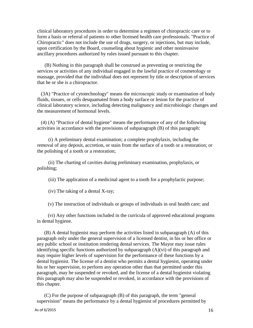clinical laboratory procedures in order to determine a regimen of chiropractic care or to form a basis or referral of patients to other licensed health care professionals. "Practice of Chiropractic" does not include the use of drugs, surgery, or injections, but may include, upon certification by the Board, counseling about hygienic and other noninvasive ancillary procedures authorized by rules issued pursuant to this chapter.

(B) Nothing in this paragraph shall be construed as preventing or restricting the services or activities of any individual engaged in the lawful practice of cosmetology or massage, provided that the individual does not represent by title or description of services that he or she is a chiropractor.

(3A) "Practice of cytotechnology" means the microscopic study or examination of body fluids, tissues, or cells desquamated from a body surface or lesion for the practice of clinical laboratory science, including detecting malignancy and microbiologic changes and the measurement of hormonal levels.

(4) (A) "Practice of dental hygiene" means the performance of any of the following activities in accordance with the provisions of subparagraph (B) of this paragraph:

(i) A preliminary dental examination; a complete prophylaxis, including the removal of any deposit, accretion, or stain from the surface of a tooth or a restoration; or the polishing of a tooth or a restoration;

(ii) The charting of cavities during preliminary examination, prophylaxis, or polishing;

(iii) The application of a medicinal agent to a tooth for a prophylactic purpose;

(iv) The taking of a dental X-ray;

(v) The instruction of individuals or groups of individuals in oral health care; and

(vi) Any other functions included in the curricula of approved educational programs in dental hygiene.

(B) A dental hygienist may perform the activities listed in subparagraph (A) of this paragraph only under the general supervision of a licensed dentist, in his or her office or any public school or institution rendering dental services. The Mayor may issue rules identifying specific functions authorized by subparagraph (A)(vi) of this paragraph and may require higher levels of supervision for the performance of these functions by a dental hygienist. The license of a dentist who permits a dental hygienist, operating under his or her supervision, to perform any operation other than that permitted under this paragraph, may be suspended or revoked, and the license of a dental hygienist violating this paragraph may also be suspended or revoked, in accordance with the provisions of this chapter.

(C) For the purpose of subparagraph (B) of this paragraph, the term "general supervision" means the performance by a dental hygienist of procedures permitted by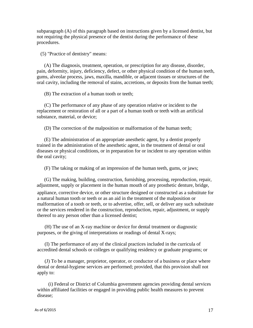subparagraph (A) of this paragraph based on instructions given by a licensed dentist, but not requiring the physical presence of the dentist during the performance of these procedures.

(5) "Practice of dentistry" means:

(A) The diagnosis, treatment, operation, or prescription for any disease, disorder, pain, deformity, injury, deficiency, defect, or other physical condition of the human teeth, gums, alveolar process, jaws, maxilla, mandible, or adjacent tissues or structures of the oral cavity, including the removal of stains, accretions, or deposits from the human teeth;

(B) The extraction of a human tooth or teeth;

(C) The performance of any phase of any operation relative or incident to the replacement or restoration of all or a part of a human tooth or teeth with an artificial substance, material, or device;

(D) The correction of the malposition or malformation of the human teeth;

(E) The administration of an appropriate anesthetic agent, by a dentist properly trained in the administration of the anesthetic agent, in the treatment of dental or oral diseases or physical conditions, or in preparation for or incident to any operation within the oral cavity;

(F) The taking or making of an impression of the human teeth, gums, or jaws;

(G) The making, building, construction, furnishing, processing, reproduction, repair, adjustment, supply or placement in the human mouth of any prosthetic denture, bridge, appliance, corrective device, or other structure designed or constructed as a substitute for a natural human tooth or teeth or as an aid in the treatment of the malposition or malformation of a tooth or teeth, or to advertise, offer, sell, or deliver any such substitute or the services rendered in the construction, reproduction, repair, adjustment, or supply thereof to any person other than a licensed dentist;

(H) The use of an X-ray machine or device for dental treatment or diagnostic purposes, or the giving of interpretations or readings of dental X-rays;

(I) The performance of any of the clinical practices included in the curricula of accredited dental schools or colleges or qualifying residency or graduate programs; or

(J) To be a manager, proprietor, operator, or conductor of a business or place where dental or dental-hygiene services are performed; provided, that this provision shall not apply to:

(i) Federal or District of Columbia government agencies providing dental services within affiliated facilities or engaged in providing public health measures to prevent disease;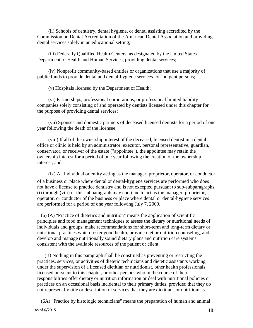(ii) Schools of dentistry, dental hygiene, or dental assisting accredited by the Commission on Dental Accreditation of the American Dental Association and providing dental services solely in an educational setting;

(iii) Federally Qualified Health Centers, as designated by the United States Department of Health and Human Services, providing dental services;

(iv) Nonprofit community-based entities or organizations that use a majority of public funds to provide dental and dental-hygiene services for indigent persons;

(v) Hospitals licensed by the Department of Health;

(vi) Partnerships, professional corporations, or professional limited liability companies solely consisting of and operated by dentists licensed under this chapter for the purpose of providing dental services;

(vii) Spouses and domestic partners of deceased licensed dentists for a period of one year following the death of the licensee;

(viii) If all of the ownership interest of the deceased, licensed dentist in a dental office or clinic is held by an administrator, executor, personal representative, guardian, conservator, or receiver of the estate ("appointee"), the appointee may retain the ownership interest for a period of one year following the creation of the ownership interest; and

(ix) An individual or entity acting as the manager, proprietor, operator, or conductor of a business or place where dental or dental-hygiene services are performed who does not have a license to practice dentistry and is not excepted pursuant to sub-subparagraphs (i) through (viii) of this subparagraph may continue to act as the manager, proprietor, operator, or conductor of the business or place where dental or dental-hygiene services are performed for a period of one year following July 7, 2009.

(6) (A) "Practice of dietetics and nutrition" means the application of scientific principles and food management techniques to assess the dietary or nutritional needs of individuals and groups, make recommendations for short-term and long-term dietary or nutritional practices which foster good health, provide diet or nutrition counseling, and develop and manage nutritionally sound dietary plans and nutrition care systems consistent with the available resources of the patient or client.

(B) Nothing in this paragraph shall be construed as preventing or restricting the practices, services, or activities of dietetic technicians and dietetic assistants working under the supervision of a licensed dietitian or nutritionist, other health professionals licensed pursuant to this chapter, or other persons who in the course of their responsibilities offer dietary or nutrition information or deal with nutritional policies or practices on an occasional basis incidental to their primary duties, provided that they do not represent by title or description of services that they are dietitians or nutritionists.

(6A) "Practice by histologic technicians" means the preparation of human and animal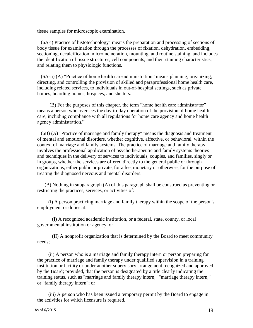tissue samples for microscopic examination.

(6A-i) Practice of histotechnology" means the preparation and processing of sections of body tissue for examination through the processes of fixation, dehydration, embedding, sectioning, decalcification, microincineration, mounting, and routine staining, and includes the identification of tissue structures, cell components, and their staining characteristics, and relating them to physiologic functions.

(6A-ii) (A) "Practice of home health care administration" means planning, organizing, directing, and controlling the provision of skilled and paraprofessional home health care, including related services, to individuals in out-of-hospital settings, such as private homes, boarding homes, hospices, and shelters.

(B) For the purposes of this chapter, the term "home health care administrator" means a person who oversees the day-to-day operation of the provision of home health care, including compliance with all regulations for home care agency and home health agency administration."

(6B) (A) "Practice of marriage and family therapy" means the diagnosis and treatment of mental and emotional disorders, whether cognitive, affective, or behavioral, within the context of marriage and family systems. The practice of marriage and family therapy involves the professional application of psychotherapeutic and family systems theories and techniques in the delivery of services to individuals, couples, and families, singly or in groups, whether the services are offered directly to the general public or through organizations, either public or private, for a fee, monetary or otherwise, for the purpose of treating the diagnosed nervous and mental disorders.

(B) Nothing in subparagraph (A) of this paragraph shall be construed as preventing or restricting the practices, services, or activities of:

(i) A person practicing marriage and family therapy within the scope of the person's employment or duties at:

(I) A recognized academic institution, or a federal, state, county, or local governmental institution or agency; or

(II) A nonprofit organization that is determined by the Board to meet community needs;

(ii) A person who is a marriage and family therapy intern or person preparing for the practice of marriage and family therapy under qualified supervision in a training institution or facility or under another supervisory arrangement recognized and approved by the Board; provided, that the person is designated by a title clearly indicating the training status, such as "marriage and family therapy intern," "marriage therapy intern," or "family therapy intern"; or

(iii) A person who has been issued a temporary permit by the Board to engage in the activities for which licensure is required.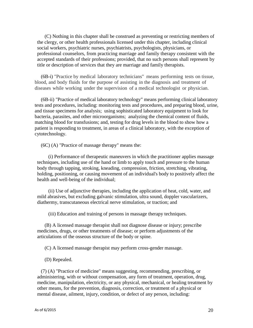(C) Nothing in this chapter shall be construed as preventing or restricting members of the clergy, or other health professionals licensed under this chapter, including clinical social workers, psychiatric nurses, psychiatrists, psychologists, physicians, or professional counselors, from practicing marriage and family therapy consistent with the accepted standards of their professions; provided, that no such persons shall represent by title or description of services that they are marriage and family therapists.

(6B-i) "Practice by medical laboratory technicians" means performing tests on tissue, blood, and body fluids for the purpose of assisting in the diagnosis and treatment of diseases while working under the supervision of a medical technologist or physician.

(6B-ii) "Practice of medical laboratory technology" means performing clinical laboratory tests and procedures, including: monitoring tests and procedures, and preparing blood, urine, and tissue specimens for analysis; using sophisticated laboratory equipment to look for bacteria, parasites, and other microorganisms; analyzing the chemical content of fluids, matching blood for transfusions; and, testing for drug levels in the blood to show how a patient is responding to treatment, in areas of a clinical laboratory, with the exception of cytotechnology.

(6C) (A) "Practice of massage therapy" means the:

(i) Performance of therapeutic maneuvers in which the practitioner applies massage techniques, including use of the hand or limb to apply touch and pressure to the human body through tapping, stroking, kneading, compression, friction, stretching, vibrating, holding, positioning, or causing movement of an individual's body to positively affect the health and well-being of the individual;

(ii) Use of adjunctive therapies, including the application of heat, cold, water, and mild abrasives, but excluding galvanic stimulation, ultra sound, doppler vascularizers, diathermy, transcutaneous electrical nerve stimulation, or traction; and

(iii) Education and training of persons in massage therapy techniques.

(B) A licensed massage therapist shall not diagnose disease or injury; prescribe medicines, drugs, or other treatments of disease; or perform adjustments of the articulations of the osseous structure of the body or spine.

(C) A licensed massage therapist may perform cross-gender massage.

(D) Repealed.

(7) (A) "Practice of medicine" means suggesting, recommending, prescribing, or administering, with or without compensation, any form of treatment, operation, drug, medicine, manipulation, electricity, or any physical, mechanical, or healing treatment by other means, for the prevention, diagnosis, correction, or treatment of a physical or mental disease, ailment, injury, condition, or defect of any person, including: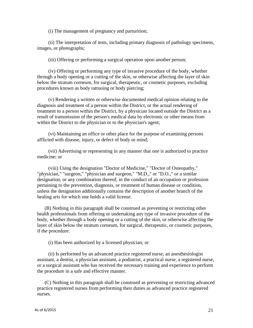(i) The management of pregnancy and parturition;

(ii) The interpretation of tests, including primary diagnosis of pathology specimens, images, or photographs;

(iii) Offering or performing a surgical operation upon another person;

(iv) Offering or performing any type of invasive procedure of the body, whether through a body opening or a cutting of the skin, or otherwise affecting the layer of skin below the stratum corneum, for surgical, therapeutic, or cosmetic purposes, excluding procedures known as body tattooing or body piercing;

(v) Rendering a written or otherwise documented medical opinion relating to the diagnosis and treatment of a person within the District, or the actual rendering of treatment to a person within the District, by a physician located outside the District as a result of transmission of the person's medical data by electronic or other means from within the District to the physician or to the physician's agent;

(vi) Maintaining an office or other place for the purpose of examining persons afflicted with disease, injury, or defect of body or mind;

(vii) Advertising or representing in any manner that one is authorized to practice medicine; or

(viii) Using the designation "Doctor of Medicine," "Doctor of Osteopathy," "physician," "surgeon," "physician and surgeon," "M.D.," or "D.O.," or a similar designation, or any combination thereof, in the conduct of an occupation or profession pertaining to the prevention, diagnosis, or treatment of human disease or condition, unless the designation additionally contains the description of another branch of the healing arts for which one holds a valid license.

(B) Nothing in this paragraph shall be construed as preventing or restricting other health professionals from offering or undertaking any type of invasive procedure of the body, whether through a body opening or a cutting of the skin, or otherwise affecting the layer of skin below the stratum corneum, for surgical, therapeutic, or cosmetic purposes, if the procedure:

(i) Has been authorized by a licensed physician; or

(ii) Is performed by an advanced practice registered nurse, an anesthesiologist assistant, a dentist, a physician assistant, a podiatrist, a practical nurse, a registered nurse, or a surgical assistant who has received the necessary training and experience to perform the procedure in a safe and effective manner.

(C) Nothing in this paragraph shall be construed as preventing or restricting advanced practice registered nurses from performing their duties as advanced practice registered nurses.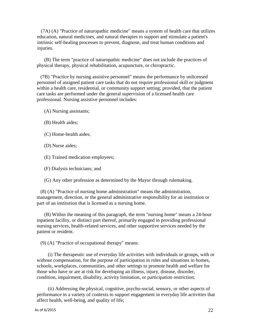(7A) (A) "Practice of naturopathic medicine" means a system of health care that utilizes education, natural medicines, and natural therapies to support and stimulate a patient's intrinsic self-healing processes to prevent, diagnose, and treat human conditions and injuries.

(B) The term "practice of naturopathic medicine" does not include the practices of physical therapy, physical rehabilitation, acupuncture, or chiropractic.

(7B) "Practice by nursing assistive personnel" means the performance by unlicensed personnel of assigned patient care tasks that do not require professional skill or judgment within a health care, residential, or community support setting; provided, that the patient care tasks are performed under the general supervision of a licensed health care professional. Nursing assistive personnel includes:

(A) Nursing assistants;

(B) Health aides;

(C) Home-health aides;

(D) Nurse aides;

(E) Trained medication employees;

(F) Dialysis technicians; and

(G) Any other profession as determined by the Mayor through rulemaking.

(8) (A) "Practice of nursing home administration" means the administration, management, direction, or the general administrative responsibility for an institution or part of an institution that is licensed as a nursing home.

(B) Within the meaning of this paragraph, the term "nursing home" means a 24-hour inpatient facility, or distinct part thereof, primarily engaged in providing professional nursing services, health-related services, and other supportive services needed by the patient or resident.

(9) (A) "Practice of occupational therapy" means:

(i) The therapeutic use of everyday life activities with individuals or groups, with or without compensation, for the purpose of participation in roles and situations in homes, schools, workplaces, communities, and other settings to promote health and welfare for those who have or are at risk for developing an illness, injury, disease, disorder, condition, impairment, disability, activity limitation, or participation restriction;

(ii) Addressing the physical, cognitive, psycho-social, sensory, or other aspects of performance in a variety of contexts to support engagement in everyday life activities that affect health, well-being, and quality of life;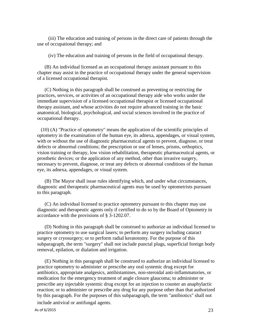(iii) The education and training of persons in the direct care of patients through the use of occupational therapy; and

(iv) The education and training of persons in the field of occupational therapy.

(B) An individual licensed as an occupational therapy assistant pursuant to this chapter may assist in the practice of occupational therapy under the general supervision of a licensed occupational therapist.

(C) Nothing in this paragraph shall be construed as preventing or restricting the practices, services, or activities of an occupational therapy aide who works under the immediate supervision of a licensed occupational therapist or licensed occupational therapy assistant, and whose activities do not require advanced training in the basic anatomical, biological, psychological, and social sciences involved in the practice of occupational therapy.

(10) (A) "Practice of optometry" means the application of the scientific principles of optometry in the examination of the human eye, its adnexa, appendages, or visual system, with or without the use of diagnostic pharmaceutical agents to prevent, diagnose, or treat defects or abnormal conditions; the prescription or use of lenses, prisms, orthoptics, vision training or therapy, low vision rehabilitation, therapeutic pharmaceutical agents, or prosthetic devices; or the application of any method, other than invasive surgery, necessary to prevent, diagnose, or treat any defects or abnormal conditions of the human eye, its adnexa, appendages, or visual system.

(B) The Mayor shall issue rules identifying which, and under what circumstances, diagnostic and therapeutic pharmaceutical agents may be used by optometrists pursuant to this paragraph.

(C) An individual licensed to practice optometry pursuant to this chapter may use diagnostic and therapeutic agents only if certified to do so by the Board of Optometry in accordance with the provisions of § 3-1202.07.

(D) Nothing in this paragraph shall be construed to authorize an individual licensed to practice optometry to use surgical lasers; to perform any surgery including cataract surgery or cryosurgery; or to perform radial keratotomy. For the purpose of this subparagraph, the term "surgery" shall not include punctal plugs, superficial foreign body removal, epilation, or dialation and irrigation.

(E) Nothing in this paragraph shall be construed to authorize an individual licensed to practice optometry to administer or prescribe any oral systemic drug except for antibiotics, appropriate analgesics, antihistamines, non-steroidal anti-inflammatories, or medication for the emergency treatment of angle closure glaucoma; to administer or prescribe any injectable systemic drug except for an injection to counter an anaphylactic reaction; or to administer or prescribe any drug for any purpose other than that authorized by this paragraph. For the purposes of this subparagraph, the term "antibiotics" shall not

include antiviral or antifungal agents.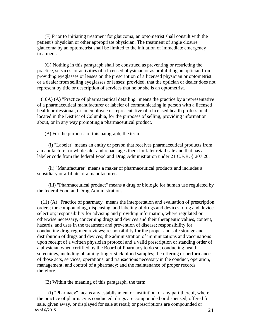(F) Prior to initiating treatment for glaucoma, an optometrist shall consult with the patient's physician or other appropriate physician. The treatment of angle closure glaucoma by an optometrist shall be limited to the initiation of immediate emergency treatment.

(G) Nothing in this paragraph shall be construed as preventing or restricting the practice, services, or activities of a licensed physician or as prohibiting an optician from providing eyeglasses or lenses on the prescription of a licensed physician or optometrist or a dealer from selling eyeglasses or lenses; provided, that the optician or dealer does not represent by title or description of services that he or she is an optometrist.

(10A) (A) "Practice of pharmaceutical detailing" means the practice by a representative of a pharmaceutical manufacturer or labeler of communicating in person with a licensed health professional, or an employee or representative of a licensed health professional, located in the District of Columbia, for the purposes of selling, providing information about, or in any way promoting a pharmaceutical product.

(B) For the purposes of this paragraph, the term:

(i) "Labeler" means an entity or person that receives pharmaceutical products from a manufacturer or wholesaler and repackages them for later retail sale and that has a labeler code from the federal Food and Drug Administration under 21 C.F.R. § 207.20.

(ii) "Manufacturer" means a maker of pharmaceutical products and includes a subsidiary or affiliate of a manufacturer.

(iii) "Pharmaceutical product" means a drug or biologic for human use regulated by the federal Food and Drug Administration.

(11) (A) "Practice of pharmacy" means the interpretation and evaluation of prescription orders; the compounding, dispensing, and labeling of drugs and devices; drug and device selection; responsibility for advising and providing information, where regulated or otherwise necessary, concerning drugs and devices and their therapeutic values, content, hazards, and uses in the treatment and prevention of disease; responsibility for conducting drug-regimen reviews; responsibility for the proper and safe storage and distribution of drugs and devices; the administration of immunizations and vaccinations upon receipt of a written physician protocol and a valid prescription or standing order of a physician when certified by the Board of Pharmacy to do so; conducting health screenings, including obtaining finger-stick blood samples; the offering or performance of those acts, services, operations, and transactions necessary in the conduct, operation, management, and control of a pharmacy; and the maintenance of proper records therefore.

(B) Within the meaning of this paragraph, the term:

As of 6/2015  $24$ (i) "Pharmacy" means any establishment or institution, or any part thereof, where the practice of pharmacy is conducted; drugs are compounded or dispensed, offered for sale, given away, or displayed for sale at retail; or prescriptions are compounded or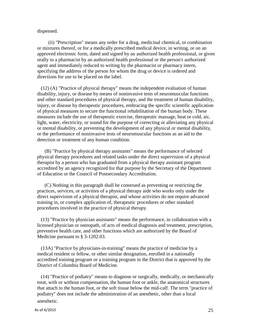dispensed.

(ii) "Prescription" means any order for a drug, medicinal chemical, or combination or mixtures thereof, or for a medically prescribed medical device, in writing, or on an approved electronic form, dated and signed by an authorized health professional, or given orally to a pharmacist by an authorized health professional or the person's authorized agent and immediately reduced to writing by the pharmacist or pharmacy intern, specifying the address of the person for whom the drug or device is ordered and directions for use to be placed on the label.

(12) (A) "Practice of physical therapy" means the independent evaluation of human disability, injury, or disease by means of noninvasive tests of neuromuscular functions and other standard procedures of physical therapy, and the treatment of human disability, injury, or disease by therapeutic procedures, embracing the specific scientific application of physical measures to secure the functional rehabilitation of the human body. These measures include the use of therapeutic exercise, therapeutic massage, heat or cold, air, light, water, electricity, or sound for the purpose of correcting or alleviating any physical or mental disability, or preventing the development of any physical or mental disability, or the performance of noninvasive tests of neuromuscular functions as an aid to the detection or treatment of any human condition.

(B) "Practice by physical therapy assistants" means the performance of selected physical therapy procedures and related tasks under the direct supervision of a physical therapist by a person who has graduated from a physical therapy assistant program accredited by an agency recognized for that purpose by the Secretary of the Department of Education or the Council of Postsecondary Accreditation.

(C) Nothing in this paragraph shall be construed as preventing or restricting the practices, services, or activities of a physical therapy aide who works only under the direct supervision of a physical therapist, and whose activities do not require advanced training in, or complex application of, therapeutic procedures or other standard procedures involved in the practice of physical therapy.

(13) "Practice by physician assistants" means the performance, in collaboration with a licensed physician or osteopath, of acts of medical diagnosis and treatment, prescription, preventive health care, and other functions which are authorized by the Board of Medicine pursuant to § 3-1202.03.

(13A) "Practice by physicians-in-training" means the practice of medicine by a medical resident or fellow, or other similar designation, enrolled in a nationally accredited training program or a training program in the District that is approved by the District of Columbia Board of Medicine.

(14) "Practice of podiatry" means to diagnose or surgically, medically, or mechanically treat, with or without compensation, the human foot or ankle, the anatomical structures that attach to the human foot, or the soft tissue below the mid-calf. The term "practice of podiatry" does not include the administration of an anesthetic, other than a local

anesthetic.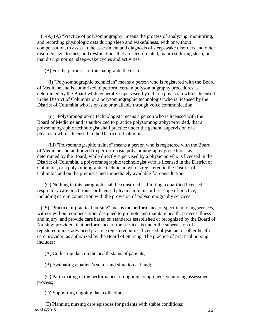(14A) (A) "Practice of polysomnography" means the process of analyzing, monitoring, and recording physiologic data during sleep and wakefulness, with or without compensation, to assist in the assessment and diagnosis of sleep-wake disorders and other disorders, syndromes, and dysfunctions that are sleep-related, manifest during sleep, or that disrupt normal sleep-wake cycles and activities.

(B) For the purposes of this paragraph, the term:

(i) "Polysomnographic technician" means a person who is registered with the Board of Medicine and is authorized to perform certain polysomnography procedures as determined by the Board while generally supervised by either a physician who is licensed in the District of Columbia or a polysomnographic technologist who is licensed by the District of Columbia who is on-site or available through voice communication.

(ii) "Polysomnographic technologist" means a person who is licensed with the Board of Medicine and is authorized to practice polysomnography; provided, that a polysomnographic technologist shall practice under the general supervision of a physician who is licensed in the District of Columbia.

(iii) "Polysomnographic trainee" means a person who is registered with the Board of Medicine and authorized to perform basic polysomnography procedures, as determined by the Board, while directly supervised by a physician who is licensed in the District of Columbia, a polysomnographic technologist who is licensed in the District of Columbia, or a polysomnographic technician who is registered in the District of Columbia and on the premises and immediately available for consultation.

(C) Nothing in this paragraph shall be construed as limiting a qualified licensed respiratory care practitioner or licensed physician in his or her scope of practice, including care in connection with the provision of polysomnography services.

(15) "Practice of practical nursing" means the performance of specific nursing services, with or without compensation, designed to promote and maintain health, prevent illness and injury, and provide care based on standards established or recognized by the Board of Nursing; provided, that performance of the services is under the supervision of a registered nurse, advanced practice registered nurse, licensed physician, or other health care provider, as authorized by the Board of Nursing. The practice of practical nursing includes:

(A) Collecting data on the health status of patients;

(B) Evaluating a patient's status and situation at hand;

(C) Participating in the performance of ongoing comprehensive nursing assessment process;

(D) Supporting ongoing data collection;

As of 6/2015  $26$ (E) Planning nursing care episodes for patients with stable conditions;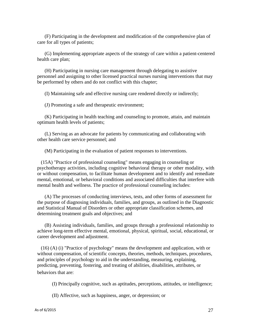(F) Participating in the development and modification of the comprehensive plan of care for all types of patients;

(G) Implementing appropriate aspects of the strategy of care within a patient-centered health care plan;

(H) Participating in nursing care management through delegating to assistive personnel and assigning to other licensed practical nurses nursing interventions that may be performed by others and do not conflict with this chapter;

(I) Maintaining safe and effective nursing care rendered directly or indirectly;

(J) Promoting a safe and therapeutic environment;

(K) Participating in health teaching and counseling to promote, attain, and maintain optimum health levels of patients;

(L) Serving as an advocate for patients by communicating and collaborating with other health care service personnel; and

(M) Participating in the evaluation of patient responses to interventions.

(15A) "Practice of professional counseling" means engaging in counseling or psychotherapy activities, including cognitive behavioral therapy or other modality, with or without compensation, to facilitate human development and to identify and remediate mental, emotional, or behavioral conditions and associated difficulties that interfere with mental health and wellness. The practice of professional counseling includes:

(A) The processes of conducting interviews, tests, and other forms of assessment for the purpose of diagnosing individuals, families, and groups, as outlined in the Diagnostic and Statistical Manual of Disorders or other appropriate classification schemes, and determining treatment goals and objectives; and

(B) Assisting individuals, families, and groups through a professional relationship to achieve long-term effective mental, emotional, physical, spiritual, social, educational, or career development and adjustment.

(16) (A) (i) "Practice of psychology" means the development and application, with or without compensation, of scientific concepts, theories, methods, techniques, procedures, and principles of psychology to aid in the understanding, measuring, explaining, predicting, preventing, fostering, and treating of abilities, disabilities, attributes, or behaviors that are:

(I) Principally cognitive, such as aptitudes, perceptions, attitudes, or intelligence;

(II) Affective, such as happiness, anger, or depression; or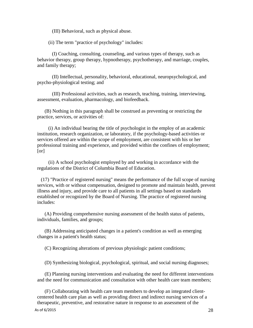(III) Behavioral, such as physical abuse.

(ii) The term "practice of psychology" includes:

(I) Coaching, consulting, counseling, and various types of therapy, such as behavior therapy, group therapy, hypnotherapy, psychotherapy, and marriage, couples, and family therapy;

(II) Intellectual, personality, behavioral, educational, neuropsychological, and psycho-physiological testing; and

(III) Professional activities, such as research, teaching, training, interviewing, assessment, evaluation, pharmacology, and biofeedback.

(B) Nothing in this paragraph shall be construed as preventing or restricting the practice, services, or activities of:

(i) An individual bearing the title of psychologist in the employ of an academic institution, research organization, or laboratory, if the psychology-based activities or services offered are within the scope of employment, are consistent with his or her professional training and experience, and provided within the confines of employment;  $[or]$ 

(ii) A school psychologist employed by and working in accordance with the regulations of the District of Columbia Board of Education.

(17) "Practice of registered nursing" means the performance of the full scope of nursing services, with or without compensation, designed to promote and maintain health, prevent illness and injury, and provide care to all patients in all settings based on standards established or recognized by the Board of Nursing. The practice of registered nursing includes:

(A) Providing comprehensive nursing assessment of the health status of patients, individuals, families, and groups;

(B) Addressing anticipated changes in a patient's condition as well as emerging changes in a patient's health status;

(C) Recognizing alterations of previous physiologic patient conditions;

(D) Synthesizing biological, psychological, spiritual, and social nursing diagnoses;

(E) Planning nursing interventions and evaluating the need for different interventions and the need for communication and consultation with other health care team members;

(F) Collaborating with health care team members to develop an integrated clientcentered health care plan as well as providing direct and indirect nursing services of a therapeutic, preventive, and restorative nature in response to an assessment of the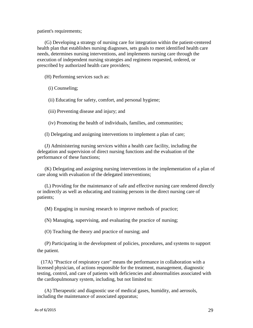patient's requirements;

(G) Developing a strategy of nursing care for integration within the patient-centered health plan that establishes nursing diagnoses, sets goals to meet identified health care needs, determines nursing interventions, and implements nursing care through the execution of independent nursing strategies and regimens requested, ordered, or prescribed by authorized health care providers;

(H) Performing services such as:

(i) Counseling;

(ii) Educating for safety, comfort, and personal hygiene;

(iii) Preventing disease and injury; and

(iv) Promoting the health of individuals, families, and communities;

(I) Delegating and assigning interventions to implement a plan of care;

(J) Administering nursing services within a health care facility, including the delegation and supervision of direct nursing functions and the evaluation of the performance of these functions;

(K) Delegating and assigning nursing interventions in the implementation of a plan of care along with evaluation of the delegated interventions;

(L) Providing for the maintenance of safe and effective nursing care rendered directly or indirectly as well as educating and training persons in the direct nursing care of patients;

(M) Engaging in nursing research to improve methods of practice;

(N) Managing, supervising, and evaluating the practice of nursing;

(O) Teaching the theory and practice of nursing; and

(P) Participating in the development of policies, procedures, and systems to support the patient.

(17A) "Practice of respiratory care" means the performance in collaboration with a licensed physician, of actions responsible for the treatment, management, diagnostic testing, control, and care of patients with deficiencies and abnormalities associated with the cardiopulmonary system, including, but not limited to:

(A) Therapeutic and diagnostic use of medical gases, humidity, and aerosols, including the maintenance of associated apparatus;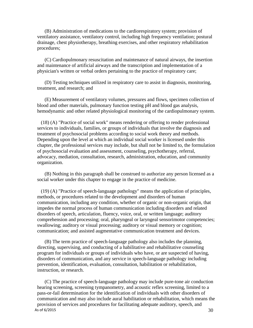(B) Administration of medications to the cardiorespiratory system; provision of ventilatory assistance, ventilatory control, including high frequency ventilation; postural drainage, chest physiotherapy, breathing exercises, and other respiratory rehabilitation procedures;

(C) Cardiopulmonary resuscitation and maintenance of natural airways, the insertion and maintenance of artificial airways and the transcription and implementation of a physician's written or verbal orders pertaining to the practice of respiratory care;

(D) Testing techniques utilized in respiratory care to assist in diagnosis, monitoring, treatment, and research; and

(E) Measurement of ventilatory volumes, pressures and flows, specimen collection of blood and other materials, pulmonary function testing pH and blood gas analysis, hemodynamic and other related physiological monitoring of the cardiopulmonary system.

(18) (A) "Practice of social work" means rendering or offering to render professional services to individuals, families, or groups of individuals that involve the diagnosis and treatment of psychosocial problems according to social work theory and methods. Depending upon the level at which an individual social worker is licensed under this chapter, the professional services may include, but shall not be limited to, the formulation of psychosocial evaluation and assessment, counseling, psychotherapy, referral, advocacy, mediation, consultation, research, administration, education, and community organization.

(B) Nothing in this paragraph shall be construed to authorize any person licensed as a social worker under this chapter to engage in the practice of medicine.

(19) (A) "Practice of speech-language pathology" means the application of principles, methods, or procedures related to the development and disorders of human communication, including any condition, whether of organic or non-organic origin, that impedes the normal process of human communication including disorders and related disorders of speech, articulation, fluency, voice, oral, or written language; auditory comprehension and processing; oral, pharyngeal or laryngeal sensorimotor competencies; swallowing; auditory or visual processing; auditory or visual memory or cognition; communication; and assisted augmentative communication treatment and devices.

(B) The term practice of speech-language pathology also includes the planning, directing, supervising, and conducting of a habilitative and rehabilitative counseling program for individuals or groups of individuals who have, or are suspected of having, disorders of communication, and any service in speech-language pathology including prevention, identification, evaluation, consultation, habilitation or rehabilitation, instruction, or research.

As of 6/2015  $30$ (C) The practice of speech-language pathology may include pure-tone air conduction hearing screening, screening tympanometry, and acoustic reflex screening, limited to a pass-or-fail determination for the identification of individuals with other disorders of communication and may also include aural habilitation or rehabilitation, which means the provision of services and procedures for facilitating adequate auditory, speech, and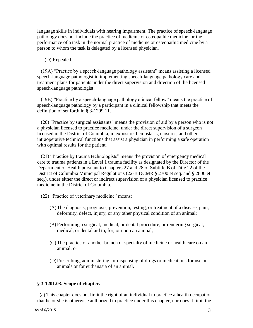language skills in individuals with hearing impairment. The practice of speech-language pathology does not include the practice of medicine or osteopathic medicine, or the performance of a task in the normal practice of medicine or osteopathic medicine by a person to whom the task is delegated by a licensed physician.

#### (D) Repealed.

(19A) "Practice by a speech-language pathology assistant" means assisting a licensed speech-language pathologist in implementing speech-language pathology care and treatment plans for patients under the direct supervision and direction of the licensed speech-language pathologist.

(19B) "Practice by a speech-language pathology clinical fellow" means the practice of speech-language pathology by a participant in a clinical fellowship that meets the definition of set forth in § 3-1209.11.

(20) "Practice by surgical assistants" means the provision of aid by a person who is not a physician licensed to practice medicine, under the direct supervision of a surgeon licensed in the District of Columbia, in exposure, hemostasis, closures, and other intraoperative technical functions that assist a physician in performing a safe operation with optimal results for the patient.

(21) "Practice by trauma technologists" means the provision of emergency medical care to trauma patients in a Level 1 trauma facility as designated by the Director of the Department of Health pursuant to Chapters 27 and 28 of Subtitle B of Title 22 of the District of Columbia Municipal Regulations (22-B DCMR § 2700 et seq. and § 2800 et seq.), under either the direct or indirect supervision of a physician licensed to practice medicine in the District of Columbia.

- (22) "Practice of veterinary medicine" means:
	- (A)The diagnosis, prognosis, prevention, testing, or treatment of a disease, pain, deformity, defect, injury, or any other physical condition of an animal;
	- (B) Performing a surgical, medical, or dental procedure, or rendering surgical, medical, or dental aid to, for, or upon an animal;
	- (C) The practice of another branch or specialty of medicine or health care on an animal; or
	- (D)Prescribing, administering, or dispensing of drugs or medications for use on animals or for euthanasia of an animal.

#### **§ 3-1201.03. Scope of chapter.**

(a) This chapter does not limit the right of an individual to practice a health occupation that he or she is otherwise authorized to practice under this chapter, nor does it limit the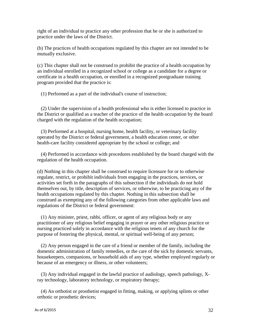right of an individual to practice any other profession that he or she is authorized to practice under the laws of the District.

(b) The practices of health occupations regulated by this chapter are not intended to be mutually exclusive.

(c) This chapter shall not be construed to prohibit the practice of a health occupation by an individual enrolled in a recognized school or college as a candidate for a degree or certificate in a health occupation, or enrolled in a recognized postgraduate training program provided that the practice is:

(1) Performed as a part of the individual's course of instruction;

(2) Under the supervision of a health professional who is either licensed to practice in the District or qualified as a teacher of the practice of the health occupation by the board charged with the regulation of the health occupation;

(3) Performed at a hospital, nursing home, health facility, or veterinary facility operated by the District or federal government, a health education center, or other health-care facility considered appropriate by the school or college; and

(4) Performed in accordance with procedures established by the board charged with the regulation of the health occupation.

(d) Nothing in this chapter shall be construed to require licensure for or to otherwise regulate, restrict, or prohibit individuals from engaging in the practices, services, or activities set forth in the paragraphs of this subsection if the individuals do not hold themselves out, by title, description of services, or otherwise, to be practicing any of the health occupations regulated by this chapter. Nothing in this subsection shall be construed as exempting any of the following categories from other applicable laws and regulations of the District or federal government:

(1) Any minister, priest, rabbi, officer, or agent of any religious body or any practitioner of any religious belief engaging in prayer or any other religious practice or nursing practiced solely in accordance with the religious tenets of any church for the purpose of fostering the physical, mental, or spiritual well-being of any person;

(2) Any person engaged in the care of a friend or member of the family, including the domestic administration of family remedies, or the care of the sick by domestic servants, housekeepers, companions, or household aids of any type, whether employed regularly or because of an emergency or illness, or other volunteers;

(3) Any individual engaged in the lawful practice of audiology, speech pathology, Xray technology, laboratory technology, or respiratory therapy;

(4) An orthotist or prosthetist engaged in fitting, making, or applying splints or other orthotic or prosthetic devices;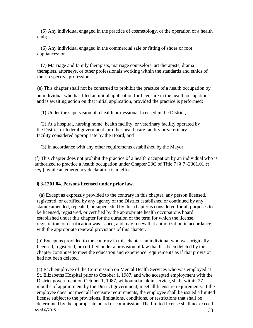(5) Any individual engaged in the practice of cosmetology, or the operation of a health club;

(6) Any individual engaged in the commercial sale or fitting of shoes or foot appliances; or

(7) Marriage and family therapists, marriage counselors, art therapists, drama therapists, attorneys, or other professionals working within the standards and ethics of their respective professions.

(e) This chapter shall not be construed to prohibit the practice of a health occupation by an individual who has filed an initial application for licensure in the health occupation and is awaiting action on that initial application, provided the practice is performed:

(1) Under the supervision of a health professional licensed in the District;

(2) At a hospital, nursing home, health facility, or veterinary facility operated by the District or federal government, or other health care facility or veterinary facility considered appropriate by the Board; and

(3) In accordance with any other requirements established by the Mayor.

(f) This chapter does not prohibit the practice of a health occupation by an individual who is authorized to practice a health occupation under Chapter 23C of Title 7 [§ 7 -2361.01 *et seq*.], while an emergency declaration is in effect.

#### **§ 3-1201.04. Persons licensed under prior law.**

(a) Except as expressly provided to the contrary in this chapter, any person licensed, registered, or certified by any agency of the District established or continued by any statute amended, repealed, or superseded by this chapter is considered for all purposes to be licensed, registered, or certified by the appropriate health occupations board established under this chapter for the duration of the term for which the license, registration, or certification was issued, and may renew that authorization in accordance with the appropriate renewal provisions of this chapter.

(b) Except as provided to the contrary in this chapter, an individual who was originally licensed, registered, or certified under a provision of law that has been deleted by this chapter continues to meet the education and experience requirements as if that provision had not been deleted.

As of  $6/2015$  33 (c) Each employee of the Commission on Mental Health Services who was employed at St. Elizabeths Hospital prior to October 1, 1987, and who accepted employment with the District government on October 1, 1987, without a break in service, shall, within 27 months of appointment by the District government, meet all licensure requirements. If the employee does not meet all licensure requirements, the employee shall be issued a limited license subject to the provisions, limitations, conditions, or restrictions that shall be determined by the appropriate board or commission. The limited license shall not exceed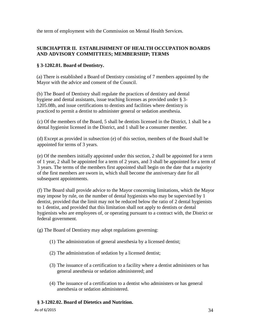the term of employment with the Commission on Mental Health Services.

#### **SUBCHAPTER II. ESTABLISHMENT OF HEALTH OCCUPATION BOARDS AND ADVISORY COMMITTEES; MEMBERSHIP; TERMS**

#### **§ 3-1202.01. Board of Dentistry.**

(a) There is established a Board of Dentistry consisting of 7 members appointed by the Mayor with the advice and consent of the Council.

(b) The Board of Dentistry shall regulate the practices of dentistry and dental hygiene and dental assistants, issue teaching licenses as provided under § 3- 1205.08b, and issue certifications to dentists and facilities where dentistry is practiced to permit a dentist to administer general or sedation anesthesia.

(c) Of the members of the Board, 5 shall be dentists licensed in the District, 1 shall be a dental hygienist licensed in the District, and 1 shall be a consumer member.

(d) Except as provided in subsection (e) of this section, members of the Board shall be appointed for terms of 3 years.

(e) Of the members initially appointed under this section, 2 shall be appointed for a term of 1 year, 2 shall be appointed for a term of 2 years, and 3 shall be appointed for a term of 3 years. The terms of the members first appointed shall begin on the date that a majority of the first members are sworn in, which shall become the anniversary date for all subsequent appointments.

(f) The Board shall provide advice to the Mayor concerning limitations, which the Mayor may impose by rule, on the number of dental hygienists who may be supervised by 1 dentist, provided that the limit may not be reduced below the ratio of 2 dental hygienists to 1 dentist, and provided that this limitation shall not apply to dentists or dental hygienists who are employees of, or operating pursuant to a contract with, the District or federal government.

(g) The Board of Dentistry may adopt regulations governing:

- (1) The administration of general anesthesia by a licensed dentist;
- (2) The administration of sedation by a licensed dentist;
- (3) The issuance of a certification to a facility where a dentist administers or has general anesthesia or sedation administered; and
- (4) The issuance of a certification to a dentist who administers or has general anesthesia or sedation administered.

#### **§ 3-1202.02. Board of Dietetics and Nutrition.**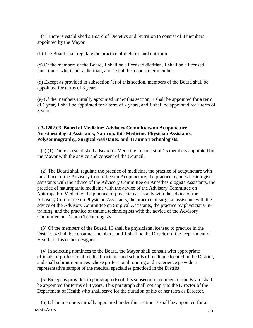(a) There is established a Board of Dietetics and Nutrition to consist of 3 members appointed by the Mayor.

(b) The Board shall regulate the practice of dietetics and nutrition.

(c) Of the members of the Board, 1 shall be a licensed dietitian, 1 shall be a licensed nutritionist who is not a dietitian, and 1 shall be a consumer member.

(d) Except as provided in subsection (e) of this section, members of the Board shall be appointed for terms of 3 years.

(e) Of the members initially appointed under this section, 1 shall be appointed for a term of 1 year, 1 shall be appointed for a term of 2 years, and 1 shall be appointed for a term of 3 years.

## **§ 3-1202.03. Board of Medicine; Advisory Committees on Acupuncture, Anesthesiologist Assistants, Naturopathic Medicine, Physician Assistants, Polysomnography, Surgical Assistants, and Trauma Technologists.**

(a) (1) There is established a Board of Medicine to consist of 15 members appointed by the Mayor with the advice and consent of the Council.

(2) The Board shall regulate the practice of medicine, the practice of acupuncture with the advice of the Advisory Committee on Acupuncture, the practice by anesthesiologists assistants with the advice of the Advisory Committee on Anesthesiologists Assistants, the practice of naturopathic medicine with the advice of the Advisory Committee on Naturopathic Medicine, the practice of physician assistants with the advice of the Advisory Committee on Physician Assistants, the practice of surgical assistants with the advice of the Advisory Committee on Surgical Assistants, the practice by physicians-intraining, and the practice of trauma technologists with the advice of the Advisory Committee on Trauma Technologists.

(3) Of the members of the Board, 10 shall be physicians licensed to practice in the District, 4 shall be consumer members, and 1 shall be the Director of the Department of Health, or his or her designee.

(4) In selecting nominees to the Board, the Mayor shall consult with appropriate officials of professional medical societies and schools of medicine located in the District, and shall submit nominees whose professional training and experience provide a representative sample of the medical specialties practiced in the District.

(5) Except as provided in paragraph (6) of this subsection, members of the Board shall be appointed for terms of 3 years. This paragraph shall not apply to the Director of the Department of Health who shall serve for the duration of his or her term as Director.

As of  $6/2015$  35 (6) Of the members initially appointed under this section, 3 shall be appointed for a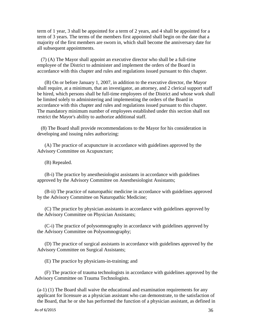term of 1 year, 3 shall be appointed for a term of 2 years, and 4 shall be appointed for a term of 3 years. The terms of the members first appointed shall begin on the date that a majority of the first members are sworn in, which shall become the anniversary date for all subsequent appointments.

(7) (A) The Mayor shall appoint an executive director who shall be a full-time employee of the District to administer and implement the orders of the Board in accordance with this chapter and rules and regulations issued pursuant to this chapter.

(B) On or before January 1, 2007, in addition to the executive director, the Mayor shall require, at a minimum, that an investigator, an attorney, and 2 clerical support staff be hired, which persons shall be full-time employees of the District and whose work shall be limited solely to administering and implementing the orders of the Board in accordance with this chapter and rules and regulations issued pursuant to this chapter. The mandatory minimum number of employees established under this section shall not restrict the Mayor's ability to authorize additional staff.

(8) The Board shall provide recommendations to the Mayor for his consideration in developing and issuing rules authorizing:

(A) The practice of acupuncture in accordance with guidelines approved by the Advisory Committee on Acupuncture;

(B) Repealed.

(B-i) The practice by anesthesiologist assistants in accordance with guidelines approved by the Advisory Committee on Anesthesiologist Assistants;

(B-ii) The practice of naturopathic medicine in accordance with guidelines approved by the Advisory Committee on Naturopathic Medicine;

(C) The practice by physician assistants in accordance with guidelines approved by the Advisory Committee on Physician Assistants;

(C-i) The practice of polysomnography in accordance with guidelines approved by the Advisory Committee on Polysomnography;

(D) The practice of surgical assistants in accordance with guidelines approved by the Advisory Committee on Surgical Assistants;

(E) The practice by physicians-in-training; and

(F) The practice of trauma technologists in accordance with guidelines approved by the Advisory Committee on Trauma Technologists.

(a-1) (1) The Board shall waive the educational and examination requirements for any applicant for licensure as a physician assistant who can demonstrate, to the satisfaction of the Board, that he or she has performed the function of a physician assistant, as defined in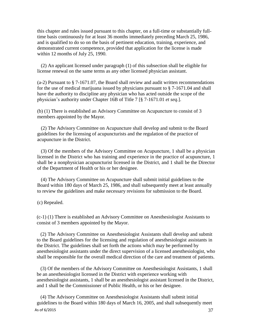this chapter and rules issued pursuant to this chapter, on a full-time or substantially fulltime basis continuously for at least 36 months immediately preceding March 25, 1986, and is qualified to do so on the basis of pertinent education, training, experience, and demonstrated current competence, provided that application for the license is made within 12 months of July 25, 1990.

(2) An applicant licensed under paragraph (1) of this subsection shall be eligible for license renewal on the same terms as any other licensed physician assistant.

(a-2) Pursuant to § 7-1671.07, the Board shall review and audit written recommendations for the use of medical marijuana issued by physicians pursuant to § 7-1671.04 and shall have the authority to discipline any physician who has acted outside the scope of the physician's authority under Chapter 16B of Title 7 [§ 7-1671.01 *et seq*.].

(b) (1) There is established an Advisory Committee on Acupuncture to consist of 3 members appointed by the Mayor.

(2) The Advisory Committee on Acupuncture shall develop and submit to the Board guidelines for the licensing of acupuncturists and the regulation of the practice of acupuncture in the District.

(3) Of the members of the Advisory Committee on Acupuncture, 1 shall be a physician licensed in the District who has training and experience in the practice of acupuncture, 1 shall be a nonphysician acupuncturist licensed in the District, and 1 shall be the Director of the Department of Health or his or her designee.

(4) The Advisory Committee on Acupuncture shall submit initial guidelines to the Board within 180 days of March 25, 1986, and shall subsequently meet at least annually to review the guidelines and make necessary revisions for submission to the Board.

(c) Repealed.

(c-1) (1) There is established an Advisory Committee on Anesthesiologist Assistants to consist of 3 members appointed by the Mayor.

(2) The Advisory Committee on Anesthesiologist Assistants shall develop and submit to the Board guidelines for the licensing and regulation of anesthesiologist assistants in the District. The guidelines shall set forth the actions which may be performed by anesthesiologist assistants under the direct supervision of a licensed anesthesiologist, who shall be responsible for the overall medical direction of the care and treatment of patients.

(3) Of the members of the Advisory Committee on Anesthesiologist Assistants, 1 shall be an anesthesiologist licensed in the District with experience working with anesthesiologist assistants, 1 shall be an anesthesiologist assistant licensed in the District, and 1 shall be the Commissioner of Public Health, or his or her designee.

As of  $6/2015$  37 (4) The Advisory Committee on Anesthesiologist Assistants shall submit initial guidelines to the Board within 180 days of March 16, 2005, and shall subsequently meet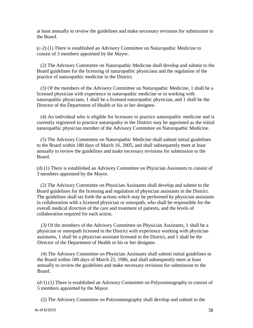at least annually to review the guidelines and make necessary revisions for submission to the Board.

(c-2) (1) There is established an Advisory Committee on Naturopathic Medicine to consist of 3 members appointed by the Mayor.

(2) The Advisory Committee on Naturopathic Medicine shall develop and submit to the Board guidelines for the licensing of naturopathic physicians and the regulation of the practice of naturopathic medicine in the District.

(3) Of the members of the Advisory Committee on Naturopathic Medicine, 1 shall be a licensed physician with experience in naturopathic medicine or in working with naturopathic physicians, 1 shall be a licensed naturopathic physician, and 1 shall be the Director of the Department of Health or his or her designee.

(4) An individual who is eligible for licensure to practice naturopathic medicine and is currently registered to practice naturopathy in the District may be appointed as the initial naturopathic physician member of the Advisory Committee on Naturopathic Medicine.

(5) The Advisory Committee on Naturopathic Medicine shall submit initial guidelines to the Board within 180 days of March 16, 2005, and shall subsequently meet at least annually to review the guidelines and make necessary revisions for submission to the Board.

(d) (1) There is established an Advisory Committee on Physician Assistants to consist of 3 members appointed by the Mayor.

(2) The Advisory Committee on Physician Assistants shall develop and submit to the Board guidelines for the licensing and regulation of physician assistants in the District. The guidelines shall set forth the actions which may be performed by physician assistants in collaboration with a licensed physician or osteopath, who shall be responsible for the overall medical direction of the care and treatment of patients, and the levels of collaboration required for each action.

(3) Of the members of the Advisory Committee on Physician Assistants, 1 shall be a physician or osteopath licensed in the District with experience working with physician assistants, 1 shall be a physician assistant licensed in the District, and 1 shall be the Director of the Department of Health or his or her designee.

(4) The Advisory Committee on Physician Assistants shall submit initial guidelines to the Board within 180 days of March 25, 1986, and shall subsequently meet at least annually to review the guidelines and make necessary revisions for submission to the Board.

(d-1) (1) There is established an Advisory Committee on Polysomnography to consist of 5 members appointed by the Mayor.

(2) The Advisory Committee on Polysomnography shall develop and submit to the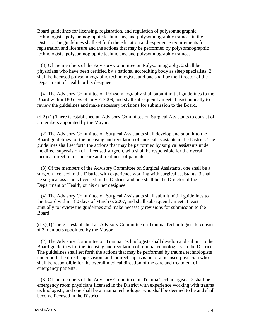Board guidelines for licensing, registration, and regulation of polysomnographic technologists, polysomnographic technicians, and polysomnographic trainees in the District. The guidelines shall set forth the education and experience requirements for registration and licensure and the actions that may be performed by polysomnographic technologists, polysomnographic technicians, and polysomnographic trainees.

(3) Of the members of the Advisory Committee on Polysomnography, 2 shall be physicians who have been certified by a national accrediting body as sleep specialists, 2 shall be licensed polysomnographic technologists, and one shall be the Director of the Department of Health or his designee.

(4) The Advisory Committee on Polysomnography shall submit initial guidelines to the Board within 180 days of July 7, 2009, and shall subsequently meet at least annually to review the guidelines and make necessary revisions for submission to the Board.

(d-2) (1) There is established an Advisory Committee on Surgical Assistants to consist of 5 members appointed by the Mayor.

(2) The Advisory Committee on Surgical Assistants shall develop and submit to the Board guidelines for the licensing and regulation of surgical assistants in the District. The guidelines shall set forth the actions that may be performed by surgical assistants under the direct supervision of a licensed surgeon, who shall be responsible for the overall medical direction of the care and treatment of patients.

(3) Of the members of the Advisory Committee on Surgical Assistants, one shall be a surgeon licensed in the District with experience working with surgical assistants, 3 shall be surgical assistants licensed in the District, and one shall be the Director of the Department of Health, or his or her designee.

(4) The Advisory Committee on Surgical Assistants shall submit initial guidelines to the Board within 180 days of March 6, 2007, and shall subsequently meet at least annually to review the guidelines and make necessary revisions for submission to the Board.

(d-3)(1) There is established an Advisory Committee on Trauma Technologists to consist of 3 members appointed by the Mayor.

(2) The Advisory Committee on Trauma Technologists shall develop and submit to the Board guidelines for the licensing and regulation of trauma technologists in the District. The guidelines shall set forth the actions that may be performed by trauma technologists under both the direct supervision and indirect supervision of a licensed physician who shall be responsible for the overall medical direction of the care and treatment of emergency patients.

(3) Of the members of the Advisory Committee on Trauma Technologists, 2 shall be emergency room physicians licensed in the District with experience working with trauma technologists, and one shall be a trauma technologist who shall be deemed to be and shall become licensed in the District.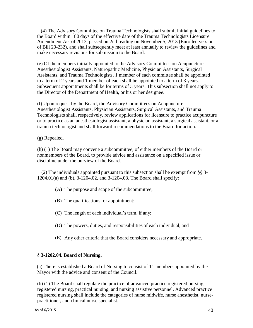(4) The Advisory Committee on Trauma Technologists shall submit initial guidelines to the Board within 180 days of the effective date of the Trauma Technologists Licensure Amendment Act of 2013, passed on 2nd reading on November 5, 2013 (Enrolled version of Bill 20-232), and shall subsequently meet at least annually to review the guidelines and make necessary revisions for submission to the Board.

(e) Of the members initially appointed to the Advisory Committees on Acupuncture, Anesthesiologist Assistants, Naturopathic Medicine, Physician Assistants, Surgical Assistants, and Trauma Technologists, 1 member of each committee shall be appointed to a term of 2 years and 1 member of each shall be appointed to a term of 3 years. Subsequent appointments shall be for terms of 3 years. This subsection shall not apply to the Director of the Department of Health, or his or her designee.

(f) Upon request by the Board, the Advisory Committees on Acupuncture, Anesthesiologist Assistants, Physician Assistants, Surgical Assistants, and Trauma Technologists shall, respectively, review applications for licensure to practice acupuncture or to practice as an anesthesiologist assistant, a physician assistant, a surgical assistant, or a trauma technologist and shall forward recommendations to the Board for action.

(g) Repealed.

(h) (1) The Board may convene a subcommittee, of either members of the Board or nonmembers of the Board, to provide advice and assistance on a specified issue or discipline under the purview of the Board.

(2) The individuals appointed pursuant to this subsection shall be exempt from §§ 3- 1204.01(a) and (b), 3-1204.02, and 3-1204.03. The Board shall specify:

- (A) The purpose and scope of the subcommittee;
- (B) The qualifications for appointment;
- (C) The length of each individual's term, if any;
- (D) The powers, duties, and responsibilities of each individual; and
- (E) Any other criteria that the Board considers necessary and appropriate.

# **§ 3-1202.04. Board of Nursing.**

(a) There is established a Board of Nursing to consist of 11 members appointed by the Mayor with the advice and consent of the Council.

(b) (1) The Board shall regulate the practice of advanced practice registered nursing, registered nursing, practical nursing, and nursing assistive personnel. Advanced practice registered nursing shall include the categories of nurse midwife, nurse anesthetist, nursepractitioner, and clinical nurse specialist.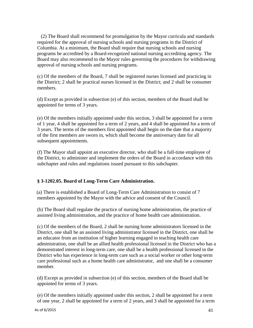(2) The Board shall recommend for promulgation by the Mayor curricula and standards required for the approval of nursing schools and nursing programs in the District of Columbia. At a minimum, the Board shall require that nursing schools and nursing programs be accredited by a Board-recognized national nursing accrediting agency. The Board may also recommend to the Mayor rules governing the procedures for withdrawing approval of nursing schools and nursing programs.

(c) Of the members of the Board, 7 shall be registered nurses licensed and practicing in the District; 2 shall be practical nurses licensed in the District; and 2 shall be consumer members.

(d) Except as provided in subsection (e) of this section, members of the Board shall be appointed for terms of 3 years.

(e) Of the members initially appointed under this section, 3 shall be appointed for a term of 1 year, 4 shall be appointed for a term of 2 years, and 4 shall be appointed for a term of 3 years. The terms of the members first appointed shall begin on the date that a majority of the first members are sworn in, which shall become the anniversary date for all subsequent appointments.

(f) The Mayor shall appoint an executive director, who shall be a full-time employee of the District, to administer and implement the orders of the Board in accordance with this subchapter and rules and regulations issued pursuant to this subchapter.

# **§ 3-1202.05. Board of Long-Term Care Administration.**

(a) There is established a Board of Long-Term Care Administration to consist of 7 members appointed by the Mayor with the advice and consent of the Council.

(b) The Board shall regulate the practice of nursing home administration, the practice of assisted living administration, and the practice of home health care administration.

(c) Of the members of the Board, 2 shall be nursing home administrators licensed in the District, one shall be an assisted living administrator licensed in the District, one shall be an educator from an institution of higher learning engaged in teaching health care administration, one shall be an allied health professional licensed in the District who has a demonstrated interest in long-term care, one shall be a health professional licensed in the District who has experience in long-term care such as a social worker or other long-term care professional such as a home health care administrator, and one shall be a consumer member.

(d) Except as provided in subsection (e) of this section, members of the Board shall be appointed for terms of 3 years.

(e) Of the members initially appointed under this section, 2 shall be appointed for a term of one year, 2 shall be appointed for a term of 2 years, and 3 shall be appointed for a term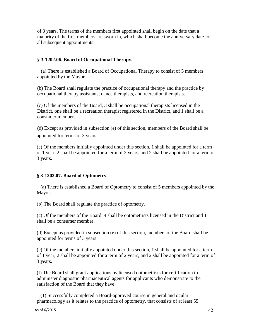of 3 years. The terms of the members first appointed shall begin on the date that a majority of the first members are sworn in, which shall become the anniversary date for all subsequent appointments.

### **§ 3-1202.06. Board of Occupational Therapy.**

(a) There is established a Board of Occupational Therapy to consist of 5 members appointed by the Mayor.

(b) The Board shall regulate the practice of occupational therapy and the practice by occupational therapy assistants, dance therapists, and recreation therapists.

(c) Of the members of the Board, 3 shall be occupational therapists licensed in the District, one shall be a recreation therapist registered in the District, and 1 shall be a consumer member.

(d) Except as provided in subsection (e) of this section, members of the Board shall be appointed for terms of 3 years.

(e) Of the members initially appointed under this section, 1 shall be appointed for a term of 1 year, 2 shall be appointed for a term of 2 years, and 2 shall be appointed for a term of 3 years.

### **§ 3-1202.07. Board of Optometry.**

(a) There is established a Board of Optometry to consist of 5 members appointed by the Mayor.

(b) The Board shall regulate the practice of optometry.

(c) Of the members of the Board, 4 shall be optometrists licensed in the District and 1 shall be a consumer member.

(d) Except as provided in subsection (e) of this section, members of the Board shall be appointed for terms of 3 years.

(e) Of the members initially appointed under this section, 1 shall be appointed for a term of 1 year, 2 shall be appointed for a term of 2 years, and 2 shall be appointed for a term of 3 years.

(f) The Board shall grant applications by licensed optometrists for certification to administer diagnostic pharmaceutical agents for applicants who demonstrate to the satisfaction of the Board that they have:

(1) Successfully completed a Board-approved course in general and ocular pharmacology as it relates to the practice of optometry, that consists of at least 55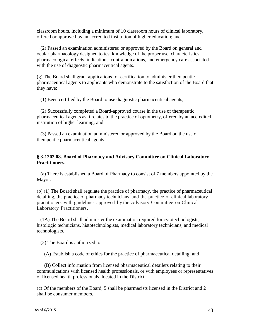classroom hours, including a minimum of 10 classroom hours of clinical laboratory, offered or approved by an accredited institution of higher education; and

(2) Passed an examination administered or approved by the Board on general and ocular pharmacology designed to test knowledge of the proper use, characteristics, pharmacological effects, indications, contraindications, and emergency care associated with the use of diagnostic pharmaceutical agents.

(g) The Board shall grant applications for certification to administer therapeutic pharmaceutical agents to applicants who demonstrate to the satisfaction of the Board that they have:

(1) Been certified by the Board to use diagnostic pharmaceutical agents;

(2) Successfully completed a Board-approved course in the use of therapeutic pharmaceutical agents as it relates to the practice of optometry, offered by an accredited institution of higher learning; and

(3) Passed an examination administered or approved by the Board on the use of therapeutic pharmaceutical agents.

## **§ 3-1202.08. Board of Pharmacy and Advisory Committee on Clinical Laboratory Practitioners.**

(a) There is established a Board of Pharmacy to consist of 7 members appointed by the Mayor.

(b) (1) The Board shall regulate the practice of pharmacy, the practice of pharmaceutical detailing, the practice of pharmacy technicians, and the practice of clinical laboratory practitioners with guidelines approved by the Advisory Committee on Clinical Laboratory Practitioners.

(1A) The Board shall administer the examination required for cytotechnologists, histologic technicians, histotechnologists, medical laboratory technicians, and medical technologists.

(2) The Board is authorized to:

(A) Establish a code of ethics for the practice of pharmaceutical detailing; and

(B) Collect information from licensed pharmaceutical detailers relating to their communications with licensed health professionals, or with employees or representatives of licensed health professionals, located in the District.

(c) Of the members of the Board, 5 shall be pharmacists licensed in the District and 2 shall be consumer members.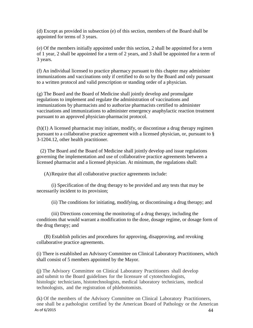(d) Except as provided in subsection (e) of this section, members of the Board shall be appointed for terms of 3 years.

(e) Of the members initially appointed under this section, 2 shall be appointed for a term of 1 year, 2 shall be appointed for a term of 2 years, and 3 shall be appointed for a term of 3 years.

(f) An individual licensed to practice pharmacy pursuant to this chapter may administer immunizations and vaccinations only if certified to do so by the Board and only pursuant to a written protocol and valid prescription or standing order of a physician.

(g) The Board and the Board of Medicine shall jointly develop and promulgate regulations to implement and regulate the administration of vaccinations and immunizations by pharmacists and to authorize pharmacists certified to administer vaccinations and immunizations to administer emergency anaphylactic reaction treatment pursuant to an approved physician-pharmacist protocol.

(h)(1) A licensed pharmacist may initiate, modify, or discontinue a drug therapy regimen pursuant to a collaborative practice agreement with a licensed physician, or, pursuant to § 3-1204.12, other health practitioner.

(2) The Board and the Board of Medicine shall jointly develop and issue regulations governing the implementation and use of collaborative practice agreements between a licensed pharmacist and a licensed physician. At minimum, the regulations shall:

(A)Require that all collaborative practice agreements include:

(i) Specification of the drug therapy to be provided and any tests that may be necessarily incident to its provision;

(ii) The conditions for initiating, modifying, or discontinuing a drug therapy; and

(iii) Directions concerning the monitoring of a drug therapy, including the conditions that would warrant a modification to the dose, dosage regime, or dosage form of the drug therapy; and

(B) Establish policies and procedures for approving, disapproving, and revoking collaborative practice agreements.

(i) There is established an Advisory Committee on Clinical Laboratory Practitioners, which shall consist of 5 members appointed by the Mayor.

(j) The Advisory Committee on Clinical Laboratory Practitioners shall develop and submit to the Board guidelines for the licensure of cytotechnologists, histologic technicians, histotechnologists, medical laboratory technicians, medical technologists, and the registration of phlebotomists.

As of 6/2015  $44$ (k) Of the members of the Advisory Committee on Clinical Laboratory Practitioners, one shall be a pathologist certified by the American Board of Pathology or the American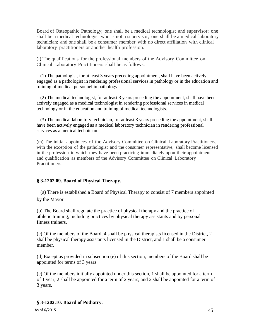Board of Osteopathic Pathology; one shall be a medical technologist and supervisor; one shall be a medical technologist who is not a supervisor; one shall be a medical laboratory technician; and one shall be a consumer member with no direct affiliation with clinical laboratory practitioners or another health profession.

(l) The qualifications for the professional members of the Advisory Committee on Clinical Laboratory Practitioners shall be as follows:

(1) The pathologist, for at least 3 years preceding appointment, shall have been actively engaged as a pathologist in rendering professional services in pathology or in the education and training of medical personnel in pathology.

(2) The medical technologist, for at least 3 years preceding the appointment, shall have been actively engaged as a medical technologist in rendering professional services in medical technology or in the education and training of medical technologists.

(3) The medical laboratory technician, for at least 3 years preceding the appointment, shall have been actively engaged as a medical laboratory technician in rendering professional services as a medical technician.

(m) The initial appointees of the Advisory Committee on Clinical Laboratory Practitioners, with the exception of the pathologist and the consumer representative, shall become licensed in the profession in which they have been practicing immediately upon their appointment and qualification as members of the Advisory Committee on Clinical Laboratory Practitioners.

## **§ 3-1202.09. Board of Physical Therapy.**

(a) There is established a Board of Physical Therapy to consist of 7 members appointed by the Mayor.

(b) The Board shall regulate the practice of physical therapy and the practice of athletic training, including practices by physical therapy assistants and by personal fitness trainers.

(c) Of the members of the Board, 4 shall be physical therapists licensed in the District, 2 shall be physical therapy assistants licensed in the District, and 1 shall be a consumer member.

(d) Except as provided in subsection (e) of this section, members of the Board shall be appointed for terms of 3 years.

(e) Of the members initially appointed under this section, 1 shall be appointed for a term of 1 year, 2 shall be appointed for a term of 2 years, and 2 shall be appointed for a term of 3 years.

## **§ 3-1202.10. Board of Podiatry.**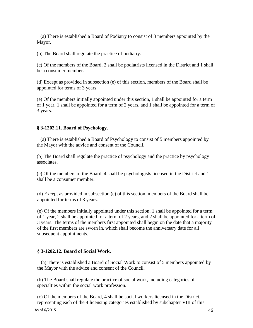(a) There is established a Board of Podiatry to consist of 3 members appointed by the Mayor.

(b) The Board shall regulate the practice of podiatry.

(c) Of the members of the Board, 2 shall be podiatrists licensed in the District and 1 shall be a consumer member.

(d) Except as provided in subsection (e) of this section, members of the Board shall be appointed for terms of 3 years.

(e) Of the members initially appointed under this section, 1 shall be appointed for a term of 1 year, 1 shall be appointed for a term of 2 years, and 1 shall be appointed for a term of 3 years.

## **§ 3-1202.11. Board of Psychology.**

(a) There is established a Board of Psychology to consist of 5 members appointed by the Mayor with the advice and consent of the Council.

(b) The Board shall regulate the practice of psychology and the practice by psychology associates.

(c) Of the members of the Board, 4 shall be psychologists licensed in the District and 1 shall be a consumer member.

(d) Except as provided in subsection (e) of this section, members of the Board shall be appointed for terms of 3 years.

(e) Of the members initially appointed under this section, 1 shall be appointed for a term of 1 year, 2 shall be appointed for a term of 2 years, and 2 shall be appointed for a term of 3 years. The terms of the members first appointed shall begin on the date that a majority of the first members are sworn in, which shall become the anniversary date for all subsequent appointments.

### **§ 3-1202.12. Board of Social Work.**

(a) There is established a Board of Social Work to consist of 5 members appointed by the Mayor with the advice and consent of the Council.

(b) The Board shall regulate the practice of social work, including categories of specialties within the social work profession.

(c) Of the members of the Board, 4 shall be social workers licensed in the District, representing each of the 4 licensing categories established by subchapter VIII of this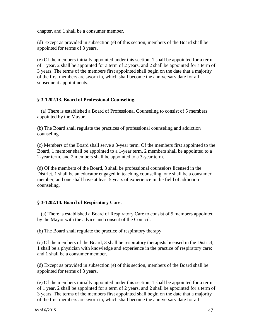chapter, and 1 shall be a consumer member.

(d) Except as provided in subsection (e) of this section, members of the Board shall be appointed for terms of 3 years.

(e) Of the members initially appointed under this section, 1 shall be appointed for a term of 1 year, 2 shall be appointed for a term of 2 years, and 2 shall be appointed for a term of 3 years. The terms of the members first appointed shall begin on the date that a majority of the first members are sworn in, which shall become the anniversary date for all subsequent appointments.

## **§ 3-1202.13. Board of Professional Counseling.**

(a) There is established a Board of Professional Counseling to consist of 5 members appointed by the Mayor.

(b) The Board shall regulate the practices of professional counseling and addiction counseling.

(c) Members of the Board shall serve a 3-year term. Of the members first appointed to the Board, 1 member shall be appointed to a 1-year term, 2 members shall be appointed to a 2-year term, and 2 members shall be appointed to a 3-year term.

(d) Of the members of the Board, 3 shall be professional counselors licensed in the District, 1 shall be an educator engaged in teaching counseling, one shall be a consumer member, and one shall have at least 5 years of experience in the field of addiction counseling.

## **§ 3-1202.14. Board of Respiratory Care.**

(a) There is established a Board of Respiratory Care to consist of 5 members appointed by the Mayor with the advice and consent of the Council.

(b) The Board shall regulate the practice of respiratory therapy.

(c) Of the members of the Board, 3 shall be respiratory therapists licensed in the District; 1 shall be a physician with knowledge and experience in the practice of respiratory care; and 1 shall be a consumer member.

(d) Except as provided in subsection (e) of this section, members of the Board shall be appointed for terms of 3 years.

(e) Of the members initially appointed under this section, 1 shall be appointed for a term of 1 year, 2 shall be appointed for a term of 2 years, and 2 shall be appointed for a term of 3 years. The terms of the members first appointed shall begin on the date that a majority of the first members are sworn in, which shall become the anniversary date for all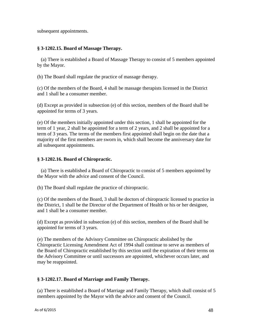subsequent appointments.

## **§ 3-1202.15. Board of Massage Therapy.**

(a) There is established a Board of Massage Therapy to consist of 5 members appointed by the Mayor.

(b) The Board shall regulate the practice of massage therapy.

(c) Of the members of the Board, 4 shall be massage therapists licensed in the District and 1 shall be a consumer member.

(d) Except as provided in subsection (e) of this section, members of the Board shall be appointed for terms of 3 years.

(e) Of the members initially appointed under this section, 1 shall be appointed for the term of 1 year, 2 shall be appointed for a term of 2 years, and 2 shall be appointed for a term of 3 years. The terms of the members first appointed shall begin on the date that a majority of the first members are sworn in, which shall become the anniversary date for all subsequent appointments.

## **§ 3-1202.16. Board of Chiropractic.**

(a) There is established a Board of Chiropractic to consist of 5 members appointed by the Mayor with the advice and consent of the Council.

(b) The Board shall regulate the practice of chiropractic.

(c) Of the members of the Board, 3 shall be doctors of chiropractic licensed to practice in the District, 1 shall be the Director of the Department of Health or his or her designee, and 1 shall be a consumer member.

(d) Except as provided in subsection (e) of this section, members of the Board shall be appointed for terms of 3 years.

(e) The members of the Advisory Committee on Chiropractic abolished by the Chiropractic Licensing Amendment Act of 1994 shall continue to serve as members of the Board of Chiropractic established by this section until the expiration of their terms on the Advisory Committee or until successors are appointed, whichever occurs later, and may be reappointed.

## **§ 3-1202.17. Board of Marriage and Family Therapy.**

(a) There is established a Board of Marriage and Family Therapy, which shall consist of 5 members appointed by the Mayor with the advice and consent of the Council.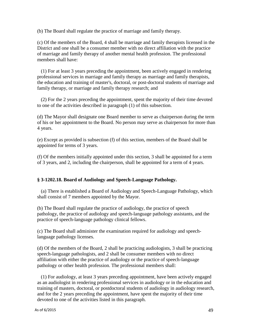(b) The Board shall regulate the practice of marriage and family therapy.

(c) Of the members of the Board, 4 shall be marriage and family therapists licensed in the District and one shall be a consumer member with no direct affiliation with the practice of marriage and family therapy of another mental health profession. The professional members shall have:

(1) For at least 3 years preceding the appointment, been actively engaged in rendering professional services in marriage and family therapy as marriage and family therapists, the education and training of master's, doctoral, or post-doctoral students of marriage and family therapy, or marriage and family therapy research; and

(2) For the 2 years preceding the appointment, spent the majority of their time devoted to one of the activities described in paragraph (1) of this subsection.

(d) The Mayor shall designate one Board member to serve as chairperson during the term of his or her appointment to the Board. No person may serve as chairperson for more than 4 years.

(e) Except as provided is subsection (f) of this section, members of the Board shall be appointed for terms of 3 years.

(f) Of the members initially appointed under this section, 3 shall be appointed for a term of 3 years, and 2, including the chairperson, shall be appointed for a term of 4 years.

## **§ 3-1202.18. Board of Audiology and Speech-Language Pathology.**

(a) There is established a Board of Audiology and Speech-Language Pathology, which shall consist of 7 members appointed by the Mayor.

(b) The Board shall regulate the practice of audiology, the practice of speech pathology, the practice of audiology and speech-language pathology assistants, and the practice of speech-language pathology clinical fellows.

(c) The Board shall administer the examination required for audiology and speechlanguage pathology licenses.

(d) Of the members of the Board, 2 shall be practicing audiologists, 3 shall be practicing speech-language pathologists, and 2 shall be consumer members with no direct affiliation with either the practice of audiology or the practice of speech-language pathology or other health profession. The professional members shall:

(1) For audiology, at least 3 years preceding appointment, have been actively engaged as an audiologist in rendering professional services in audiology or in the education and training of masters, doctoral, or postdoctoral students of audiology in audiology research, and for the 2 years preceding the appointment, have spent the majority of their time devoted to one of the activities listed in this paragraph.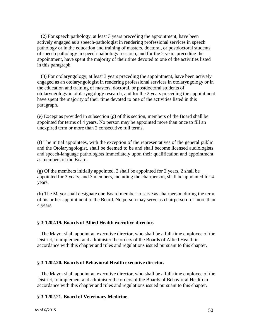(2) For speech pathology, at least 3 years preceding the appointment, have been actively engaged as a speech-pathologist in rendering professional services in speech pathology or in the education and training of masters, doctoral, or postdoctoral students of speech pathology in speech-pathology research, and for the 2 years preceding the appointment, have spent the majority of their time devoted to one of the activities listed in this paragraph.

(3) For otolaryngology, at least 3 years preceding the appointment, have been actively engaged as an otolaryngologist in rendering professional services in otolaryngology or in the education and training of masters, doctoral, or postdoctoral students of otolaryngology in otolaryngology research, and for the 2 years preceding the appointment have spent the majority of their time devoted to one of the activities listed in this paragraph.

(e) Except as provided in subsection (g) of this section, members of the Board shall be appointed for terms of 4 years. No person may be appointed more than once to fill an unexpired term or more than 2 consecutive full terms.

(f) The initial appointees, with the exception of the representatives of the general public and the Otolaryngologist, shall be deemed to be and shall become licensed audiologists and speech-language pathologists immediately upon their qualification and appointment as members of the Board.

(g) Of the members initially appointed, 2 shall be appointed for 2 years, 2 shall be appointed for 3 years, and 3 members, including the chairperson, shall be appointed for 4 years.

(h) The Mayor shall designate one Board member to serve as chairperson during the term of his or her appointment to the Board. No person may serve as chairperson for more than 4 years.

#### **§ 3-1202.19. Boards of Allied Health executive director.**

The Mayor shall appoint an executive director, who shall be a full-time employee of the District, to implement and administer the orders of the Boards of Allied Health in accordance with this chapter and rules and regulations issued pursuant to this chapter.

#### **§ 3-1202.20. Boards of Behavioral Health executive director.**

The Mayor shall appoint an executive director, who shall be a full-time employee of the District, to implement and administer the orders of the Boards of Behavioral Health in accordance with this chapter and rules and regulations issued pursuant to this chapter.

#### **§ 3-1202.21. Board of Veterinary Medicine.**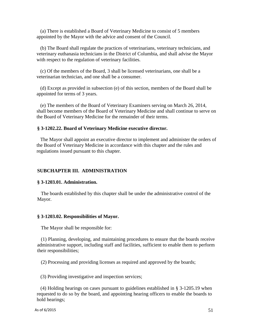(a) There is established a Board of Veterinary Medicine to consist of 5 members appointed by the Mayor with the advice and consent of the Council.

(b) The Board shall regulate the practices of veterinarians, veterinary technicians, and veterinary euthanasia technicians in the District of Columbia, and shall advise the Mayor with respect to the regulation of veterinary facilities.

(c) Of the members of the Board, 3 shall be licensed veterinarians, one shall be a veterinarian technician, and one shall be a consumer.

(d) Except as provided in subsection (e) of this section, members of the Board shall be appointed for terms of 3 years.

(e) The members of the Board of Veterinary Examiners serving on March 26, 2014, shall become members of the Board of Veterinary Medicine and shall continue to serve on the Board of Veterinary Medicine for the remainder of their terms.

### **§ 3-1202.22. Board of Veterinary Medicine executive director.**

The Mayor shall appoint an executive director to implement and administer the orders of the Board of Veterinary Medicine in accordance with this chapter and the rules and regulations issued pursuant to this chapter.

### **SUBCHAPTER III. ADMINISTRATION**

#### **§ 3-1203.01. Administration.**

The boards established by this chapter shall be under the administrative control of the Mayor.

#### **§ 3-1203.02. Responsibilities of Mayor.**

The Mayor shall be responsible for:

(1) Planning, developing, and maintaining procedures to ensure that the boards receive administrative support, including staff and facilities, sufficient to enable them to perform their responsibilities;

(2) Processing and providing licenses as required and approved by the boards;

(3) Providing investigative and inspection services;

(4) Holding hearings on cases pursuant to guidelines established in § 3-1205.19 when requested to do so by the board, and appointing hearing officers to enable the boards to hold hearings;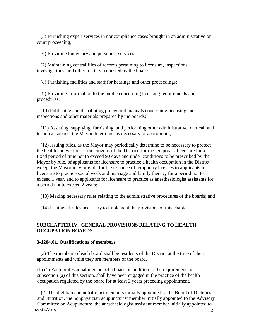(5) Furnishing expert services in noncompliance cases brought in an administrative or court proceeding;

(6) Providing budgetary and personnel services;

(7) Maintaining central files of records pertaining to licensure, inspections, investigations, and other matters requested by the boards;

(8) Furnishing facilities and staff for hearings and other proceedings;

(9) Providing information to the public concerning licensing requirements and procedures;

(10) Publishing and distributing procedural manuals concerning licensing and inspections and other materials prepared by the boards;

(11) Assisting, supplying, furnishing, and performing other administrative, clerical, and technical support the Mayor determines is necessary or appropriate;

(12) Issuing rules, as the Mayor may periodically determine to be necessary to protect the health and welfare of the citizens of the District, for the temporary licensure for a fixed period of time not to exceed 90 days and under conditions to be prescribed by the Mayor by rule, of applicants for licensure to practice a health occupation in the District, except the Mayor may provide for the issuance of temporary licenses to applicants for licensure to practice social work and marriage and family therapy for a period not to exceed 1 year, and to applicants for licensure to practice as anesthesiologist assistants for a period not to exceed 2 years;

(13) Making necessary rules relating to the administrative procedures of the boards; and

(14) Issuing all rules necessary to implement the provisions of this chapter.

## **SUBCHAPTER IV. GENERAL PROVISIONS RELATING TO HEALTH OCCUPATION BOARDS**

#### **3-1204.01. Qualifications of members.**

(a) The members of each board shall be residents of the District at the time of their appointments and while they are members of the board.

(b) (1) Each professional member of a board, in addition to the requirements of subsection (a) of this section, shall have been engaged in the practice of the health occupation regulated by the board for at least 3 years preceding appointment.

As of 6/2015  $52$ (2) The dietitian and nutritionist members initially appointed to the Board of Dietetics and Nutrition, the nonphysician acupuncturist member initially appointed to the Advisory Committee on Acupuncture, the anesthesiologist assistant member initially appointed to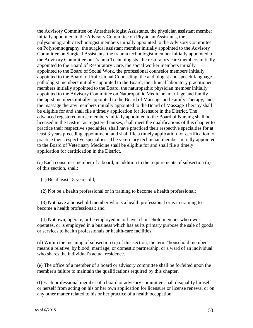the Advisory Committee on Anesthesiologist Assistants, the physician assistant member initially appointed to the Advisory Committee on Physician Assistants, the polysomnographic technologist members initially appointed to the Advisory Committee on Polysomnography, the surgical assistant member initially appointed to the Advisory Committee on Surgical Assistants, the trauma technologist member initially appointed to the Advisory Committee on Trauma Technologists, the respiratory care members initially appointed to the Board of Respiratory Care, the social worker members initially appointed to the Board of Social Work, the professional counselor members initially appointed to the Board of Professional Counseling, the audiologist and speech-language pathologist members initially appointed to the Board, the clinical laboratory practitioner members initially appointed to the Board, the naturopathic physician member initially appointed to the Advisory Committee on Naturopathic Medicine, marriage and family therapist members initially appointed to the Board of Marriage and Family Therapy, and the massage therapy members initially appointed to the Board of Massage Therapy shall be eligible for and shall file a timely application for licensure in the District. The advanced registered nurse members initially appointed to the Board of Nursing shall be licensed in the District as registered nurses, shall meet the qualifications of this chapter to practice their respective specialties, shall have practiced their respective specialties for at least 3 years preceding appointment, and shall file a timely application for certification to practice their respective specialties. The veterinary technician member initially appointed to the Board of Veterinary Medicine shall be eligible for and shall file a timely application for certification in the District.

(c) Each consumer member of a board, in addition to the requirements of subsection (a) of this section, shall:

(1) Be at least 18 years old;

(2) Not be a health professional or in training to become a health professional;

(3) Not have a household member who is a health professional or is in training to become a health professional; and

(4) Not own, operate, or be employed in or have a household member who owns, operates, or is employed in a business which has as its primary purpose the sale of goods or services to health professionals or health-care facilities.

(d) Within the meaning of subsection (c) of this section, the term "household member" means a relative, by blood, marriage, or domestic partnership, or a ward of an individual who shares the individual's actual residence.

(e) The office of a member of a board or advisory committee shall be forfeited upon the member's failure to maintain the qualifications required by this chapter.

(f) Each professional member of a board or advisory committee shall disqualify himself or herself from acting on his or her own application for licensure or license renewal or on any other matter related to his or her practice of a health occupation.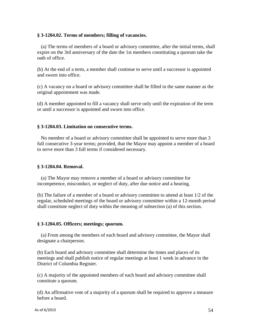### **§ 3-1204.02. Terms of members; filling of vacancies.**

(a) The terms of members of a board or advisory committee, after the initial terms, shall expire on the 3rd anniversary of the date the 1st members constituting a quorum take the oath of office.

(b) At the end of a term, a member shall continue to serve until a successor is appointed and sworn into office.

(c) A vacancy on a board or advisory committee shall be filled in the same manner as the original appointment was made.

(d) A member appointed to fill a vacancy shall serve only until the expiration of the term or until a successor is appointed and sworn into office.

### **§ 3-1204.03. Limitation on consecutive terms.**

No member of a board or advisory committee shall be appointed to serve more than 3 full consecutive 3-year terms; provided, that the Mayor may appoint a member of a board to serve more than 3 full terms if considered necessary.

#### **§ 3-1204.04. Removal.**

(a) The Mayor may remove a member of a board or advisory committee for incompetence, misconduct, or neglect of duty, after due notice and a hearing.

(b) The failure of a member of a board or advisory committee to attend at least 1/2 of the regular, scheduled meetings of the board or advisory committee within a 12-month period shall constitute neglect of duty within the meaning of subsection (a) of this section.

#### **§ 3-1204.05. Officers; meetings; quorum.**

(a) From among the members of each board and advisory committee, the Mayor shall designate a chairperson.

(b) Each board and advisory committee shall determine the times and places of its meetings and shall publish notice of regular meetings at least 1 week in advance in the District of Columbia Register.

(c) A majority of the appointed members of each board and advisory committee shall constitute a quorum.

(d) An affirmative vote of a majority of a quorum shall be required to approve a measure before a board.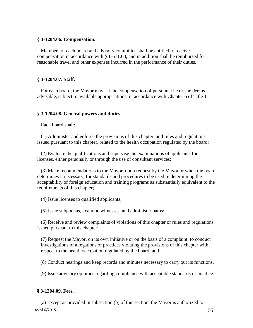#### **§ 3-1204.06. Compensation.**

Members of each board and advisory committee shall be entitled to receive compensation in accordance with § 1-611.08, and in addition shall be reimbursed for reasonable travel and other expenses incurred in the performance of their duties.

### **§ 3-1204.07. Staff.**

For each board, the Mayor may set the compensation of personnel he or she deems advisable, subject to available appropriations, in accordance with Chapter 6 of Title 1.

### **§ 3-1204.08. General powers and duties.**

Each board shall:

(1) Administer and enforce the provisions of this chapter, and rules and regulations issued pursuant to this chapter, related to the health occupation regulated by the board;

(2) Evaluate the qualifications and supervise the examinations of applicants for licenses, either personally or through the use of consultant services;

(3) Make recommendations to the Mayor, upon request by the Mayor or when the board determines it necessary, for standards and procedures to be used in determining the acceptability of foreign education and training programs as substantially equivalent to the requirements of this chapter;

(4) Issue licenses to qualified applicants;

(5) Issue subpoenas, examine witnesses, and administer oaths;

(6) Receive and review complaints of violations of this chapter or rules and regulations issued pursuant to this chapter;

(7) Request the Mayor, on its own initiative or on the basis of a complaint, to conduct investigations of allegations of practices violating the provisions of this chapter with respect to the health occupation regulated by the board; and

(8) Conduct hearings and keep records and minutes necessary to carry out its functions.

(9) Issue advisory opinions regarding compliance with acceptable standards of practice.

### **§ 3-1204.09. Fees.**

As of  $6/2015$  55 (a) Except as provided in subsection (b) of this section, the Mayor is authorized to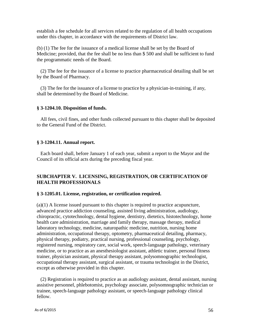establish a fee schedule for all services related to the regulation of all health occupations under this chapter, in accordance with the requirements of District law.

(b) (1) The fee for the issuance of a medical license shall be set by the Board of Medicine; provided, that the fee shall be no less than \$ 500 and shall be sufficient to fund the programmatic needs of the Board.

(2) The fee for the issuance of a license to practice pharmaceutical detailing shall be set by the Board of Pharmacy.

(3) The fee for the issuance of a license to practice by a physician-in-training, if any, shall be determined by the Board of Medicine.

## **§ 3-1204.10. Disposition of funds.**

All fees, civil fines, and other funds collected pursuant to this chapter shall be deposited to the General Fund of the District.

## **§ 3-1204.11. Annual report.**

Each board shall, before January 1 of each year, submit a report to the Mayor and the Council of its official acts during the preceding fiscal year.

## **SUBCHAPTER V. LICENSING, REGISTRATION, OR CERTIFICATION OF HEALTH PROFESSIONALS**

### **§ 3-1205.01. License, registration, or certification required.**

(a)(1) A license issued pursuant to this chapter is required to practice acupuncture, advanced practice addiction counseling, assisted living administration, audiology, chiropractic, cytotechnology, dental hygiene, dentistry, dietetics, histotechnology, home health care administration, marriage and family therapy, massage therapy, medical laboratory technology, medicine, naturopathic medicine, nutrition, nursing home administration, occupational therapy, optometry, pharmaceutical detailing, pharmacy, physical therapy, podiatry, practical nursing, professional counseling, psychology, registered nursing, respiratory care, social work, speech-language pathology, veterinary medicine, or to practice as an anesthesiologist assistant, athletic trainer, personal fitness trainer, physician assistant, physical therapy assistant, polysomnographic technologist, occupational therapy assistant, surgical assistant, or trauma technologist in the District, except as otherwise provided in this chapter.

(2) Registration is required to practice as an audiology assistant, dental assistant, nursing assistive personnel, phlebotomist, psychology associate, polysomnographic technician or trainee, speech-language pathology assistant, or speech-language pathology clinical fellow.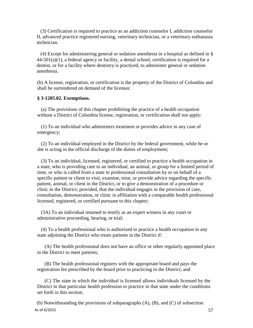(3) Certification is required to practice as an addiction counselor I, addiction counselor II, advanced practice registered nursing, veterinary technician, or a veterinary euthanasia technician.

(4) Except for administering general or sedation anesthesia in a hospital as defined in §  $44-501(a)(1)$ , a federal agency or facility, a dental school, certification is required for a dentist, or for a facility where dentistry is practiced, to administer general or sedation anesthesia.

(b) A license, registration, or certification is the property of the District of Columbia and shall be surrendered on demand of the licensor.

#### **§ 3-1205.02. Exemptions.**

(a) The provisions of this chapter prohibiting the practice of a health occupation without a District of Columbia license, registration, or certification shall not apply:

(1) To an individual who administers treatment or provides advice in any case of emergency;

(2) To an individual employed in the District by the federal government, while he or she is acting in the official discharge of the duties of employment;

(3) To an individual, licensed, registered, or certified to practice a health occupation in a state, who is providing care to an individual, an animal, or group for a limited period of time, or who is called from a state in professional consultation by or on behalf of a specific patient or client to visit, examine, treat, or provide advice regarding the specific patient, animal, or client in the District, or to give a demonstration of a procedure or clinic in the District; provided, that the individual engages in the provision of care, consultation, demonstration, or clinic in affiliation with a comparable health professional licensed, registered, or certified pursuant to this chapter;

(3A) To an individual retained to testify as an expert witness in any court or administrative proceeding, hearing, or trial;

(4) To a health professional who is authorized to practice a health occupation in any state adjoining the District who treats patients in the District if:

(A) The health professional does not have an office or other regularly appointed place in the District to meet patients;

(B) The health professional registers with the appropriate board and pays the registration fee prescribed by the board prior to practicing in the District; and

(C) The state in which the individual is licensed allows individuals licensed by the District in that particular health profession to practice in that state under the conditions set forth in this section.

As of  $6/2015$  57 (b) Notwithstanding the provisions of subparagraphs (A), (B), and (C) of subsection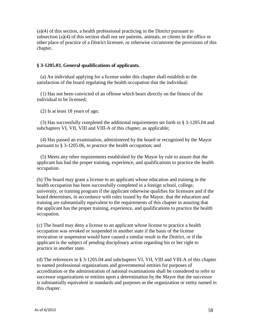(a)(4) of this section, a health professional practicing in the District pursuant to subsection (a)(4) of this section shall not see patients, animals, or clients in the office or other place of practice of a District licensee, or otherwise circumvent the provisions of this chapter.

## **§ 3-1205.03. General qualifications of applicants.**

(a) An individual applying for a license under this chapter shall establish to the satisfaction of the board regulating the health occupation that the individual:

(1) Has not been convicted of an offense which bears directly on the fitness of the individual to be licensed;

(2) Is at least 18 years of age;

(3) Has successfully completed the additional requirements set forth in § 3-1205.04 and subchapters VI, VII, VIII and VIII-A of this chapter, as applicable;

(4) Has passed an examination, administered by the board or recognized by the Mayor pursuant to § 3-1205.06, to practice the health occupation; and

(5) Meets any other requirements established by the Mayor by rule to assure that the applicant has had the proper training, experience, and qualifications to practice the health occupation.

(b) The board may grant a license to an applicant whose education and training in the health occupation has been successfully completed in a foreign school, college, university, or training program if the applicant otherwise qualifies for licensure and if the board determines, in accordance with rules issued by the Mayor, that the education and training are substantially equivalent to the requirements of this chapter in assuring that the applicant has the proper training, experience, and qualifications to practice the health occupation.

(c) The board may deny a license to an applicant whose license to practice a health occupation was revoked or suspended in another state if the basis of the license revocation or suspension would have caused a similar result in the District, or if the applicant is the subject of pending disciplinary action regarding his or her right to practice in another state.

(d) The references in § 3-1205.04 and subchapters VI, VII, VIII and VIII-A of this chapter to named professional organizations and governmental entities for purposes of accreditation or the administration of national examinations shall be considered to refer to successor organizations or entities upon a determination by the Mayor that the successor is substantially equivalent in standards and purposes as the organization or entity named in this chapter.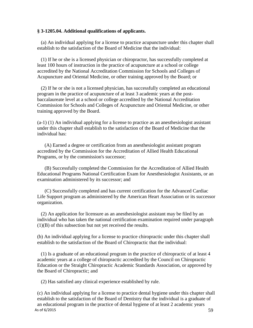### **§ 3-1205.04. Additional qualifications of applicants.**

(a) An individual applying for a license to practice acupuncture under this chapter shall establish to the satisfaction of the Board of Medicine that the individual:

(1) If he or she is a licensed physician or chiropractor, has successfully completed at least 100 hours of instruction in the practice of acupuncture at a school or college accredited by the National Accreditation Commission for Schools and Colleges of Acupuncture and Oriental Medicine, or other training approved by the Board; or

(2) If he or she is not a licensed physician, has successfully completed an educational program in the practice of acupuncture of at least 3 academic years at the postbaccalaureate level at a school or college accredited by the National Accreditation Commission for Schools and Colleges of Acupuncture and Oriental Medicine, or other training approved by the Board.

(a-1) (1) An individual applying for a license to practice as an anesthesiologist assistant under this chapter shall establish to the satisfaction of the Board of Medicine that the individual has:

(A) Earned a degree or certification from an anesthesiologist assistant program accredited by the Commission for the Accreditation of Allied Health Educational Programs, or by the commission's successor;

(B) Successfully completed the Commission for the Accreditation of Allied Health Educational Programs National Certification Exam for Anesthesiologist Assistants, or an examination administered by its successor; and

(C) Successfully completed and has current certification for the Advanced Cardiac Life Support program as administered by the American Heart Association or its successor organization.

(2) An application for licensure as an anesthesiologist assistant may be filed by an individual who has taken the national certification examination required under paragraph (1)(B) of this subsection but not yet received the results.

(b) An individual applying for a license to practice chiropractic under this chapter shall establish to the satisfaction of the Board of Chiropractic that the individual:

(1) Is a graduate of an educational program in the practice of chiropractic of at least 4 academic years at a college of chiropractic accredited by the Council on Chiropractic Education or the Straight Chiropractic Academic Standards Association, or approved by the Board of Chiropractic; and

(2) Has satisfied any clinical experience established by rule.

As of  $6/2015$  59 (c) An individual applying for a license to practice dental hygiene under this chapter shall establish to the satisfaction of the Board of Dentistry that the individual is a graduate of an educational program in the practice of dental hygiene of at least 2 academic years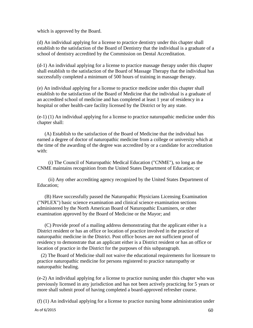which is approved by the Board.

(d) An individual applying for a license to practice dentistry under this chapter shall establish to the satisfaction of the Board of Dentistry that the individual is a graduate of a school of dentistry accredited by the Commission on Dental Accreditation.

(d-1) An individual applying for a license to practice massage therapy under this chapter shall establish to the satisfaction of the Board of Massage Therapy that the individual has successfully completed a minimum of 500 hours of training in massage therapy.

(e) An individual applying for a license to practice medicine under this chapter shall establish to the satisfaction of the Board of Medicine that the individual is a graduate of an accredited school of medicine and has completed at least 1 year of residency in a hospital or other health-care facility licensed by the District or by any state.

(e-1) (1) An individual applying for a license to practice naturopathic medicine under this chapter shall:

(A) Establish to the satisfaction of the Board of Medicine that the individual has earned a degree of doctor of naturopathic medicine from a college or university which at the time of the awarding of the degree was accredited by or a candidate for accreditation with:

(i) The Council of Naturopathic Medical Education ("CNME"), so long as the CNME maintains recognition from the United States Department of Education; or

(ii) Any other accrediting agency recognized by the United States Department of Education;

(B) Have successfully passed the Naturopathic Physicians Licensing Examination ("NPLEX") basic science examination and clinical science examination sections administered by the North American Board of Naturopathic Examiners, or other examination approved by the Board of Medicine or the Mayor; and

(C) Provide proof of a mailing address demonstrating that the applicant either is a District resident or has an office or location of practice involved in the practice of naturopathic medicine in the District. Post office boxes are not sufficient proof of residency to demonstrate that an applicant either is a District resident or has an office or location of practice in the District for the purposes of this subparagraph.

(2) The Board of Medicine shall not waive the educational requirements for licensure to practice naturopathic medicine for persons registered to practice naturopathy or naturopathic healing.

(e-2) An individual applying for a license to practice nursing under this chapter who was previously licensed in any jurisdiction and has not been actively practicing for 5 years or more shall submit proof of having completed a board-approved refresher course.

(f) (1) An individual applying for a license to practice nursing home administration under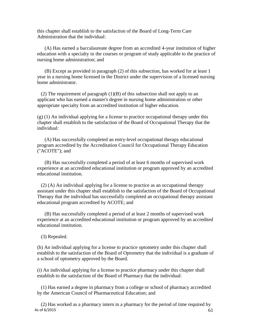this chapter shall establish to the satisfaction of the Board of Long-Term Care Administration that the individual:

(A) Has earned a baccalaureate degree from an accredited 4-year institution of higher education with a specialty in the courses or program of study applicable to the practice of nursing home administration; and

(B) Except as provided in paragraph (2) of this subsection, has worked for at least 1 year in a nursing home licensed in the District under the supervision of a licensed nursing home administrator.

(2) The requirement of paragraph  $(1)(B)$  of this subsection shall not apply to an applicant who has earned a master's degree in nursing home administration or other appropriate specialty from an accredited institution of higher education.

 $(g)$  (1) An individual applying for a license to practice occupational therapy under this chapter shall establish to the satisfaction of the Board of Occupational Therapy that the individual:

(A) Has successfully completed an entry-level occupational therapy educational program accredited by the Accreditation Council for Occupational Therapy Education ("ACOTE"); and

(B) Has successfully completed a period of at least 6 months of supervised work experience at an accredited educational institution or program approved by an accredited educational institution.

(2) (A) An individual applying for a license to practice as an occupational therapy assistant under this chapter shall establish to the satisfaction of the Board of Occupational Therapy that the individual has successfully completed an occupational therapy assistant educational program accredited by ACOTE; and

(B) Has successfully completed a period of at least 2 months of supervised work experience at an accredited educational institution or program approved by an accredited educational institution.

(3) Repealed.

(h) An individual applying for a license to practice optometry under this chapter shall establish to the satisfaction of the Board of Optometry that the individual is a graduate of a school of optometry approved by the Board.

(i) An individual applying for a license to practice pharmacy under this chapter shall establish to the satisfaction of the Board of Pharmacy that the individual:

(1) Has earned a degree in pharmacy from a college or school of pharmacy accredited by the American Council of Pharmaceutical Education; and

As of  $6/2015$  61 (2) Has worked as a pharmacy intern in a pharmacy for the period of time required by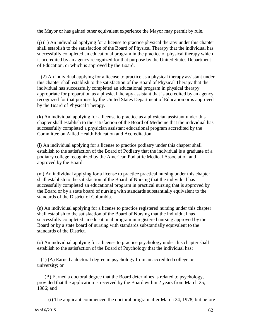the Mayor or has gained other equivalent experience the Mayor may permit by rule.

(j) (1) An individual applying for a license to practice physical therapy under this chapter shall establish to the satisfaction of the Board of Physical Therapy that the individual has successfully completed an educational program in the practice of physical therapy which is accredited by an agency recognized for that purpose by the United States Department of Education, or which is approved by the Board.

(2) An individual applying for a license to practice as a physical therapy assistant under this chapter shall establish to the satisfaction of the Board of Physical Therapy that the individual has successfully completed an educational program in physical therapy appropriate for preparation as a physical therapy assistant that is accredited by an agency recognized for that purpose by the United States Department of Education or is approved by the Board of Physical Therapy.

(k) An individual applying for a license to practice as a physician assistant under this chapter shall establish to the satisfaction of the Board of Medicine that the individual has successfully completed a physician assistant educational program accredited by the Committee on Allied Health Education and Accreditation.

(l) An individual applying for a license to practice podiatry under this chapter shall establish to the satisfaction of the Board of Podiatry that the individual is a graduate of a podiatry college recognized by the American Podiatric Medical Association and approved by the Board.

(m) An individual applying for a license to practice practical nursing under this chapter shall establish to the satisfaction of the Board of Nursing that the individual has successfully completed an educational program in practical nursing that is approved by the Board or by a state board of nursing with standards substantially equivalent to the standards of the District of Columbia.

(n) An individual applying for a license to practice registered nursing under this chapter shall establish to the satisfaction of the Board of Nursing that the individual has successfully completed an educational program in registered nursing approved by the Board or by a state board of nursing with standards substantially equivalent to the standards of the District.

(o) An individual applying for a license to practice psychology under this chapter shall establish to the satisfaction of the Board of Psychology that the individual has:

(1) (A) Earned a doctoral degree in psychology from an accredited college or university; or

(B) Earned a doctoral degree that the Board determines is related to psychology, provided that the application is received by the Board within 2 years from March 25, 1986; and

(i) The applicant commenced the doctoral program after March 24, 1978, but before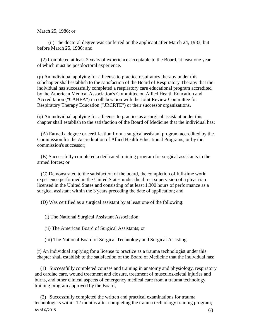March 25, 1986; or

(ii) The doctoral degree was conferred on the applicant after March 24, 1983, but before March 25, 1986; and

(2) Completed at least 2 years of experience acceptable to the Board, at least one year of which must be postdoctoral experience.

(p) An individual applying for a license to practice respiratory therapy under this subchapter shall establish to the satisfaction of the Board of Respiratory Therapy that the individual has successfully completed a respiratory care educational program accredited by the American Medical Association's Committee on Allied Health Education and Accreditation ("CAHEA") in collaboration with the Joint Review Committee for Respiratory Therapy Education ("JRCRTE") or their successor organizations.

(q) An individual applying for a license to practice as a surgical assistant under this chapter shall establish to the satisfaction of the Board of Medicine that the individual has:

(A) Earned a degree or certification from a surgical assistant program accredited by the Commission for the Accreditation of Allied Health Educational Programs, or by the commission's successor;

(B) Successfully completed a dedicated training program for surgical assistants in the armed forces; or

(C) Demonstrated to the satisfaction of the board, the completion of full-time work experience performed in the United States under the direct supervision of a physician licensed in the United States and consisting of at least 1,300 hours of performance as a surgical assistant within the 3 years preceding the date of application; and

(D) Was certified as a surgical assistant by at least one of the following:

(i) The National Surgical Assistant Association;

(ii) The American Board of Surgical Assistants; or

(iii) The National Board of Surgical Technology and Surgical Assisting.

(r) An individual applying for a license to practice as a trauma technologist under this chapter shall establish to the satisfaction of the Board of Medicine that the individual has:

(1) Successfully completed courses and training in anatomy and physiology, respiratory and cardiac care, wound treatment and closure, treatment of musculoskeletal injuries and burns, and other clinical aspects of emergency medical care from a trauma technology training program approved by the Board;

As of  $6/2015$  63 (2) Successfully completed the written and practical examinations for trauma technologists within 12 months after completing the trauma technology training program;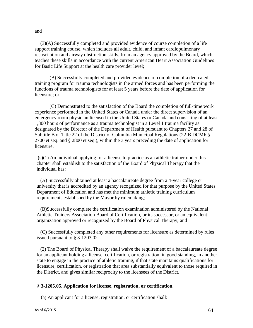and

(3)(A) Successfully completed and provided evidence of course completion of a life support training course, which includes all adult, child, and infant cardiopulmonary resuscitation and airway obstruction skills, from an agency approved by the Board, which teaches these skills in accordance with the current American Heart Association Guidelines for Basic Life Support at the health care provider level;

(B) Successfully completed and provided evidence of completion of a dedicated training program for trauma technologists in the armed forces and has been performing the functions of trauma technologists for at least 5 years before the date of application for licensure; or

(C) Demonstrated to the satisfaction of the Board the completion of full-time work experience performed in the United States or Canada under the direct supervision of an emergency room physician licensed in the United States or Canada and consisting of at least 1,300 hours of performance as a trauma technologist in a Level 1 trauma facility as designated by the Director of the Department of Health pursuant to Chapters 27 and 28 of Subtitle B of Title 22 of the District of Columbia Municipal Regulations (22-B DCMR § 2700 et seq. and § 2800 et seq.), within the 3 years preceding the date of application for licensure.

(s)(1) An individual applying for a license to practice as an athletic trainer under this chapter shall establish to the satisfaction of the Board of Physical Therapy that the individual has:

(A) Successfully obtained at least a baccalaureate degree from a 4-year college or university that is accredited by an agency recognized for that purpose by the United States Department of Education and has met the minimum athletic training curriculum requirements established by the Mayor by rulemaking;

(B)Successfully complete the certification examination administered by the National Athletic Trainers Association Board of Certification, or its successor, or an equivalent organization approved or recognized by the Board of Physical Therapy; and

(C) Successfully completed any other requirements for licensure as determined by rules issued pursuant to § 3-1203.02.

(2) The Board of Physical Therapy shall waive the requirement of a baccalaureate degree for an applicant holding a license, certification, or registration, in good standing, in another state to engage in the practice of athletic training, if that state maintains qualifications for licensure, certification, or registration that area substantially equivalent to those required in the District, and gives similar reciprocity to the licensees of the District.

### **§ 3-1205.05. Application for license, registration, or certification.**

(a) An applicant for a license, registration, or certification shall: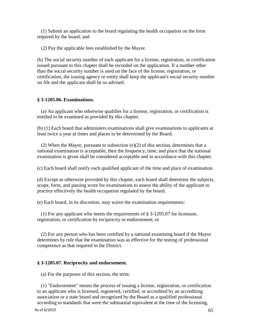(1) Submit an application to the board regulating the health occupation on the form required by the board; and

(2) Pay the applicable fees established by the Mayor.

(b) The social security number of each applicant for a license, registration, or certification issued pursuant to this chapter shall be recorded on the application. If a number other than the social security number is used on the face of the license, registration, or certification, the issuing agency or entity shall keep the applicant's social security number on file and the applicant shall be so advised.

### **§ 3-1205.06. Examinations.**

(a) An applicant who otherwise qualifies for a license, registration, or certification is entitled to be examined as provided by this chapter.

(b) (1) Each board that administers examinations shall give examinations to applicants at least twice a year at times and places to be determined by the Board.

(2) When the Mayor, pursuant to subsection (e)(2) of this section, determines that a national examination is acceptable, then the frequency, time, and place that the national examination is given shall be considered acceptable and in accordance with this chapter.

(c) Each board shall notify each qualified applicant of the time and place of examination.

(d) Except as otherwise provided by this chapter, each board shall determine the subjects, scope, form, and passing score for examinations to assess the ability of the applicant to practice effectively the health occupation regulated by the board.

(e) Each board, in its discretion, may waive the examination requirements:

(1) For any applicant who meets the requirements of § 3-1205.07 for licensure, registration, or certification by reciprocity or endorsement; or

(2) For any person who has been certified by a national examining board if the Mayor determines by rule that the examination was as effective for the testing of professional competence as that required in the District.

### **§ 3-1205.07. Reciprocity and endorsement.**

(a) For the purposes of this section, the term:

(1) "Endorsement" means the process of issuing a license, registration, or certification to an applicant who is licensed, registered, certified, or accredited by an accrediting association or a state board and recognized by the Board as a qualified professional according to standards that were the substantial equivalent at the time of the licensing,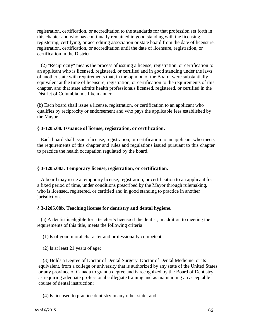registration, certification, or accreditation to the standards for that profession set forth in this chapter and who has continually remained in good standing with the licensing, registering, certifying, or accrediting association or state board from the date of licensure, registration, certification, or accreditation until the date of licensure, registration, or certification in the District.

(2) "Reciprocity" means the process of issuing a license, registration, or certification to an applicant who is licensed, registered, or certified and in good standing under the laws of another state with requirements that, in the opinion of the Board, were substantially equivalent at the time of licensure, registration, or certification to the requirements of this chapter, and that state admits health professionals licensed, registered, or certified in the District of Columbia in a like manner.

(b) Each board shall issue a license, registration, or certification to an applicant who qualifies by reciprocity or endorsement and who pays the applicable fees established by the Mayor.

#### **§ 3-1205.08. Issuance of license, registration, or certification.**

Each board shall issue a license, registration, or certification to an applicant who meets the requirements of this chapter and rules and regulations issued pursuant to this chapter to practice the health occupation regulated by the board.

#### **§ 3-1205.08a. Temporary license, registration, or certification.**

A board may issue a temporary license, registration, or certification to an applicant for a fixed period of time, under conditions prescribed by the Mayor through rulemaking, who is licensed, registered, or certified and in good standing to practice in another jurisdiction.

#### **§ 3-1205.08b. Teaching license for dentistry and dental hygiene.**

(a) A dentist is eligible for a teacher's license if the dentist, in addition to meeting the requirements of this title, meets the following criteria:

(1) Is of good moral character and professionally competent;

(2) Is at least 21 years of age;

(3) Holds a Degree of Doctor of Dental Surgery, Doctor of Dental Medicine, or its equivalent, from a college or university that is authorized by any state of the United States or any province of Canada to grant a degree and is recognized by the Board of Dentistry as requiring adequate professional collegiate training and as maintaining an acceptable course of dental instruction;

(4) Is licensed to practice dentistry in any other state; and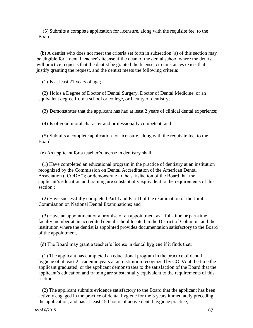(5) Submits a complete application for licensure, along with the requisite fee, to the Board.

(b) A dentist who does not meet the criteria set forth in subsection (a) of this section may be eligible for a dental teacher's license if the dean of the dental school where the dentist will practice requests that the dentist be granted the license, circumstances exists that justify granting the request, and the dentist meets the following criteria:

(1) Is at least 21 years of age;

(2) Holds a Degree of Doctor of Dental Surgery, Doctor of Dental Medicine, or an equivalent degree from a school or college, or faculty of dentistry;

(3) Demonstrates that the applicant has had at least 2 years of clinical dental experience;

(4) Is of good moral character and professionally competent; and

(5) Submits a complete application for licensure, along with the requisite fee, to the Board.

(c) An applicant for a teacher's license in dentistry shall:

(1) Have completed an educational program in the practice of dentistry at an institution recognized by the Commission on Dental Accreditation of the American Dental Association ("CODA"); or demonstrate to the satisfaction of the Board that the applicant's education and training are substantially equivalent to the requirements of this section ;

(2) Have successfully completed Part I and Part II of the examination of the Joint Commission on National Dental Examinations; and

(3) Have an appointment or a promise of an appointment as a full-time or part-time faculty member at an accredited dental school located in the District of Columbia and the institution where the dentist is appointed provides documentation satisfactory to the Board of the appointment.

(d) The Board may grant a teacher's license in dental hygiene if it finds that:

(1) The applicant has completed an educational program in the practice of dental hygiene of at least 2 academic years at an institution recognized by CODA at the time the applicant graduated; or the applicant demonstrates to the satisfaction of the Board that the applicant's education and training are substantially equivalent to the requirements of this section;

(2) The applicant submits evidence satisfactory to the Board that the applicant has been actively engaged in the practice of dental hygiene for the 3 years immediately preceding the application, and has at least 150 hours of active dental hygiene practice;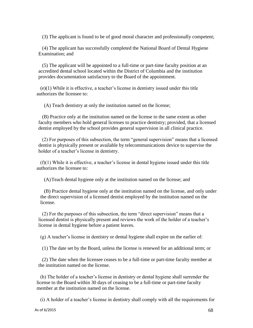(3) The applicant is found to be of good moral character and professionally competent;

(4) The applicant has successfully completed the National Board of Dental Hygiene Examination; and

(5) The applicant will be appointed to a full-time or part-time faculty position at an accredited dental school located within the District of Columbia and the institution provides documentation satisfactory to the Board of the appointment.

(e)(1) While it is effective, a teacher's license in dentistry issued under this title authorizes the licensee to:

(A) Teach dentistry at only the institution named on the license;

(B) Practice only at the institution named on the license to the same extent as other faculty members who hold general licenses to practice dentistry; provided, that a licensed dentist employed by the school provides general supervision in all clinical practice.

(2) For purposes of this subsection, the term "general supervision" means that a licensed dentist is physically present or available by telecommunications device to supervise the holder of a teacher's license in dentistry.

(f)(1) While it is effective, a teacher's license in dental hygiene issued under this title authorizes the licensee to:

(A)Teach dental hygiene only at the institution named on the license; and

(B) Practice dental hygiene only at the institution named on the license, and only under the direct supervision of a licensed dentist employed by the institution named on the license.

(2) For the purposes of this subsection, the term "direct supervision" means that a licensed dentist is physically present and reviews the work of the holder of a teacher's license in dental hygiene before a patient leaves.

(g) A teacher's license in dentistry or dental hygiene shall expire on the earlier of:

(1) The date set by the Board, unless the license is renewed for an additional term; or

(2) The date when the licensee ceases to be a full-time or part-time faculty member at the institution named on the license.

(h) The holder of a teacher's license in dentistry or dental hygiene shall surrender the license to the Board within 30 days of ceasing to be a full-time or part-time faculty member at the institution named on the license.

(i) A holder of a teacher's license in dentistry shall comply with all the requirements for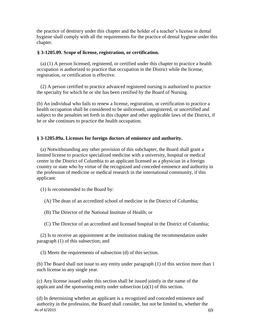the practice of dentistry under this chapter and the holder of a teacher's license in dental hygiene shall comply with all the requirements for the practice of dental hygiene under this chapter.

### **§ 3-1205.09. Scope of license, registration, or certification.**

(a) (1) A person licensed, registered, or certified under this chapter to practice a health occupation is authorized to practice that occupation in the District while the license, registration, or certification is effective.

(2) A person certified to practice advanced registered nursing is authorized to practice the specialty for which he or she has been certified by the Board of Nursing.

(b) An individual who fails to renew a license, registration, or certification to practice a health occupation shall be considered to be unlicensed, unregistered, or uncertified and subject to the penalties set forth in this chapter and other applicable laws of the District, if he or she continues to practice the health occupation.

## **§ 3-1205.09a. Licenses for foreign doctors of eminence and authority.**

(a) Notwithstanding any other provision of this subchapter, the Board shall grant a limited license to practice specialized medicine with a university, hospital or medical center in the District of Columbia to an applicant licensed as a physician in a foreign country or state who by virtue of the recognized and conceded eminence and authority in the profession of medicine or medical research in the international community, if this applicant:

(1) Is recommended to the Board by:

(A) The dean of an accredited school of medicine in the District of Columbia;

(B) The Director of the National Institute of Health; or

(C) The Director of an accredited and licensed hospital in the District of Columbia;

(2) Is to receive an appointment at the institution making the recommendation under paragraph (1) of this subsection; and

(3) Meets the requirements of subsection (d) of this section.

(b) The Board shall not issue to any entity under paragraph (1) of this section more than 1 such license in any single year.

(c) Any license issued under this section shall be issued jointly in the name of the applicant and the sponsoring entity under subsection (a)(1) of this section.

As of  $6/2015$  69 (d) In determining whether an applicant is a recognized and conceded eminence and authority in the profession, the Board shall consider, but not be limited to, whether the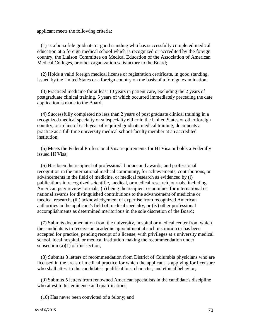applicant meets the following criteria:

(1) Is a bona fide graduate in good standing who has successfully completed medical education at a foreign medical school which is recognized or accredited by the foreign country, the Liaison Committee on Medical Education of the Association of American Medical Colleges, or other organization satisfactory to the Board;

(2) Holds a valid foreign medical license or registration certificate, in good standing, issued by the United States or a foreign country on the basis of a foreign examination;

(3) Practiced medicine for at least 10 years in patient care, excluding the 2 years of postgraduate clinical training, 5 years of which occurred immediately preceding the date application is made to the Board;

(4) Successfully completed no less than 2 years of post graduate clinical training in a recognized medical specialty or subspecialty either in the United States or other foreign country, or in lieu of each year of required graduate medical training, documents a practice as a full time university medical school faculty member at an accredited institution;

(5) Meets the Federal Professional Visa requirements for HI Visa or holds a Federally issued HI Visa;

(6) Has been the recipient of professional honors and awards, and professional recognition in the international medical community, for achievements, contributions, or advancements in the field of medicine, or medical research as evidenced by (i) publications in recognized scientific, medical, or medical research journals, including American peer review journals, (ii) being the recipient or nominee for international or national awards for distinguished contributions to the advancement of medicine or medical research, (iii) acknowledgement of expertise from recognized American authorities in the applicant's field of medical specialty, or (iv) other professional accomplishments as determined meritorious in the sole discretion of the Board;

(7) Submits documentation from the university, hospital or medical center from which the candidate is to receive an academic appointment at such institution or has been accepted for practice, pending receipt of a license, with privileges at a university medical school, local hospital, or medical institution making the recommendation under subsection (a)(1) of this section;

(8) Submits 3 letters of recommendation from District of Columbia physicians who are licensed in the areas of medical practice for which the applicant is applying for licensure who shall attest to the candidate's qualifications, character, and ethical behavior;

(9) Submits 5 letters from renowned American specialists in the candidate's discipline who attest to his eminence and qualifications;

(10) Has never been convicted of a felony; and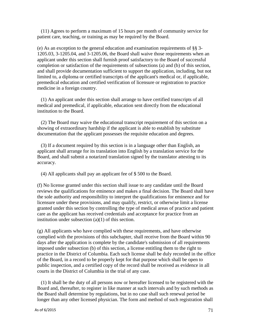(11) Agrees to perform a maximum of 15 hours per month of community service for patient care, teaching, or training as may be required by the Board.

(e) As an exception to the general education and examination requirements of §§ 3- 1205.03, 3-1205.04, and 3-1205.06, the Board shall waive those requirements when an applicant under this section shall furnish proof satisfactory to the Board of successful completion or satisfaction of the requirements of subsections (a) and (b) of this section, and shall provide documentation sufficient to support the application, including, but not limited to, a diploma or certified transcripts of the applicant's medical or, if applicable, premedical education and certified verification of licensure or registration to practice medicine in a foreign country.

(1) An applicant under this section shall arrange to have certified transcripts of all medical and premedical, if applicable, education sent directly from the educational institution to the Board.

(2) The Board may waive the educational transcript requirement of this section on a showing of extraordinary hardship if the applicant is able to establish by substitute documentation that the applicant possesses the requisite education and degrees.

(3) If a document required by this section is in a language other than English, an applicant shall arrange for its translation into English by a translation service for the Board, and shall submit a notarized translation signed by the translator attesting to its accuracy.

(4) All applicants shall pay an applicant fee of \$ 500 to the Board.

(f) No license granted under this section shall issue to any candidate until the Board reviews the qualifications for eminence and makes a final decision. The Board shall have the sole authority and responsibility to interpret the qualifications for eminence and for licensure under these provisions, and may qualify, restrict, or otherwise limit a license granted under this section by controlling the type of medical areas of practice and patient care as the applicant has received credentials and acceptance for practice from an institution under subsection (a)(1) of this section.

(g) All applicants who have complied with these requirements, and have otherwise complied with the provisions of this subchapter, shall receive from the Board within 90 days after the application is complete by the candidate's submission of all requirements imposed under subsection (b) of this section, a license entitling them to the right to practice in the District of Columbia. Each such license shall be duly recorded in the office of the Board, in a record to be properly kept for that purpose which shall be open to public inspection, and a certified copy of the record shall be received as evidence in all courts in the District of Columbia in the trial of any case.

(1) It shall be the duty of all persons now or hereafter licensed to be registered with the Board and, thereafter, to register in like manner at such intervals and by such methods as the Board shall determine by regulations, but in no case shall such renewal period be longer than any other licensed physician. The form and method of such registration shall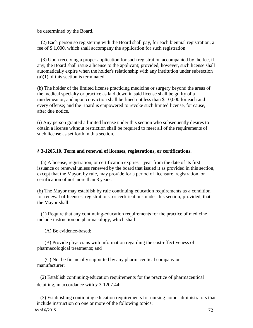be determined by the Board.

(2) Each person so registering with the Board shall pay, for each biennial registration, a fee of \$ 1,000, which shall accompany the application for such registration.

(3) Upon receiving a proper application for such registration accompanied by the fee, if any, the Board shall issue a license to the applicant; provided, however, such license shall automatically expire when the holder's relationship with any institution under subsection (a)(1) of this section is terminated.

(h) The holder of the limited license practicing medicine or surgery beyond the areas of the medical specialty or practice as laid down in said license shall be guilty of a misdemeanor, and upon conviction shall be fined not less than \$ 10,000 for each and every offense; and the Board is empowered to revoke such limited license, for cause, after due notice.

(i) Any person granted a limited license under this section who subsequently desires to obtain a license without restriction shall be required to meet all of the requirements of such license as set forth in this section.

#### **§ 3-1205.10. Term and renewal of licenses, registrations, or certifications.**

(a) A license, registration, or certification expires 1 year from the date of its first issuance or renewal unless renewed by the board that issued it as provided in this section, except that the Mayor, by rule, may provide for a period of licensure, registration, or certification of not more than 3 years.

(b) The Mayor may establish by rule continuing education requirements as a condition for renewal of licenses, registrations, or certifications under this section; provided, that the Mayor shall:

(1) Require that any continuing-education requirements for the practice of medicine include instruction on pharmacology, which shall:

(A) Be evidence-based;

(B) Provide physicians with information regarding the cost-effectiveness of pharmacological treatments; and

(C) Not be financially supported by any pharmaceutical company or manufacturer;

(2) Establish continuing-education requirements for the practice of pharmaceutical detailing, in accordance with § 3-1207.44;

(3) Establishing continuing education requirements for nursing home administrators that include instruction on one or more of the following topics: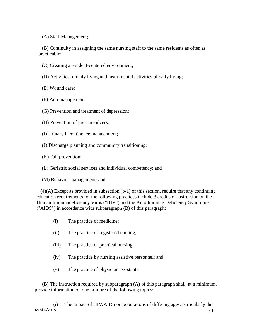(A) Staff Management;

(B) Continuity in assigning the same nursing staff to the same residents as often as practicable;

- (C) Creating a resident-centered environment;
- (D) Activities of daily living and instrumental activities of daily living;

(E) Wound care;

- (F) Pain management;
- (G) Prevention and treatment of depression;
- (H) Prevention of pressure ulcers;
- (I) Urinary incontinence management;
- (J) Discharge planning and community transitioning;
- (K) Fall prevention;
- (L) Geriatric social services and individual competency; and
- (M) Behavior management; and

(4)(A) Except as provided in subsection (b-1) of this section, require that any continuing education requirements for the following practices include 3 credits of instruction on the Human Immunodeficiency Virus ("HIV") and the Auto Immune Deficiency Syndrome ("AIDS") in accordance with subparagraph (B) of this paragraph:

- (i) The practice of medicine;
- (ii) The practice of registered nursing;
- (iii) The practice of practical nursing;
- (iv) The practice by nursing assistive personnel; and
- (v) The practice of physician assistants.

(B) The instruction required by subparagraph (A) of this paragraph shall, at a minimum, provide information on one or more of the following topics: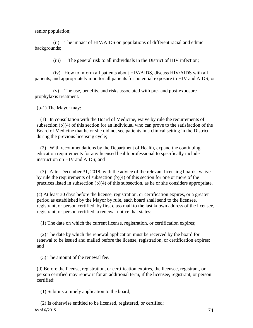senior population;

(ii) The impact of HIV/AIDS on populations of different racial and ethnic backgrounds;

(iii) The general risk to all individuals in the District of HIV infection;

(iv) How to inform all patients about HIV/AIDS, discuss HIV/AIDS with all patients, and appropriately monitor all patients for potential exposure to HIV and AIDS; or

(v) The use, benefits, and risks associated with pre- and post-exposure prophylaxis treatment.

(b-1) The Mayor may:

(1) In consultation with the Board of Medicine, waive by rule the requirements of subsection (b)(4) of this section for an individual who can prove to the satisfaction of the Board of Medicine that he or she did not see patients in a clinical setting in the District during the previous licensing cycle;

(2) With recommendations by the Department of Health, expand the continuing education requirements for any licensed health professional to specifically include instruction on HIV and AIDS; and

(3) After December 31, 2018, with the advice of the relevant licensing boards, waive by rule the requirements of subsection (b)(4) of this section for one or more of the practices listed in subsection (b)(4) of this subsection, as he or she considers appropriate.

(c) At least 30 days before the license, registration, or certification expires, or a greater period as established by the Mayor by rule, each board shall send to the licensee, registrant, or person certified, by first class mail to the last known address of the licensee, registrant, or person certified, a renewal notice that states:

(1) The date on which the current license, registration, or certification expires;

(2) The date by which the renewal application must be received by the board for renewal to be issued and mailed before the license, registration, or certification expires; and

(3) The amount of the renewal fee.

(d) Before the license, registration, or certification expires, the licensee, registrant, or person certified may renew it for an additional term, if the licensee, registrant, or person certified:

(1) Submits a timely application to the board;

As of 6/2015  $\sqrt{74}$ (2) Is otherwise entitled to be licensed, registered, or certified;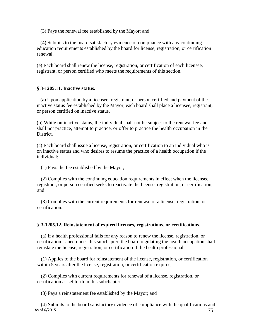(3) Pays the renewal fee established by the Mayor; and

(4) Submits to the board satisfactory evidence of compliance with any continuing education requirements established by the board for license, registration, or certification renewal.

(e) Each board shall renew the license, registration, or certification of each licensee, registrant, or person certified who meets the requirements of this section.

### **§ 3-1205.11. Inactive status.**

(a) Upon application by a licensee, registrant, or person certified and payment of the inactive status fee established by the Mayor, each board shall place a licensee, registrant, or person certified on inactive status.

(b) While on inactive status, the individual shall not be subject to the renewal fee and shall not practice, attempt to practice, or offer to practice the health occupation in the District.

(c) Each board shall issue a license, registration, or certification to an individual who is on inactive status and who desires to resume the practice of a health occupation if the individual:

(1) Pays the fee established by the Mayor;

(2) Complies with the continuing education requirements in effect when the licensee, registrant, or person certified seeks to reactivate the license, registration, or certification; and

(3) Complies with the current requirements for renewal of a license, registration, or certification.

### **§ 3-1205.12. Reinstatement of expired licenses, registrations, or certifications.**

(a) If a health professional fails for any reason to renew the license, registration, or certification issued under this subchapter, the board regulating the health occupation shall reinstate the license, registration, or certification if the health professional:

(1) Applies to the board for reinstatement of the license, registration, or certification within 5 years after the license, registration, or certification expires;

(2) Complies with current requirements for renewal of a license, registration, or certification as set forth in this subchapter;

(3) Pays a reinstatement fee established by the Mayor; and

As of 6/2015  $\sqrt{75}$ (4) Submits to the board satisfactory evidence of compliance with the qualifications and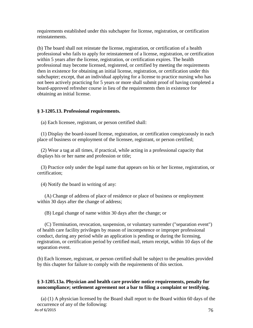requirements established under this subchapter for license, registration, or certification reinstatements.

(b) The board shall not reinstate the license, registration, or certification of a health professional who fails to apply for reinstatement of a license, registration, or certification within 5 years after the license, registration, or certification expires. The health professional may become licensed, registered, or certified by meeting the requirements then in existence for obtaining an initial license, registration, or certification under this subchapter; except, that an individual applying for a license to practice nursing who has not been actively practicing for 5 years or more shall submit proof of having completed a board-approved refresher course in lieu of the requirements then in existence for obtaining an initial license.

### **§ 3-1205.13. Professional requirements.**

(a) Each licensee, registrant, or person certified shall:

(1) Display the board-issued license, registration, or certification conspicuously in each place of business or employment of the licensee, registrant, or person certified;

(2) Wear a tag at all times, if practical, while acting in a professional capacity that displays his or her name and profession or title;

(3) Practice only under the legal name that appears on his or her license, registration, or certification;

(4) Notify the board in writing of any:

(A) Change of address of place of residence or place of business or employment within 30 days after the change of address;

(B) Legal change of name within 30 days after the change; or

(C) Termination, revocation, suspension, or voluntary surrender ("separation event") of health care facility privileges by reason of incompetence or improper professional conduct, during any period while an application is pending or during the licensing, registration, or certification period by certified mail, return receipt, within 10 days of the separation event.

(b) Each licensee, registrant, or person certified shall be subject to the penalties provided by this chapter for failure to comply with the requirements of this section.

# **§ 3-1205.13a. Physician and health care provider notice requirements, penalty for noncompliance; settlement agreement not a bar to filing a complaint or testifying.**

As of 6/2015  $\sqrt{76}$ (a) (1) A physician licensed by the Board shall report to the Board within 60 days of the occurrence of any of the following: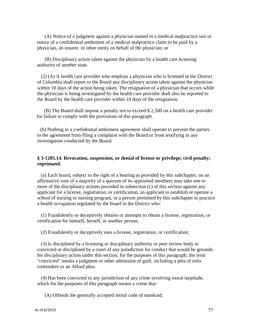(A) Notice of a judgment against a physician named in a medical malpractice suit or notice of a confidential settlement of a medical malpractice claim to be paid by a physician, an insurer, or other entity on behalf of the physician; or

(B) Disciplinary action taken against the physician by a health care licensing authority of another state.

(2) (A) A health care provider who employs a physician who is licensed in the District of Columbia shall report to the Board any disciplinary action taken against the physician within 10 days of the action being taken. The resignation of a physician that occurs while the physician is being investigated by the health care provider shall also be reported to the Board by the health care provider within 10 days of the resignation.

(B) The Board shall impose a penalty not to exceed \$ 2,500 on a health care provider for failure to comply with the provisions of this paragraph.

(b) Nothing in a confidential settlement agreement shall operate to prevent the parties to the agreement from filing a complaint with the Board or from testifying in any investigation conducted by the Board.

### **§ 3-1205.14. Revocation, suspension, or denial of license or privilege; civil penalty; reprimand.**

(a) Each board, subject to the right of a hearing as provided by this subchapter, on an affirmative vote of a majority of a quorum of its appointed members may take one or more of the disciplinary actions provided in subsection (c) of this section against any applicant for a license, registration, or certification, an applicant to establish or operate a school of nursing or nursing program, or a person permitted by this subchapter to practice a health occupation regulated by the board in the District who:

(1) Fraudulently or deceptively obtains or attempts to obtain a license, registration, or certification for himself, herself, or another person;

(2) Fraudulently or deceptively uses a license, registration, or certification;

(3) Is disciplined by a licensing or disciplinary authority or peer review body or convicted or disciplined by a court of any jurisdiction for conduct that would be grounds for disciplinary action under this section; for the purposes of this paragraph, the term "convicted" means a judgment or other admission of guilt, including a plea of nolo contendere or an Alford plea;

(4) Has been convicted in any jurisdiction of any crime involving moral turpitude, which for the purposes of this paragraph means a crime that:

(A) Offends the generally accepted moral code of mankind;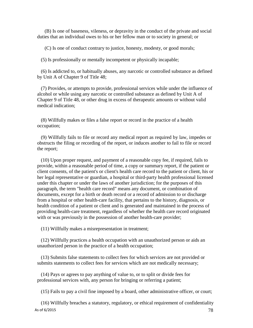(B) Is one of baseness, vileness, or depravity in the conduct of the private and social duties that an individual owes to his or her fellow man or to society in general; or

(C) Is one of conduct contrary to justice, honesty, modesty, or good morals;

(5) Is professionally or mentally incompetent or physically incapable;

(6) Is addicted to, or habitually abuses, any narcotic or controlled substance as defined by Unit A of Chapter 9 of Title 48;

(7) Provides, or attempts to provide, professional services while under the influence of alcohol or while using any narcotic or controlled substance as defined by Unit A of Chapter 9 of Title 48, or other drug in excess of therapeutic amounts or without valid medical indication;

(8) Willfully makes or files a false report or record in the practice of a health occupation;

(9) Willfully fails to file or record any medical report as required by law, impedes or obstructs the filing or recording of the report, or induces another to fail to file or record the report;

(10) Upon proper request, and payment of a reasonable copy fee, if required, fails to provide, within a reasonable period of time, a copy or summary report, if the patient or client consents, of the patient's or client's health care record to the patient or client, his or her legal representative or guardian, a hospital or third-party health professional licensed under this chapter or under the laws of another jurisdiction; for the purposes of this paragraph, the term "health care record" means any document, or combination of documents, except for a birth or death record or a record of admission to or discharge from a hospital or other health-care facility, that pertains to the history, diagnosis, or health condition of a patient or client and is generated and maintained in the process of providing health-care treatment, regardless of whether the health care record originated with or was previously in the possession of another health-care provider;

(11) Willfully makes a misrepresentation in treatment;

(12) Willfully practices a health occupation with an unauthorized person or aids an unauthorized person in the practice of a health occupation;

(13) Submits false statements to collect fees for which services are not provided or submits statements to collect fees for services which are not medically necessary;

(14) Pays or agrees to pay anything of value to, or to split or divide fees for professional services with, any person for bringing or referring a patient;

(15) Fails to pay a civil fine imposed by a board, other administrative officer, or court;

As of 6/2015  $78$ (16) Willfully breaches a statutory, regulatory, or ethical requirement of confidentiality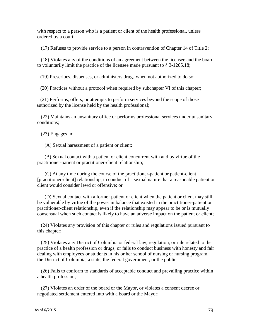with respect to a person who is a patient or client of the health professional, unless ordered by a court;

(17) Refuses to provide service to a person in contravention of Chapter 14 of Title 2;

(18) Violates any of the conditions of an agreement between the licensee and the board to voluntarily limit the practice of the licensee made pursuant to § 3-1205.18;

(19) Prescribes, dispenses, or administers drugs when not authorized to do so;

(20) Practices without a protocol when required by subchapter VI of this chapter;

(21) Performs, offers, or attempts to perform services beyond the scope of those authorized by the license held by the health professional;

(22) Maintains an unsanitary office or performs professional services under unsanitary conditions;

(23) Engages in:

(A) Sexual harassment of a patient or client;

(B) Sexual contact with a patient or client concurrent with and by virtue of the practitioner-patient or practitioner-client relationship;

(C) At any time during the course of the practitioner-patient or patient-client [practitioner-client] relationship, in conduct of a sexual nature that a reasonable patient or client would consider lewd or offensive; or

(D) Sexual contact with a former patient or client when the patient or client may still be vulnerable by virtue of the power imbalance that existed in the practitioner-patient or practitioner-client relationship, even if the relationship may appear to be or is mutually consensual when such contact is likely to have an adverse impact on the patient or client;

(24) Violates any provision of this chapter or rules and regulations issued pursuant to this chapter;

(25) Violates any District of Columbia or federal law, regulation, or rule related to the practice of a health profession or drugs, or fails to conduct business with honesty and fair dealing with employees or students in his or her school of nursing or nursing program, the District of Columbia, a state, the federal government, or the public;

(26) Fails to conform to standards of acceptable conduct and prevailing practice within a health profession;

(27) Violates an order of the board or the Mayor, or violates a consent decree or negotiated settlement entered into with a board or the Mayor;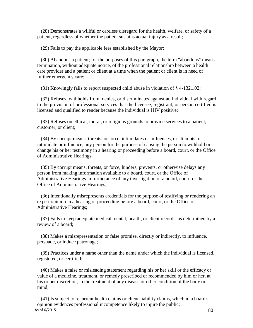(28) Demonstrates a willful or careless disregard for the health, welfare, or safety of a patient, regardless of whether the patient sustains actual injury as a result;

(29) Fails to pay the applicable fees established by the Mayor;

(30) Abandons a patient; for the purposes of this paragraph, the term "abandons" means termination, without adequate notice, of the professional relationship between a health care provider and a patient or client at a time when the patient or client is in need of further emergency care;

(31) Knowingly fails to report suspected child abuse in violation of § 4-1321.02;

(32) Refuses, withholds from, denies, or discriminates against an individual with regard to the provision of professional services that the licensee, registrant, or person certified is licensed and qualified to render because the individual is HIV positive;

(33) Refuses on ethical, moral, or religious grounds to provide services to a patient, customer, or client;

(34) By corrupt means, threats, or force, intimidates or influences, or attempts to intimidate or influence, any person for the purpose of causing the person to withhold or change his or her testimony in a hearing or proceeding before a board, court, or the Office of Administrative Hearings;

(35) By corrupt means, threats, or force, hinders, prevents, or otherwise delays any person from making information available to a board, court, or the Office of Administrative Hearings in furtherance of any investigation of a board, court, or the Office of Administrative Hearings;

(36) Intentionally misrepresents credentials for the purpose of testifying or rendering an expert opinion in a hearing or proceeding before a board, court, or the Office of Administrative Hearings;

(37) Fails to keep adequate medical, dental, health, or client records, as determined by a review of a board;

(38) Makes a misrepresentation or false promise, directly or indirectly, to influence, persuade, or induce patronage;

(39) Practices under a name other than the name under which the individual is licensed, registered, or certified;

(40) Makes a false or misleading statement regarding his or her skill or the efficacy or value of a medicine, treatment, or remedy prescribed or recommended by him or her, at his or her discretion, in the treatment of any disease or other condition of the body or mind;

As of 6/2015  $80$ (41) Is subject to recurrent health claims or client-liability claims, which in a board's opinion evidences professional incompetence likely to injure the public;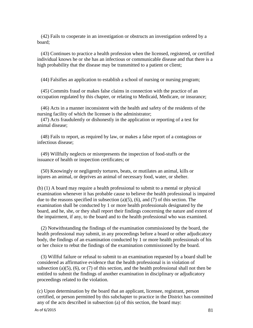(42) Fails to cooperate in an investigation or obstructs an investigation ordered by a board;

(43) Continues to practice a health profession when the licensed, registered, or certified individual knows he or she has an infectious or communicable disease and that there is a high probability that the disease may be transmitted to a patient or client;

(44) Falsifies an application to establish a school of nursing or nursing program;

(45) Commits fraud or makes false claims in connection with the practice of an occupation regulated by this chapter, or relating to Medicaid, Medicare, or insurance;

(46) Acts in a manner inconsistent with the health and safety of the residents of the nursing facility of which the licensee is the administrator;

(47) Acts fraudulently or dishonestly in the application or reporting of a test for animal disease;

(48) Fails to report, as required by law, or makes a false report of a contagious or infectious disease;

(49) Willfully neglects or misrepresents the inspection of food-stuffs or the issuance of health or inspection certificates; or

(50) Knowingly or negligently tortures, beats, or mutilates an animal, kills or injures an animal, or deprives an animal of necessary food, water, or shelter.

(b) (1) A board may require a health professional to submit to a mental or physical examination whenever it has probable cause to believe the health professional is impaired due to the reasons specified in subsection  $(a)(5)$ ,  $(6)$ , and  $(7)$  of this section. The examination shall be conducted by 1 or more health professionals designated by the board, and he, she, or they shall report their findings concerning the nature and extent of the impairment, if any, to the board and to the health professional who was examined.

(2) Notwithstanding the findings of the examination commissioned by the board, the health professional may submit, in any proceedings before a board or other adjudicatory body, the findings of an examination conducted by 1 or more health professionals of his or her choice to rebut the findings of the examination commissioned by the board.

(3) Willful failure or refusal to submit to an examination requested by a board shall be considered as affirmative evidence that the health professional is in violation of subsection (a)(5), (6), or (7) of this section, and the health professional shall not then be entitled to submit the findings of another examination in disciplinary or adjudicatory proceedings related to the violation.

(c) Upon determination by the board that an applicant, licensee, registrant, person certified, or person permitted by this subchapter to practice in the District has committed any of the acts described in subsection (a) of this section, the board may: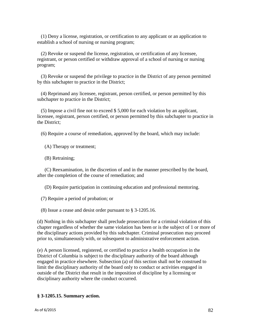(1) Deny a license, registration, or certification to any applicant or an application to establish a school of nursing or nursing program;

(2) Revoke or suspend the license, registration, or certification of any licensee, registrant, or person certified or withdraw approval of a school of nursing or nursing program;

(3) Revoke or suspend the privilege to practice in the District of any person permitted by this subchapter to practice in the District;

(4) Reprimand any licensee, registrant, person certified, or person permitted by this subchapter to practice in the District;

(5) Impose a civil fine not to exceed \$ 5,000 for each violation by an applicant, licensee, registrant, person certified, or person permitted by this subchapter to practice in the District;

(6) Require a course of remediation, approved by the board, which may include:

(A) Therapy or treatment;

(B) Retraining;

(C) Reexamination, in the discretion of and in the manner prescribed by the board, after the completion of the course of remediation; and

(D) Require participation in continuing education and professional mentoring.

(7) Require a period of probation; or

(8) Issue a cease and desist order pursuant to § 3-1205.16.

(d) Nothing in this subchapter shall preclude prosecution for a criminal violation of this chapter regardless of whether the same violation has been or is the subject of 1 or more of the disciplinary actions provided by this subchapter. Criminal prosecution may proceed prior to, simultaneously with, or subsequent to administrative enforcement action.

(e) A person licensed, registered, or certified to practice a health occupation in the District of Columbia is subject to the disciplinary authority of the board although engaged in practice elsewhere. Subsection (a) of this section shall not be construed to limit the disciplinary authority of the board only to conduct or activities engaged in outside of the District that result in the imposition of discipline by a licensing or disciplinary authority where the conduct occurred.

# **§ 3-1205.15. Summary action.**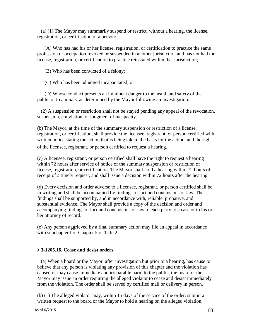(a) (1) The Mayor may summarily suspend or restrict, without a hearing, the license, registration, or certification of a person:

(A) Who has had his or her license, registration, or certification to practice the same profession or occupation revoked or suspended in another jurisdiction and has not had the license, registration, or certification to practice reinstated within that jurisdiction;

(B) Who has been convicted of a felony;

(C) Who has been adjudged incapacitated; or

(D) Whose conduct presents an imminent danger to the health and safety of the public or to animals, as determined by the Mayor following an investigation.

(2) A suspension or restriction shall not be stayed pending any appeal of the revocation, suspension, conviction, or judgment of incapacity.

(b) The Mayor, at the time of the summary suspension or restriction of a license, registration, or certification, shall provide the licensee, registrant, or person certified with written notice stating the action that is being taken, the basis for the action, and the right of the licensee, registrant, or person certified to request a hearing.

(c) A licensee, registrant, or person certified shall have the right to request a hearing within 72 hours after service of notice of the summary suspension or restriction of license, registration, or certification. The Mayor shall hold a hearing within 72 hours of receipt of a timely request, and shall issue a decision within 72 hours after the hearing.

(d) Every decision and order adverse to a licensee, registrant, or person certified shall be in writing and shall be accompanied by findings of fact and conclusions of law. The findings shall be supported by, and in accordance with, reliable, probative, and substantial evidence. The Mayor shall provide a copy of the decision and order and accompanying findings of fact and conclusions of law to each party to a case or to his or her attorney of record.

(e) Any person aggrieved by a final summary action may file an appeal in accordance with subchapter I of Chapter 5 of Title 2.

### **§ 3-1205.16. Cease and desist orders.**

(a) When a board or the Mayor, after investigation but prior to a hearing, has cause to believe that any person is violating any provision of this chapter and the violation has caused or may cause immediate and irreparable harm to the public, the board or the Mayor may issue an order requiring the alleged violator to cease and desist immediately from the violation. The order shall be served by certified mail or delivery in person.

(b) (1) The alleged violator may, within 15 days of the service of the order, submit a written request to the board or the Mayor to hold a hearing on the alleged violation.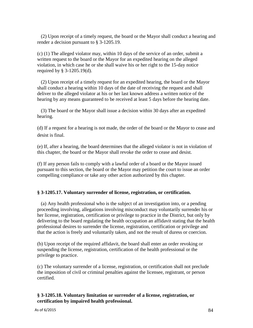(2) Upon receipt of a timely request, the board or the Mayor shall conduct a hearing and render a decision pursuant to § 3-1205.19.

(c) (1) The alleged violator may, within 10 days of the service of an order, submit a written request to the board or the Mayor for an expedited hearing on the alleged violation, in which case he or she shall waive his or her right to the 15-day notice required by § 3-1205.19(d).

(2) Upon receipt of a timely request for an expedited hearing, the board or the Mayor shall conduct a hearing within 10 days of the date of receiving the request and shall deliver to the alleged violator at his or her last known address a written notice of the hearing by any means guaranteed to be received at least 5 days before the hearing date.

(3) The board or the Mayor shall issue a decision within 30 days after an expedited hearing.

(d) If a request for a hearing is not made, the order of the board or the Mayor to cease and desist is final.

(e) If, after a hearing, the board determines that the alleged violator is not in violation of this chapter, the board or the Mayor shall revoke the order to cease and desist.

(f) If any person fails to comply with a lawful order of a board or the Mayor issued pursuant to this section, the board or the Mayor may petition the court to issue an order compelling compliance or take any other action authorized by this chapter.

# **§ 3-1205.17. Voluntary surrender of license, registration, or certification.**

(a) Any health professional who is the subject of an investigation into, or a pending proceeding involving, allegations involving misconduct may voluntarily surrender his or her license, registration, certification or privilege to practice in the District, but only by delivering to the board regulating the health occupation an affidavit stating that the health professional desires to surrender the license, registration, certification or privilege and that the action is freely and voluntarily taken, and not the result of duress or coercion.

(b) Upon receipt of the required affidavit, the board shall enter an order revoking or suspending the license, registration, certification of the health professional or the privilege to practice.

(c) The voluntary surrender of a license, registration, or certification shall not preclude the imposition of civil or criminal penalties against the licensee, registrant, or person certified.

### **§ 3-1205.18. Voluntary limitation or surrender of a license, registration, or certification by impaired health professional.**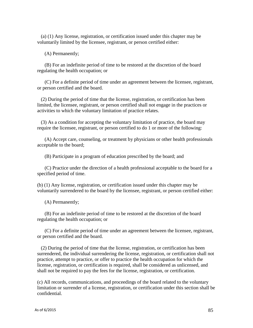(a) (1) Any license, registration, or certification issued under this chapter may be voluntarily limited by the licensee, registrant, or person certified either:

(A) Permanently;

(B) For an indefinite period of time to be restored at the discretion of the board regulating the health occupation; or

(C) For a definite period of time under an agreement between the licensee, registrant, or person certified and the board.

(2) During the period of time that the license, registration, or certification has been limited, the licensee, registrant, or person certified shall not engage in the practices or activities to which the voluntary limitation of practice relates.

(3) As a condition for accepting the voluntary limitation of practice, the board may require the licensee, registrant, or person certified to do 1 or more of the following:

(A) Accept care, counseling, or treatment by physicians or other health professionals acceptable to the board;

(B) Participate in a program of education prescribed by the board; and

(C) Practice under the direction of a health professional acceptable to the board for a specified period of time.

(b) (1) Any license, registration, or certification issued under this chapter may be voluntarily surrendered to the board by the licensee, registrant, or person certified either:

(A) Permanently;

(B) For an indefinite period of time to be restored at the discretion of the board regulating the health occupation; or

(C) For a definite period of time under an agreement between the licensee, registrant, or person certified and the board.

(2) During the period of time that the license, registration, or certification has been surrendered, the individual surrendering the license, registration, or certification shall not practice, attempt to practice, or offer to practice the health occupation for which the license, registration, or certification is required, shall be considered as unlicensed, and shall not be required to pay the fees for the license, registration, or certification.

(c) All records, communications, and proceedings of the board related to the voluntary limitation or surrender of a license, registration, or certification under this section shall be confidential.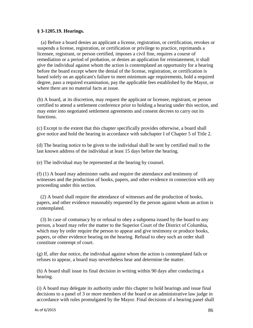#### **§ 3-1205.19. Hearings.**

(a) Before a board denies an applicant a license, registration, or certification, revokes or suspends a license, registration, or certification or privilege to practice, reprimands a licensee, registrant, or person certified, imposes a civil fine, requires a course of remediation or a period of probation, or denies an application for reinstatement, it shall give the individual against whom the action is contemplated an opportunity for a hearing before the board except where the denial of the license, registration, or certification is based solely on an applicant's failure to meet minimum age requirements, hold a required degree, pass a required examination, pay the applicable fees established by the Mayor, or where there are no material facts at issue.

(b) A board, at its discretion, may request the applicant or licensee, registrant, or person certified to attend a settlement conference prior to holding a hearing under this section, and may enter into negotiated settlement agreements and consent decrees to carry out its functions.

(c) Except to the extent that this chapter specifically provides otherwise, a board shall give notice and hold the hearing in accordance with subchapter I of Chapter 5 of Title 2.

(d) The hearing notice to be given to the individual shall be sent by certified mail to the last known address of the individual at least 15 days before the hearing.

(e) The individual may be represented at the hearing by counsel.

(f) (1) A board may administer oaths and require the attendance and testimony of witnesses and the production of books, papers, and other evidence in connection with any proceeding under this section.

(2) A board shall require the attendance of witnesses and the production of books, papers, and other evidence reasonably requested by the person against whom an action is contemplated.

(3) In case of contumacy by or refusal to obey a subpoena issued by the board to any person, a board may refer the matter to the Superior Court of the District of Columbia, which may by order require the person to appear and give testimony or produce books, papers, or other evidence bearing on the hearing. Refusal to obey such an order shall constitute contempt of court.

(g) If, after due notice, the individual against whom the action is contemplated fails or refuses to appear, a board may nevertheless hear and determine the matter.

(h) A board shall issue its final decision in writing within 90 days after conducting a hearing.

(i) A board may delegate its authority under this chapter to hold hearings and issue final decisions to a panel of 3 or more members of the board or an administrative law judge in accordance with rules promulgated by the Mayor. Final decisions of a hearing panel shall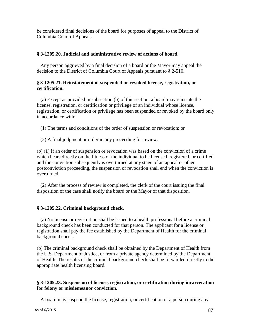be considered final decisions of the board for purposes of appeal to the District of Columbia Court of Appeals.

#### **§ 3-1205.20. Judicial and administrative review of actions of board.**

Any person aggrieved by a final decision of a board or the Mayor may appeal the decision to the District of Columbia Court of Appeals pursuant to § 2-510.

#### **§ 3-1205.21. Reinstatement of suspended or revoked license, registration, or certification.**

(a) Except as provided in subsection (b) of this section, a board may reinstate the license, registration, or certification or privilege of an individual whose license, registration, or certification or privilege has been suspended or revoked by the board only in accordance with:

(1) The terms and conditions of the order of suspension or revocation; or

(2) A final judgment or order in any proceeding for review.

(b) (1) If an order of suspension or revocation was based on the conviction of a crime which bears directly on the fitness of the individual to be licensed, registered, or certified, and the conviction subsequently is overturned at any stage of an appeal or other postconviction proceeding, the suspension or revocation shall end when the conviction is overturned.

(2) After the process of review is completed, the clerk of the court issuing the final disposition of the case shall notify the board or the Mayor of that disposition.

### **§ 3-1205.22. Criminal background check.**

(a) No license or registration shall be issued to a health professional before a criminal background check has been conducted for that person. The applicant for a license or registration shall pay the fee established by the Department of Health for the criminal background check.

(b) The criminal background check shall be obtained by the Department of Health from the U.S. Department of Justice, or from a private agency determined by the Department of Health. The results of the criminal background check shall be forwarded directly to the appropriate health licensing board.

### **§ 3-1205.23. Suspension of license, registration, or certification during incarceration for felony or misdemeanor conviction.**

A board may suspend the license, registration, or certification of a person during any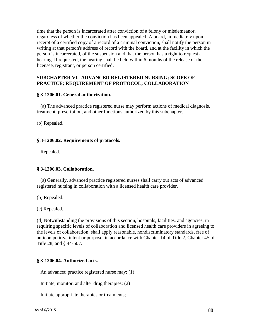time that the person is incarcerated after conviction of a felony or misdemeanor, regardless of whether the conviction has been appealed. A board, immediately upon receipt of a certified copy of a record of a criminal conviction, shall notify the person in writing at that person's address of record with the board, and at the facility in which the person is incarcerated, of the suspension and that the person has a right to request a hearing. If requested, the hearing shall be held within 6 months of the release of the licensee, registrant, or person certified.

#### **SUBCHAPTER VI. ADVANCED REGISTERED NURSING; SCOPE OF PRACTICE; REQUIREMENT OF PROTOCOL; COLLABORATION**

#### **§ 3-1206.01. General authorization.**

(a) The advanced practice registered nurse may perform actions of medical diagnosis, treatment, prescription, and other functions authorized by this subchapter.

(b) Repealed.

#### **§ 3-1206.02. Requirements of protocols.**

Repealed.

### **§ 3-1206.03. Collaboration.**

(a) Generally, advanced practice registered nurses shall carry out acts of advanced registered nursing in collaboration with a licensed health care provider.

(b) Repealed.

(c) Repealed.

(d) Notwithstanding the provisions of this section, hospitals, facilities, and agencies, in requiring specific levels of collaboration and licensed health care providers in agreeing to the levels of collaboration, shall apply reasonable, nondiscriminatory standards, free of anticompetitive intent or purpose, in accordance with Chapter 14 of Title 2, Chapter 45 of Title 28, and § 44-507.

### **§ 3-1206.04. Authorized acts.**

An advanced practice registered nurse may: (1)

Initiate, monitor, and alter drug therapies; (2)

Initiate appropriate therapies or treatments;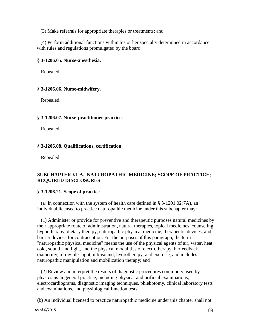(3) Make referrals for appropriate therapies or treatments; and

(4) Perform additional functions within his or her specialty determined in accordance with rules and regulations promulgated by the board.

### **§ 3-1206.05. Nurse-anesthesia.**

Repealed.

### **§ 3-1206.06. Nurse-midwifery.**

Repealed.

### **§ 3-1206.07. Nurse-practitioner practice.**

Repealed.

### **§ 3-1206.08. Qualifications, certification.**

Repealed.

# **SUBCHAPTER VI-A. NATUROPATHIC MEDICINE; SCOPE OF PRACTICE; REQUIRED DISCLOSURES**

### **§ 3-1206.21. Scope of practice.**

(a) In connection with the system of health care defined in § 3-1201.02(7A), an individual licensed to practice naturopathic medicine under this subchapter may:

(1) Administer or provide for preventive and therapeutic purposes natural medicines by their appropriate route of administration, natural therapies, topical medicines, counseling, hypnotherapy, dietary therapy, naturopathic physical medicine, therapeutic devices, and barrier devices for contraception. For the purposes of this paragraph, the term "naturopathic physical medicine" means the use of the physical agents of air, water, heat, cold, sound, and light, and the physical modalities of electrotherapy, biofeedback, diathermy, ultraviolet light, ultrasound, hydrotherapy, and exercise, and includes naturopathic manipulation and mobilization therapy; and

(2) Review and interpret the results of diagnostic procedures commonly used by physicians in general practice, including physical and orificial examinations, electrocardiograms, diagnostic imaging techniques, phlebotomy, clinical laboratory tests and examinations, and physiological function tests.

(b) An individual licensed to practice naturopathic medicine under this chapter shall not: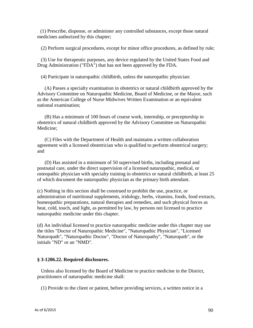(1) Prescribe, dispense, or administer any controlled substances, except those natural medicines authorized by this chapter;

(2) Perform surgical procedures, except for minor office procedures, as defined by rule;

(3) Use for therapeutic purposes, any device regulated by the United States Food and Drug Administration ("FDA") that has not been approved by the FDA.

(4) Participate in naturopathic childbirth, unless the naturopathic physician:

(A) Passes a specialty examination in obstetrics or natural childbirth approved by the Advisory Committee on Naturopathic Medicine, Board of Medicine, or the Mayor, such as the American College of Nurse Midwives Written Examination or an equivalent national examination;

(B) Has a minimum of 100 hours of course work, internship, or preceptorship in obstetrics of natural childbirth approved by the Advisory Committee on Naturopathic Medicine;

(C) Files with the Department of Health and maintains a written collaboration agreement with a licensed obstetrician who is qualified to perform obstetrical surgery; and

(D) Has assisted in a minimum of 50 supervised births, including prenatal and postnatal care, under the direct supervision of a licensed naturopathic, medical, or osteopathic physician with specialty training in obstetrics or natural childbirth, at least 25 of which document the naturopathic physician as the primary birth attendant.

(c) Nothing in this section shall be construed to prohibit the use, practice, or administration of nutritional supplements, iridology, herbs, vitamins, foods, food extracts, homeopathic preparations, natural therapies and remedies, and such physical forces as heat, cold, touch, and light, as permitted by law, by persons not licensed to practice naturopathic medicine under this chapter.

(d) An individual licensed to practice naturopathic medicine under this chapter may use the titles "Doctor of Naturopathic Medicine", "Naturopathic Physician", "Licensed Naturopath", "Naturopathic Doctor", "Doctor of Naturopathy", "Naturopath", or the initials "ND" or an "NMD".

### **§ 3-1206.22. Required disclosures.**

Unless also licensed by the Board of Medicine to practice medicine in the District, practitioners of naturopathic medicine shall:

(1) Provide to the client or patient, before providing services, a written notice in a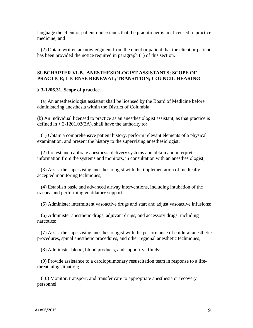language the client or patient understands that the practitioner is not licensed to practice medicine; and

(2) Obtain written acknowledgment from the client or patient that the client or patient has been provided the notice required in paragraph (1) of this section.

# **SUBCHAPTER VI-B. ANESTHESIOLOGIST ASSISTANTS; SCOPE OF PRACTICE; LICENSE RENEWAL; TRANSITION; COUNCIL HEARING**

### **§ 3-1206.31. Scope of practice.**

(a) An anesthesiologist assistant shall be licensed by the Board of Medicine before administering anesthesia within the District of Columbia.

(b) An individual licensed to practice as an anesthesiologist assistant, as that practice is defined in § 3-1201.02(2A), shall have the authority to:

(1) Obtain a comprehensive patient history, perform relevant elements of a physical examination, and present the history to the supervising anesthesiologist;

(2) Pretest and calibrate anesthesia delivery systems and obtain and interpret information from the systems and monitors, in consultation with an anesthesiologist;

(3) Assist the supervising anesthesiologist with the implementation of medically accepted monitoring techniques;

(4) Establish basic and advanced airway interventions, including intubation of the trachea and performing ventilatory support;

(5) Administer intermittent vasoactive drugs and start and adjust vasoactive infusions;

(6) Administer anesthetic drugs, adjuvant drugs, and accessory drugs, including narcotics;

(7) Assist the supervising anesthesiologist with the performance of epidural anesthetic procedures, spinal anesthetic procedures, and other regional anesthetic techniques;

(8) Administer blood, blood products, and supportive fluids;

(9) Provide assistance to a cardiopulmonary resuscitation team in response to a lifethreatening situation;

(10) Monitor, transport, and transfer care to appropriate anesthesia or recovery personnel;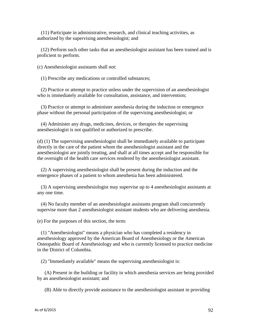(11) Participate in administrative, research, and clinical teaching activities, as authorized by the supervising anesthesiologist; and

(12) Perform such other tasks that an anesthesiologist assistant has been trained and is proficient to perform.

(c) Anesthesiologist assistants shall not:

(1) Prescribe any medications or controlled substances;

(2) Practice or attempt to practice unless under the supervision of an anesthesiologist who is immediately available for consultation, assistance, and intervention;

(3) Practice or attempt to administer anesthesia during the induction or emergence phase without the personal participation of the supervising anesthesiologist; or

(4) Administer any drugs, medicines, devices, or therapies the supervising anesthesiologist is not qualified or authorized to prescribe.

(d) (1) The supervising anesthesiologist shall be immediately available to participate directly in the care of the patient whom the anesthesiologist assistant and the anesthesiologist are jointly treating, and shall at all times accept and be responsible for the oversight of the health care services rendered by the anesthesiologist assistant.

(2) A supervising anesthesiologist shall be present during the induction and the emergence phases of a patient to whom anesthesia has been administered.

(3) A supervising anesthesiologist may supervise up to 4 anesthesiologist assistants at any one time.

(4) No faculty member of an anesthesiologist assistants program shall concurrently supervise more than 2 anesthesiologist assistant students who are delivering anesthesia.

(e) For the purposes of this section, the term:

(1) "Anesthesiologist" means a physician who has completed a residency in anesthesiology approved by the American Board of Anesthesiology or the American Osteopathic Board of Anesthesiology and who is currently licensed to practice medicine in the District of Columbia.

(2) "Immediately available" means the supervising anesthesiologist is:

(A) Present in the building or facility in which anesthesia services are being provided by an anesthesiologist assistant; and

(B) Able to directly provide assistance to the anesthesiologist assistant in providing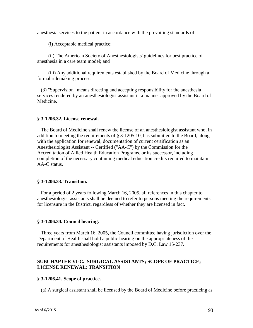anesthesia services to the patient in accordance with the prevailing standards of:

(i) Acceptable medical practice;

(ii) The American Society of Anesthesiologists' guidelines for best practice of anesthesia in a care team model; and

(iii) Any additional requirements established by the Board of Medicine through a formal rulemaking process.

(3) "Supervision" means directing and accepting responsibility for the anesthesia services rendered by an anesthesiologist assistant in a manner approved by the Board of Medicine.

#### **§ 3-1206.32. License renewal.**

The Board of Medicine shall renew the license of an anesthesiologist assistant who, in addition to meeting the requirements of § 3-1205.10, has submitted to the Board, along with the application for renewal, documentation of current certification as an Anesthesiologist Assistant -- Certified ("AA-C") by the Commission for the Accreditation of Allied Health Education Programs, or its successor, including completion of the necessary continuing medical education credits required to maintain AA-C status.

#### **§ 3-1206.33. Transition.**

For a period of 2 years following March 16, 2005, all references in this chapter to anesthesiologist assistants shall be deemed to refer to persons meeting the requirements for licensure in the District, regardless of whether they are licensed in fact.

#### **§ 3-1206.34. Council hearing.**

Three years from March 16, 2005, the Council committee having jurisdiction over the Department of Health shall hold a public hearing on the appropriateness of the requirements for anesthesiologist assistants imposed by D.C. Law 15-237.

### **SUBCHAPTER VI-C. SURGICAL ASSISTANTS; SCOPE OF PRACTICE; LICENSE RENEWAL; TRANSITION**

#### **§ 3-1206.41. Scope of practice.**

(a) A surgical assistant shall be licensed by the Board of Medicine before practicing as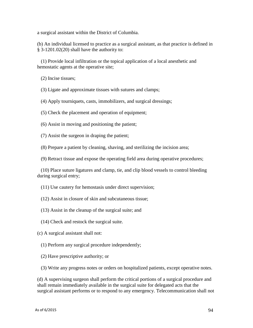a surgical assistant within the District of Columbia.

(b) An individual licensed to practice as a surgical assistant, as that practice is defined in  $§ 3-1201.02(20)$  shall have the authority to:

(1) Provide local infiltration or the topical application of a local anesthetic and hemostatic agents at the operative site;

(2) Incise tissues;

(3) Ligate and approximate tissues with sutures and clamps;

(4) Apply tourniquets, casts, immobilizers, and surgical dressings;

(5) Check the placement and operation of equipment;

(6) Assist in moving and positioning the patient;

(7) Assist the surgeon in draping the patient;

(8) Prepare a patient by cleaning, shaving, and sterilizing the incision area;

(9) Retract tissue and expose the operating field area during operative procedures;

(10) Place suture ligatures and clamp, tie, and clip blood vessels to control bleeding during surgical entry;

(11) Use cautery for hemostasis under direct supervision;

(12) Assist in closure of skin and subcutaneous tissue;

(13) Assist in the cleanup of the surgical suite; and

(14) Check and restock the surgical suite.

(c) A surgical assistant shall not:

(1) Perform any surgical procedure independently;

(2) Have prescriptive authority; or

(3) Write any progress notes or orders on hospitalized patients, except operative notes.

(d) A supervising surgeon shall perform the critical portions of a surgical procedure and shall remain immediately available in the surgical suite for delegated acts that the surgical assistant performs or to respond to any emergency. Telecommunication shall not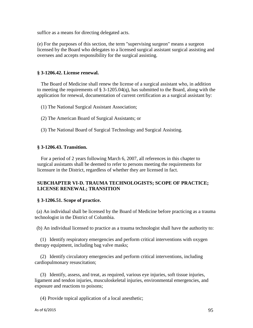suffice as a means for directing delegated acts.

(e) For the purposes of this section, the term "supervising surgeon" means a surgeon licensed by the Board who delegates to a licensed surgical assistant surgical assisting and oversees and accepts responsibility for the surgical assisting.

### **§ 3-1206.42. License renewal.**

The Board of Medicine shall renew the license of a surgical assistant who, in addition to meeting the requirements of § 3-1205.04(q), has submitted to the Board, along with the application for renewal, documentation of current certification as a surgical assistant by:

(1) The National Surgical Assistant Association;

- (2) The American Board of Surgical Assistants; or
- (3) The National Board of Surgical Technology and Surgical Assisting.

### **§ 3-1206.43. Transition.**

For a period of 2 years following March 6, 2007, all references in this chapter to surgical assistants shall be deemed to refer to persons meeting the requirements for licensure in the District, regardless of whether they are licensed in fact.

### **SUBCHAPTER VI-D. TRAUMA TECHNOLOGISTS; SCOPE OF PRACTICE; LICENSE RENEWAL; TRANSITION**

### **§ 3-1206.51. Scope of practice.**

(a) An individual shall be licensed by the Board of Medicine before practicing as a trauma technologist in the District of Columbia.

(b) An individual licensed to practice as a trauma technologist shall have the authority to:

(1) Identify respiratory emergencies and perform critical interventions with oxygen therapy equipment, including bag valve masks;

(2) Identify circulatory emergencies and perform critical interventions, including cardiopulmonary resuscitation;

(3) Identify, assess, and treat, as required, various eye injuries, soft tissue injuries, ligament and tendon injuries, musculoskeletal injuries, environmental emergencies, and exposure and reactions to poisons;

(4) Provide topical application of a local anesthetic;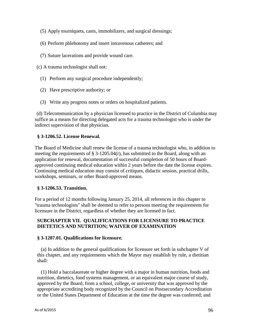- (5) Apply tourniquets, casts, immobilizers, and surgical dressings;
- (6) Perform phlebotomy and insert intravenous catheters; and
- (7) Suture lacerations and provide wound care.
- (c) A trauma technologist shall not:
	- (1) Perform any surgical procedure independently;
	- (2) Have prescriptive authority; or
	- (3) Write any progress notes or orders on hospitalized patients.

(d) Telecommunication by a physician licensed to practice in the District of Columbia may suffice as a means for directing delegated acts for a trauma technologist who is under the indirect supervision of that physician.

### **§ 3-1206.52. License Renewal.**

The Board of Medicine shall renew the license of a trauma technologist who, in addition to meeting the requirements of  $\S 3-1205.04(r)$ , has submitted to the Board, along with an application for renewal, documentation of successful completion of 50 hours of Boardapproved continuing medical education within 2 years before the date the license expires. Continuing medical education may consist of critiques, didactic session, practical drills, workshops, seminars, or other Board-approved means.

### **§ 3-1206.53. Transition.**

For a period of 12 months following January 25, 2014, all references in this chapter to "trauma technologists" shall be deemed to refer to persons meeting the requirements for licensure in the District, regardless of whether they are licensed in fact.

### **SUBCHAPTER VII. QUALIFICATIONS FOR LICENSURE TO PRACTICE DIETETICS AND NUTRITION; WAIVER OF EXAMINATION**

### **§ 3-1207.01. Qualifications for licensure.**

(a) In addition to the general qualifications for licensure set forth in subchapter V of this chapter, and any requirements which the Mayor may establish by rule, a dietitian shall:

(1) Hold a baccalaureate or higher degree with a major in human nutrition, foods and nutrition, dietetics, food systems management, or an equivalent major course of study, approved by the Board, from a school, college, or university that was approved by the appropriate accrediting body recognized by the Council on Postsecondary Accreditation or the United States Department of Education at the time the degree was conferred; and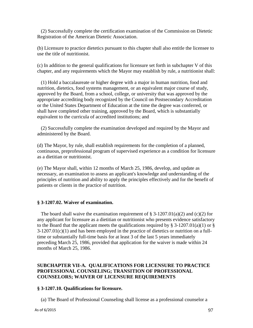(2) Successfully complete the certification examination of the Commission on Dietetic Registration of the American Dietetic Association.

(b) Licensure to practice dietetics pursuant to this chapter shall also entitle the licensee to use the title of nutritionist.

(c) In addition to the general qualifications for licensure set forth in subchapter V of this chapter, and any requirements which the Mayor may establish by rule, a nutritionist shall:

(1) Hold a baccalaureate or higher degree with a major in human nutrition, food and nutrition, dietetics, food systems management, or an equivalent major course of study, approved by the Board, from a school, college, or university that was approved by the appropriate accrediting body recognized by the Council on Postsecondary Accreditation or the United States Department of Education at the time the degree was conferred, or shall have completed other training, approved by the Board, which is substantially equivalent to the curricula of accredited institutions; and

(2) Successfully complete the examination developed and required by the Mayor and administered by the Board.

(d) The Mayor, by rule, shall establish requirements for the completion of a planned, continuous, preprofessional program of supervised experience as a condition for licensure as a dietitian or nutritionist.

(e) The Mayor shall, within 12 months of March 25, 1986, develop, and update as necessary, an examination to assess an applicant's knowledge and understanding of the principles of nutrition and ability to apply the principles effectively and for the benefit of patients or clients in the practice of nutrition.

### **§ 3-1207.02. Waiver of examination.**

The board shall waive the examination requirement of  $\S 3-1207.01(a)(2)$  and (c)(2) for any applicant for licensure as a dietitian or nutritionist who presents evidence satisfactory to the Board that the applicant meets the qualifications required by  $\S$  3-1207.01(a)(1) or  $\S$  $3-1207.01(c)(1)$  and has been employed in the practice of dietetics or nutrition on a fulltime or substantially full-time basis for at least 3 of the last 5 years immediately preceding March 25, 1986, provided that application for the waiver is made within 24 months of March 25, 1986.

# **SUBCHAPTER VII-A. QUALIFICATIONS FOR LICENSURE TO PRACTICE PROFESSIONAL COUNSELING; TRANSITION OF PROFESSIONAL COUNSELORS; WAIVER OF LICENSURE REQUIREMENTS**

#### **§ 3-1207.10. Qualifications for licensure.**

(a) The Board of Professional Counseling shall license as a professional counselor a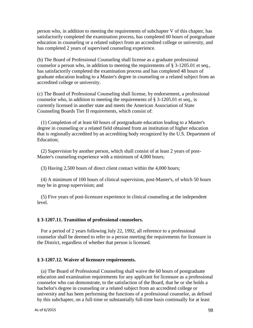person who, in addition to meeting the requirements of subchapter V of this chapter, has satisfactorily completed the examination process, has completed 60 hours of postgraduate education in counseling or a related subject from an accredited college or university, and has completed 2 years of supervised counseling experience.

(b) The Board of Professional Counseling shall license as a graduate professional counselor a person who, in addition to meeting the requirements of § 3-1205.01 et seq., has satisfactorily completed the examination process and has completed 48 hours of graduate education leading to a Master's degree in counseling or a related subject from an accredited college or university.

(c) The Board of Professional Counseling shall license, by endorsement, a professional counselor who, in addition to meeting the requirements of § 3-1205.01 et seq., is currently licensed in another state and meets the American Association of State Counseling Boards Tier II requirements, which consist of:

(1) Completion of at least 60 hours of postgraduate education leading to a Master's degree in counseling or a related field obtained from an institution of higher education that is regionally accredited by an accrediting body recognized by the U.S. Department of Education;

(2) Supervision by another person, which shall consist of at least 2 years of post-Master's counseling experience with a minimum of 4,000 hours;

(3) Having 2,500 hours of direct client contact within the 4,000 hours;

(4) A minimum of 100 hours of clinical supervision, post-Master's, of which 50 hours may be in group supervision; and

(5) Five years of post-licensure experience in clinical counseling at the independent level.

#### **§ 3-1207.11. Transition of professional counselors.**

For a period of 2 years following July 22, 1992, all reference to a professional counselor shall be deemed to refer to a person meeting the requirements for licensure in the District, regardless of whether that person is licensed.

#### **§ 3-1207.12. Waiver of licensure requirements.**

(a) The Board of Professional Counseling shall waive the 60 hours of postgraduate education and examination requirements for any applicant for licensure as a professional counselor who can demonstrate, to the satisfaction of the Board, that he or she holds a bachelor's degree in counseling or a related subject from an accredited college or university and has been performing the functions of a professional counselor, as defined by this subchapter, on a full-time or substantially full-time basis continually for at least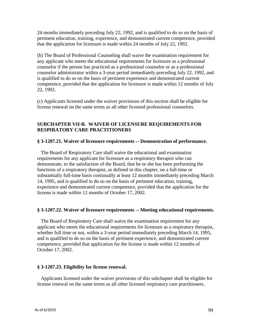24 months immediately preceding July 22, 1992, and is qualified to do so on the basis of pertinent education, training, experience, and demonstrated current competence, provided that the application for licensure is made within 24 months of July 22, 1992.

(b) The Board of Professional Counseling shall waive the examination requirement for any applicant who meets the educational requirements for licensure as a professional counselor if the person has practiced as a professional counselor or as a professional counselor administrator within a 3-year period immediately preceding July 22, 1992, and is qualified to do so on the basis of pertinent experience and demonstrated current competence, provided that the application for licensure is made within 12 months of July 22, 1992.

(c) Applicants licensed under the waiver provisions of this section shall be eligible for license renewal on the same terms as all other licensed professional counselors.

# **SUBCHAPTER VII-B. WAIVER OF LICENSURE REQUIREMENTS FOR RESPIRATORY CARE PRACTITIONERS**

### **§ 3-1207.21. Waiver of licensure requirements -- Demonstration of performance.**

The Board of Respiratory Care shall waive the educational and examination requirements for any applicant for licensure as a respiratory therapist who can demonstrate, to the satisfaction of the Board, that he or she has been performing the functions of a respiratory therapist, as defined in this chapter, on a full-time or substantially full-time basis continually at least 12 months immediately preceding March 14, 1995, and is qualified to do so on the basis of pertinent education, training, experience and demonstrated current competence, provided that the application for the license is made within 12 months of October 17, 2002.

### **§ 3-1207.22. Waiver of licensure requirements -- Meeting educational requirements.**

The Board of Respiratory Care shall waive the examination requirement for any applicant who meets the educational requirements for licensure as a respiratory therapist, whether full time or not, within a 3-year period immediately preceding March 14, 1995, and is qualified to do so on the basis of pertinent experience, and demonstrated current competence, provided that application for the license is made within 12 months of October 17, 2002.

### **§ 3-1207.23. Eligibility for license renewal.**

Applicants licensed under the waiver provisions of this subchapter shall be eligible for license renewal on the same terms as all other licensed respiratory care practitioners.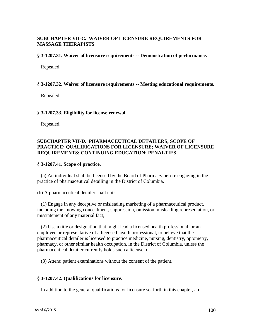# **SUBCHAPTER VII-C. WAIVER OF LICENSURE REQUIREMENTS FOR MASSAGE THERAPISTS**

#### **§ 3-1207.31. Waiver of licensure requirements -- Demonstration of performance.**

Repealed.

#### **§ 3-1207.32. Waiver of licensure requirements -- Meeting educational requirements.**

Repealed.

#### **§ 3-1207.33. Eligibility for license renewal.**

Repealed.

### **SUBCHAPTER VII-D. PHARMACEUTICAL DETAILERS; SCOPE OF PRACTICE; QUALIFICATIONS FOR LICENSURE; WAIVER OF LICENSURE REQUIREMENTS; CONTINUING EDUCATION; PENALTIES**

#### **§ 3-1207.41. Scope of practice.**

(a) An individual shall be licensed by the Board of Pharmacy before engaging in the practice of pharmaceutical detailing in the District of Columbia.

(b) A pharmaceutical detailer shall not:

(1) Engage in any deceptive or misleading marketing of a pharmaceutical product, including the knowing concealment, suppression, omission, misleading representation, or misstatement of any material fact;

(2) Use a title or designation that might lead a licensed health professional, or an employee or representative of a licensed health professional, to believe that the pharmaceutical detailer is licensed to practice medicine, nursing, dentistry, optometry, pharmacy, or other similar health occupation, in the District of Columbia, unless the pharmaceutical detailer currently holds such a license; or

(3) Attend patient examinations without the consent of the patient.

### **§ 3-1207.42. Qualifications for licensure.**

In addition to the general qualifications for licensure set forth in this chapter, an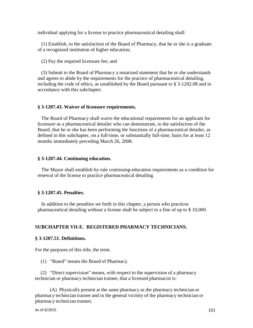individual applying for a license to practice pharmaceutical detailing shall:

(1) Establish, to the satisfaction of the Board of Pharmacy, that he or she is a graduate of a recognized institution of higher education;

(2) Pay the required licensure fee; and

(3) Submit to the Board of Pharmacy a notarized statement that he or she understands and agrees to abide by the requirements for the practice of pharmaceutical detailing, including the code of ethics, as established by the Board pursuant to § 3-1202.08 and in accordance with this subchapter.

### **§ 3-1207.43. Waiver of licensure requirements.**

The Board of Pharmacy shall waive the educational requirements for an applicant for licensure as a pharmaceutical detailer who can demonstrate, to the satisfaction of the Board, that he or she has been performing the functions of a pharmaceutical detailer, as defined in this subchapter, on a full-time, or substantially full-time, basis for at least 12 months immediately preceding March 26, 2008.

#### **§ 3-1207.44. Continuing education.**

The Mayor shall establish by rule continuing-education requirements as a condition for renewal of the license to practice pharmaceutical detailing.

### **§ 3-1207.45. Penalties.**

In addition to the penalties set forth in this chapter, a person who practices pharmaceutical detailing without a license shall be subject to a fine of up to \$ 10,000.

### **SUBCHAPTER VII-E. REGISTERED PHARMACY TECHNICIANS.**

### **§ 3-1207.51. Definitions.**

For the purposes of this title, the term:

(1) "Board" means the Board of Pharmacy.

(2) "Direct supervision" means, with respect to the supervision of a pharmacy technician or pharmacy technician trainee, that a licensed pharmacist is:

(A) Physically present at the same pharmacy as the pharmacy technician or pharmacy technician trainee and in the general vicinity of the pharmacy technician or pharmacy technician trainee;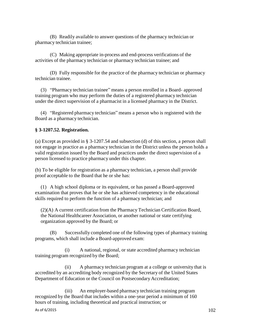(B) Readily available to answer questions of the pharmacy technician or pharmacy technician trainee;

(C) Making appropriate in-process and end-process verifications of the activities of the pharmacy technician or pharmacy technician trainee; and

(D) Fully responsible for the practice of the pharmacy technician or pharmacy technician trainee.

(3) "Pharmacy technician trainee" means a person enrolled in a Board- approved training program who may perform the duties of a registered pharmacy technician under the direct supervision of a pharmacist in a licensed pharmacy in the District.

(4) "Registered pharmacy technician" means a person who is registered with the Board as a pharmacy technician.

### **§ 3-1207.52. Registration.**

(a) Except as provided in § 3-1207.54 and subsection (d) of this section, a person shall not engage in practice as a pharmacy technician in the District unless the person holds a valid registration issued by the Board and practices under the direct supervision of a person licensed to practice pharmacy under this chapter.

(b) To be eligible for registration as a pharmacy technician, a person shall provide proof acceptable to the Board that he or she has:

(1) A high school diploma or its equivalent, or has passed a Board-approved examination that proves that he or she has achieved competency in the educational skills required to perform the function of a pharmacy technician; and

(2)(A) A current certification from the Pharmacy Technician Certification Board, the National Healthcareer Association, or another national or state certifying organization approved by the Board; or

(B) Successfully completed one of the following types of pharmacy training programs, which shall include a Board-approved exam:

(i) A national, regional, or state accredited pharmacy technician training program recognized by the Board;

(ii) A pharmacy technician program at a college or university that is accredited by an accrediting body recognized by the Secretary of the United States Department of Education or the Council on Postsecondary Accreditation;

(iii) An employer-based pharmacy technician training program recognized by the Board that includes within a one-year period a minimum of 160 hours of training, including theoretical and practical instruction; or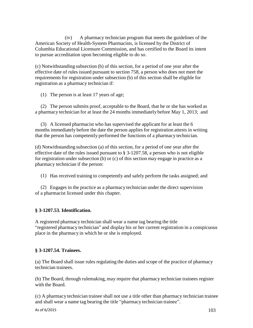(iv) A pharmacy technician program that meets the guidelines of the American Society of Health-System Pharmacists, is licensed by the District of Columbia Educational Licensure Commission, and has certified to the Board its intent to pursue accreditation upon becoming eligible to do so.

(c) Notwithstanding subsection (b) of this section, for a period of one year after the effective date of rules issued pursuant to section 758, a person who does not meet the requirements for registration under subsection (b) of this section shall be eligible for registration as a pharmacy technician if:

(1) The person is at least 17 years of age;

(2) The person submits proof, acceptable to the Board, that he or she has worked as a pharmacy technician for at least the 24 months immediately before May 1, 2013; and

(3) A licensed pharmacist who has supervised the applicant for at least the 6 months immediately before the date the person applies for registration attests in writing that the person has competently performed the functions of a pharmacy technician.

(d) Notwithstanding subsection (a) of this section, for a period of one year after the effective date of the rules issued pursuant to § 3-1207.58, a person who is not eligible for registration under subsection (b) or (c) of this section may engage in practice as a pharmacy technician if the person:

(1) Has received training to competently and safely perform the tasks assigned; and

(2) Engages in the practice as a pharmacy technician under the direct supervision of a pharmacist licensed under this chapter.

# **§ 3-1207.53. Identification.**

A registered pharmacy technician shall wear a name tag bearing the title "registered pharmacy technician" and display his or her current registration in a conspicuous place in the pharmacy in which he or she is employed.

# **§ 3-1207.54. Trainees.**

(a) The Board shall issue rules regulating the duties and scope of the practice of pharmacy technician trainees.

(b) The Board, through rulemaking, may require that pharmacy technician trainees register with the Board.

(c) A pharmacy technician trainee shall not use a title other than pharmacy technician trainee and shall wear a name tag bearing the title "pharmacy technician trainee".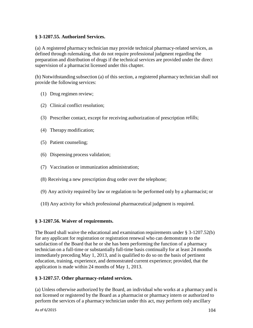# **§ 3-1207.55. Authorized Services.**

(a) A registered pharmacy technician may provide technical pharmacy-related services, as defined through rulemaking, that do not require professional judgment regarding the preparation and distribution of drugs if the technical services are provided under the direct supervision of a pharmacist licensed under this chapter.

(b) Notwithstanding subsection (a) of this section, a registered pharmacy technician shall not provide the following services:

- (1) Drug regimen review;
- (2) Clinical conflict resolution;
- (3) Prescriber contact, except for receiving authorization of prescription refills;
- (4) Therapy modification;
- (5) Patient counseling;
- (6) Dispensing process validation;
- (7) Vaccination or immunization administration;
- (8) Receiving a new prescription drug order over the telephone;
- (9) Any activity required by law or regulation to be performed only by a pharmacist; or
- (10) Any activity for which professional pharmaceutical judgment is required.

# **§ 3-1207.56. Waiver of requirements.**

The Board shall waive the educational and examination requirements under § 3-1207.52(b) for any applicant for registration or registration renewal who can demonstrate to the satisfaction of the Board that he or she has been performing the function of a pharmacy technician on a full-time or substantially full-time basis continually for at least 24 months immediately preceding May 1, 2013, and is qualified to do so on the basis of pertinent education, training, experience, and demonstrated current experience; provided, that the application is made within 24 months of May 1, 2013.

# **§ 3-1207.57. Other pharmacy-related services.**

(a) Unless otherwise authorized by the Board, an individual who works at a pharmacy and is not licensed or registered by the Board as a pharmacist or pharmacy intern or authorized to perform the services of a pharmacy technician under this act, may perform only ancillary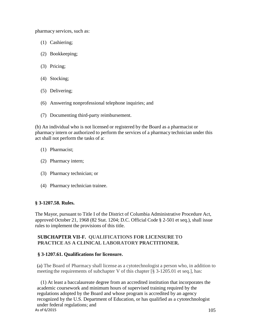pharmacy services, such as:

- (1) Cashiering;
- (2) Bookkeeping;
- (3) Pricing;
- (4) Stocking;
- (5) Delivering;
- (6) Answering nonprofessional telephone inquiries; and
- (7) Documenting third-party reimbursement.

(b) An individual who is not licensed or registered by the Board as a pharmacist or pharmacy intern or authorized to perform the services of a pharmacy technician under this act shall not perform the tasks of a:

- (1) Pharmacist;
- (2) Pharmacy intern;
- (3) Pharmacy technician; or
- (4) Pharmacy technician trainee.

### **§ 3-1207.58. Rules.**

The Mayor, pursuant to Title I of the District of Columbia Administrative Procedure Act, approved October 21, 1968 (82 Stat. 1204; D.C. Official Code § 2-501 et seq.), shall issue rules to implement the provisions of this title.

# **SUBCHAPTER VII-F. QUALIFICATIONS FOR LICENSURE TO PRACTICE AS A CLINICAL LABORATORY PRACTITIONER.**

### **§ 3-1207.61. Qualifications for licensure.**

(a) The Board of Pharmacy shall license as a cytotechnologist a person who, in addition to meeting the requirements of subchapter V of this chapter [§ 3-1205.01 et seq.], has:

As of 6/2015  $105$ (1) At least a baccalaureate degree from an accredited institution that incorporates the academic coursework and minimum hours of supervised training required by the regulations adopted by the Board and whose program is accredited by an agency recognized by the U.S. Department of Education, or has qualified as a cytotechnologist under federal regulations; and<br>As of 6/2015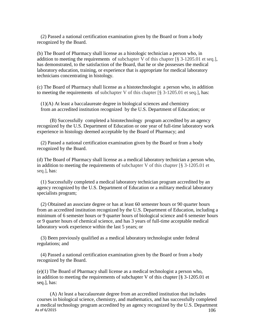(2) Passed a national certification examination given by the Board or from a body recognized by the Board.

(b) The Board of Pharmacy shall license as a histologic technician a person who, in addition to meeting the requirements of subchapter V of this chapter [§ 3-1205.01 et seq.], has demonstrated, to the satisfaction of the Board, that he or she possesses the medical laboratory education, training, or experience that is appropriate for medical laboratory technicians concentrating in histology.

(c) The Board of Pharmacy shall license as a histotechnologist a person who, in addition to meeting the requirements of subchapter V of this chapter  $\lceil \S 3 - 1205.01 \rceil$  et seq.], has:

(1)(A) At least a baccalaureate degree in biological sciences and chemistry from an accredited institution recognized by the U.S. Department of Education; or

(B) Successfully completed a histotechnology program accredited by an agency recognized by the U.S. Department of Education or one year of full-time laboratory work experience in histology deemed acceptable by the Board of Pharmacy; and

(2) Passed a national certification examination given by the Board or from a body recognized by the Board.

(d) The Board of Pharmacy shall license as a medical laboratory technician a person who, in addition to meeting the requirements of subchapter V of this chapter  $\lceil \S 3 - 1205.01 \rceil$  et seq.], has:

(1) Successfully completed a medical laboratory technician program accredited by an agency recognized by the U.S. Department of Education or a military medical laboratory specialists program;

(2) Obtained an associate degree or has at least 60 semester hours or 90 quarter hours from an accredited institution recognized by the U.S. Department of Education, including a minimum of 6 semester hours or 9 quarter hours of biological science and 6 semester hours or 9 quarter hours of chemical science, and has 3 years of full-time acceptable medical laboratory work experience within the last 5 years; or

(3) Been previously qualified as a medical laboratory technologist under federal regulations; and

(4) Passed a national certification examination given by the Board or from a body recognized by the Board.

(e)(1) The Board of Pharmacy shall license as a medical technologist a person who, in addition to meeting the requirements of subchapter V of this chapter  $\lceil \frac{8}{3} \rceil$  3-1205.01 et seq.], has:

As of 6/2015  $106$ (A) At least a baccalaureate degree from an accredited institution that includes courses in biological science, chemistry, and mathematics, and has successfully completed a medical technology program accredited by an agency recognized by the U.S. Department<br>As of 6/2015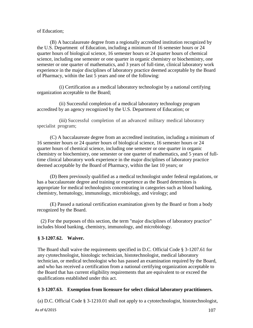of Education;

(B) A baccalaureate degree from a regionally accredited institution recognized by the U.S. Department of Education, including a minimum of 16 semester hours or 24 quarter hours of biological science, 16 semester hours or 24 quarter hours of chemical science, including one semester or one quarter in organic chemistry or biochemistry, one semester or one quarter of mathematics, and 3 years of full-time, clinical laboratory work experience in the major disciplines of laboratory practice deemed acceptable by the Board of Pharmacy, within the last 5 years and one of the following:

(i) Certification as a medical laboratory technologist by a national certifying organization acceptable to the Board;

(ii) Successful completion of a medical laboratory technology program accredited by an agency recognized by the U.S. Department of Education; or

(iii) Successful completion of an advanced military medical laboratory specialist program;

(C) A baccalaureate degree from an accredited institution, including a minimum of 16 semester hours or 24 quarter hours of biological science, 16 semester hours or 24 quarter hours of chemical science, including one semester or one quarter in organic chemistry or biochemistry, one semester or one quarter of mathematics, and 5 years of fulltime clinical laboratory work experience in the major disciplines of laboratory practice deemed acceptable by the Board of Pharmacy, within the last 10 years; or

(D) Been previously qualified as a medical technologist under federal regulations, or has a baccalaureate degree and training or experience as the Board determines is appropriate for medical technologists concentrating in categories such as blood banking, chemistry, hematology, immunology, microbiology, and virology; and

(E) Passed a national certification examination given by the Board or from a body recognized by the Board.

(2) For the purposes of this section, the term "major disciplines of laboratory practice" includes blood banking, chemistry, immunology, and microbiology.

## **§ 3-1207.62. Waiver.**

The Board shall waive the requirements specified in D.C. Official Code § 3-1207.61 for any cytotechnologist, histologic technician, histotechnologist, medical laboratory technician, or medical technologist who has passed an examination required by the Board, and who has received a certification from a national certifying organization acceptable to the Board that has current eligibility requirements that are equivalent to or exceed the qualifications established under this act.

## **§ 3-1207.63. Exemption from licensure for select clinical laboratory practitioners.**

(a) D.C. Official Code § 3-1210.01 shall not apply to a cytotechnologist, histotechnologist,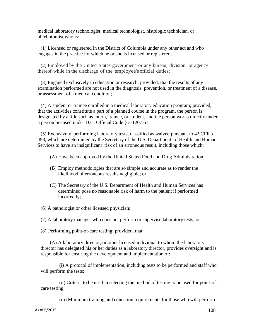medical laboratory technologist, medical technologist, histologic technician, or phlebotomist who is:

(1) Licensed or registered in the District of Columbia under any other act and who engages in the practice for which he or she is licensed or registered;

(2) Employed by the United States government or any bureau, division, or agency thereof while in the discharge of the employee's official duties;

(3) Engaged exclusively in education or research; provided, that the results of any examination performed are not used in the diagnosis, prevention, or treatment of a disease, or assessment of a medical condition;

(4) A student or trainee enrolled in a medical laboratory education program; provided, that the activities constitute a part of a planned course in the program, the person is designated by a title such as intern, trainee, or student, and the person works directly under a person licensed under D.C. Official Code § 3-1207.61;

(5) Exclusively performing laboratory tests, classified as waived pursuant to 42 CFR § 493, which are determined by the Secretary of the U.S. Department of Health and Human Services to have an insignificant risk of an erroneous result, including those which:

(A) Have been approved by the United Stated Food and Drug Administration;

- (B) Employ methodologies that are so simple and accurate as to render the likelihood of erroneous results negligible; or
- (C) The Secretary of the U.S. Department of Health and Human Services has determined pose no reasonable risk of harm to the patient if performed incorrectly;

(6) A pathologist or other licensed physician;

(7) A laboratory manager who does not perform or supervise laboratory tests; or

(8) Performing point-of-care testing; provided, that:

(A) A laboratory director, or other licensed individual to whom the laboratory director has delegated his or her duties as a laboratory director, provides oversight and is responsible for ensuring the development and implementation of:

(i) A protocol of implementation, including tests to be performed and staff who will perform the tests;

(ii) Criteria to be used in selecting the method of testing to be used for point-ofcare testing;

(iii) Minimum training and education requirements for those who will perform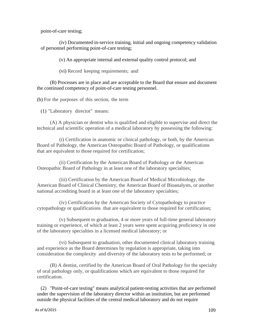point-of-care testing;

(iv) Documented in-service training, initial and ongoing competency validation of personnel performing point-of-care testing;

(v) An appropriate internal and external quality control protocol; and

(vi) Record keeping requirements; and

(B) Processes are in place and are acceptable to the Board that ensure and document the continued competency of point-of-care testing personnel.

(b) For the purposes of this section, the term

(1) "Laboratory director" means:

(A) A physician or dentist who is qualified and eligible to supervise and direct the technical and scientific operation of a medical laboratory by possessing the following:

(i) Certification in anatomic or clinical pathology, or both, by the American Board of Pathology, the American Osteopathic Board of Pathology, or qualifications that are equivalent to those required for certification;

(ii) Certification by the American Board of Pathology or the American Osteopathic Board of Pathology in at least one of the laboratory specialties;

(iii) Certification by the American Board of Medical Microbiology, the American Board of Clinical Chemistry, the American Board of Bioanalysts, or another national accrediting board in at least one of the laboratory specialties;

(iv) Certification by the American Society of Cytopathology to practice cytopathology or qualifications that are equivalent to those required for certification;

(v) Subsequent to graduation, 4 or more years of full-time general laboratory training or experience, of which at least 2 years were spent acquiring proficiency in one of the laboratory specialties in a licensed medical laboratory; or

(vi) Subsequent to graduation, other documented clinical laboratory training and experience as the Board determines by regulation is appropriate, taking into consideration the complexity and diversity of the laboratory tests to be performed; or

(B) A dentist, certified by the American Board of Oral Pathology for the specialty of oral pathology only, or qualifications which are equivalent to those required for certification.

(2) "Point-of-care testing" means analytical patient-testing activities that are performed under the supervision of the laboratory director within an institution, but are performed outside the physical facilities of the central medical laboratory and do not require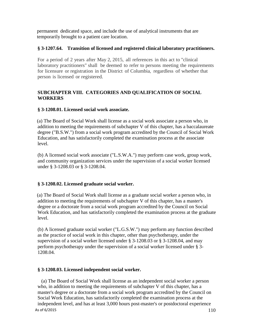permanent dedicated space, and include the use of analytical instruments that are temporarily brought to a patient care location.

### **§ 3-1207.64. Transition of licensed and registered clinical laboratory practitioners.**

For a period of 2 years after May 2, 2015, all references in this act to "clinical laboratory practitioners" shall be deemed to refer to persons meeting the requirements for licensure or registration in the District of Columbia, regardless of whether that person is licensed or registered.

## **SUBCHAPTER VIII. CATEGORIES AND QUALIFICATION OF SOCIAL WORKERS**

### **§ 3-1208.01. Licensed social work associate.**

(a) The Board of Social Work shall license as a social work associate a person who, in addition to meeting the requirements of subchapter V of this chapter, has a baccalaureate degree ("B.S.W.") from a social work program accredited by the Council of Social Work Education, and has satisfactorily completed the examination process at the associate level.

(b) A licensed social work associate ("L.S.W.A.") may perform case work, group work, and community organization services under the supervision of a social worker licensed under § 3-1208.03 or § 3-1208.04.

## **§ 3-1208.02. Licensed graduate social worker.**

(a) The Board of Social Work shall license as a graduate social worker a person who, in addition to meeting the requirements of subchapter V of this chapter, has a master's degree or a doctorate from a social work program accredited by the Council on Social Work Education, and has satisfactorily completed the examination process at the graduate level.

(b) A licensed graduate social worker ("L.G.S.W.") may perform any function described as the practice of social work in this chapter, other than psychotherapy, under the supervision of a social worker licensed under § 3-1208.03 or § 3-1208.04, and may perform psychotherapy under the supervision of a social worker licensed under § 3- 1208.04.

#### **§ 3-1208.03. Licensed independent social worker.**

As of 6/2015  $110$ (a) The Board of Social Work shall license as an independent social worker a person who, in addition to meeting the requirements of subchapter V of this chapter, has a master's degree or a doctorate from a social work program accredited by the Council on Social Work Education, has satisfactorily completed the examination process at the independent level, and has at least 3,000 hours post-master's or postdoctoral experience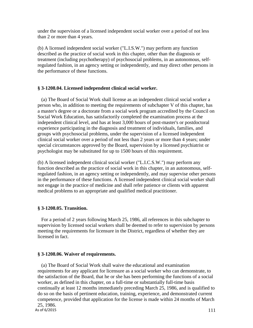under the supervision of a licensed independent social worker over a period of not less than 2 or more than 4 years.

(b) A licensed independent social worker ("L.I.S.W.") may perform any function described as the practice of social work in this chapter, other than the diagnosis or treatment (including psychotherapy) of psychosocial problems, in an autonomous, selfregulated fashion, in an agency setting or independently, and may direct other persons in the performance of these functions.

## **§ 3-1208.04. Licensed independent clinical social worker.**

(a) The Board of Social Work shall license as an independent clinical social worker a person who, in addition to meeting the requirements of subchapter V of this chapter, has a master's degree or a doctorate from a social work program accredited by the Council on Social Work Education, has satisfactorily completed the examination process at the independent clinical level, and has at least 3,000 hours of post-master's or postdoctoral experience participating in the diagnosis and treatment of individuals, families, and groups with psychosocial problems, under the supervision of a licensed independent clinical social worker over a period of not less than 2 years or more than 4 years; under special circumstances approved by the Board, supervision by a licensed psychiatrist or psychologist may be substituted for up to 1500 hours of this requirement.

(b) A licensed independent clinical social worker ("L.I.C.S.W.") may perform any function described as the practice of social work in this chapter, in an autonomous, selfregulated fashion, in an agency setting or independently, and may supervise other persons in the performance of these functions. A licensed independent clinical social worker shall not engage in the practice of medicine and shall refer patience or clients with apparent medical problems to an appropriate and qualified medical practitioner.

## **§ 3-1208.05. Transition.**

For a period of 2 years following March 25, 1986, all references in this subchapter to supervision by licensed social workers shall be deemed to refer to supervision by persons meeting the requirements for licensure in the District, regardless of whether they are licensed in fact.

## **§ 3-1208.06. Waiver of requirements.**

As of  $6/2015$  111 (a) The Board of Social Work shall waive the educational and examination requirements for any applicant for licensure as a social worker who can demonstrate, to the satisfaction of the Board, that he or she has been performing the functions of a social worker, as defined in this chapter, on a full-time or substantially full-time basis continually at least 12 months immediately preceding March 25, 1986, and is qualified to do so on the basis of pertinent education, training, experience, and demonstrated current competence, provided that application for the license is made within 24 months of March 25, 1986.<br>As of 6/2015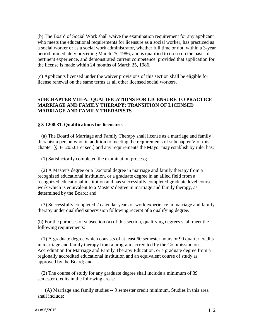(b) The Board of Social Work shall waive the examination requirement for any applicant who meets the educational requirements for licensure as a social worker, has practiced as a social worker or as a social work administrator, whether full time or not, within a 3-year period immediately preceding March 25, 1986, and is qualified to do so on the basis of pertinent experience, and demonstrated current competence, provided that application for the license is made within 24 months of March 25, 1986.

(c) Applicants licensed under the waiver provisions of this section shall be eligible for license renewal on the same terms as all other licensed social workers.

### **SUBCHAPTER VIII-A. QUALIFICATIONS FOR LICENSURE TO PRACTICE MARRIAGE AND FAMILY THERAPY; TRANSITION OF LICENSED MARRIAGE AND FAMILY THERAPISTS**

#### **§ 3-1208.31. Qualifications for licensure.**

(a) The Board of Marriage and Family Therapy shall license as a marriage and family therapist a person who, in addition to meeting the requirements of subchapter V of this chapter [§ 3-1205.01 et seq.] and any requirements the Mayor may establish by rule, has:

(1) Satisfactorily completed the examination process;

(2) A Master's degree or a Doctoral degree in marriage and family therapy from a recognized educational institution, or a graduate degree in an allied field from a recognized educational institution and has successfully completed graduate level course work which is equivalent to a Masters' degree in marriage and family therapy, as determined by the Board; and

(3) Successfully completed 2 calendar years of work experience in marriage and family therapy under qualified supervision following receipt of a qualifying degree.

(b) For the purposes of subsection (a) of this section, qualifying degrees shall meet the following requirements:

(1) A graduate degree which consists of at least 60 semester hours or 90 quarter credits in marriage and family therapy from a program accredited by the Commission on Accreditation for Marriage and Family Therapy Education, or a graduate degree from a regionally accredited educational institution and an equivalent course of study as approved by the Board; and

(2) The course of study for any graduate degree shall include a minimum of 39 semester credits in the following areas:

(A) Marriage and family studies -- 9 semester credit minimum. Studies in this area shall include: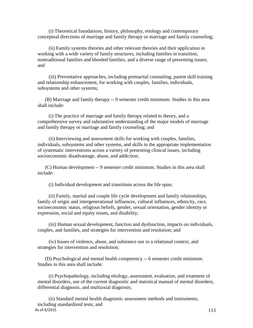(i) Theoretical foundations, history, philosophy, etiology and contemporary conceptual directions of marriage and family therapy or marriage and family counseling;

(ii) Family systems theories and other relevant theories and their application in working with a wide variety of family structures, including families in transition, nontraditional families and blended families, and a diverse range of presenting issues; and

(iii) Preventative approaches, including premarital counseling, parent skill training and relationship enhancement, for working with couples, families, individuals, subsystems and other systems;

(B) Marriage and family therapy -- 9 semester credit minimum. Studies in this area shall include:

(i) The practice of marriage and family therapy related to theory, and a comprehensive survey and substantive understanding of the major models of marriage and family therapy or marriage and family counseling; and

(ii) Interviewing and assessment skills for working with couples, families, individuals, subsystems and other systems, and skills in the appropriate implementation of systematic interventions across a variety of presenting clinical issues, including socioeconomic disadvantage, abuse, and addiction;

(C) Human development -- 9 semester credit minimum. Studies in this area shall include:

(i) Individual development and transitions across the life span;

(ii) Family, marital and couple life cycle development and family relationships, family of origin and intergenerational influences, cultural influences, ethnicity, race, socioeconomic status, religious beliefs, gender, sexual orientation, gender identity or expression, social and equity issues, and disability;

(iii) Human sexual development, function and dysfunction, impacts on individuals, couples, and families, and strategies for intervention and resolution; and

(iv) Issues of violence, abuse, and substance use in a relational context, and strategies for intervention and resolution;

(D) Psychological and mental health competency -- 6 semester credit minimum. Studies in this area shall include:

(i) Psychopathology, including etiology, assessment, evaluation, and treatment of mental disorders, use of the current diagnostic and statistical manual of mental disorders, differential diagnosis, and multiaxial diagnosis;

As of  $6/2015$  113 (ii) Standard mental health diagnostic assessment methods and instruments, including standardized tests; and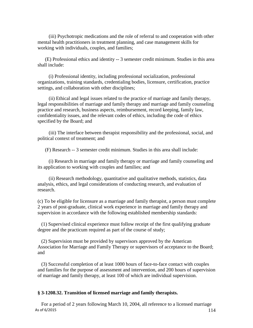(iii) Psychotropic medications and the role of referral to and cooperation with other mental health practitioners in treatment planning, and case management skills for working with individuals, couples, and families;

(E) Professional ethics and identity -- 3 semester credit minimum. Studies in this area shall include:

(i) Professional identity, including professional socialization, professional organizations, training standards, credentialing bodies, licensure, certification, practice settings, and collaboration with other disciplines;

(ii) Ethical and legal issues related to the practice of marriage and family therapy, legal responsibilities of marriage and family therapy and marriage and family counseling practice and research, business aspects, reimbursement, record keeping, family law, confidentiality issues, and the relevant codes of ethics, including the code of ethics specified by the Board; and

(iii) The interface between therapist responsibility and the professional, social, and political context of treatment; and

(F) Research -- 3 semester credit minimum. Studies in this area shall include:

(i) Research in marriage and family therapy or marriage and family counseling and its application to working with couples and families; and

(ii) Research methodology, quantitative and qualitative methods, statistics, data analysis, ethics, and legal considerations of conducting research, and evaluation of research.

(c) To be eligible for licensure as a marriage and family therapist, a person must complete 2 years of post-graduate, clinical work experience in marriage and family therapy and supervision in accordance with the following established membership standards:

(1) Supervised clinical experience must follow receipt of the first qualifying graduate degree and the practicum required as part of the course of study;

(2) Supervision must be provided by supervisors approved by the American Association for Marriage and Family Therapy or supervisors of acceptance to the Board; and

(3) Successful completion of at least 1000 hours of face-to-face contact with couples and families for the purpose of assessment and intervention, and 200 hours of supervision of marriage and family therapy, at least 100 of which are individual supervision.

#### **§ 3-1208.32. Transition of licensed marriage and family therapists.**

As of 6/2015  $114$ For a period of 2 years following March 10, 2004, all reference to a licensed marriage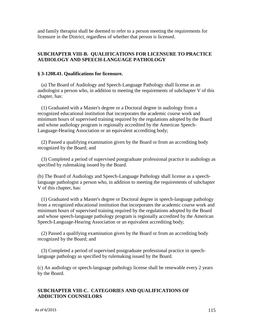and family therapist shall be deemed to refer to a person meeting the requirements for licensure in the District, regardless of whether that person is licensed.

#### **SUBCHAPTER VIII-B. QUALIFICATIONS FOR LICENSURE TO PRACTICE AUDIOLOGY AND SPEECH-LANGUAGE PATHOLOGY**

#### **§ 3-1208.41. Qualifications for licensure.**

(a) The Board of Audiology and Speech-Language Pathology shall license as an audiologist a person who, in addition to meeting the requirements of subchapter V of this chapter, has:

(1) Graduated with a Master's degree or a Doctoral degree in audiology from a recognized educational institution that incorporates the academic course work and minimum hours of supervised training required by the regulations adopted by the Board and whose audiology program is regionally accredited by the American Speech-Language-Hearing Association or an equivalent accrediting body;

(2) Passed a qualifying examination given by the Board or from an accrediting body recognized by the Board; and

(3) Completed a period of supervised postgraduate professional practice in audiology as specified by rulemaking issued by the Board.

(b) The Board of Audiology and Speech-Language Pathology shall license as a speechlanguage pathologist a person who, in addition to meeting the requirements of subchapter V of this chapter, has:

(1) Graduated with a Master's degree or Doctoral degree in speech-language pathology from a recognized educational institution that incorporates the academic course work and minimum hours of supervised training required by the regulations adopted by the Board and whose speech-language pathology program is regionally accredited by the American Speech-Language-Hearing Association or an equivalent accrediting body;

(2) Passed a qualifying examination given by the Board or from an accrediting body recognized by the Board; and

(3) Completed a period of supervised postgraduate professional practice in speechlanguage pathology as specified by rulemaking issued by the Board.

(c) An audiology or speech-language pathology license shall be renewable every 2 years by the Board.

### **SUBCHAPTER VIII-C. CATEGORIES AND QUALIFICATIONS OF ADDICTION COUNSELORS**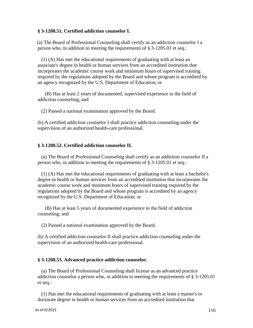#### **§ 3-1208.51. Certified addiction counselor I.**

(a) The Board of Professional Counseling shall certify as an addiction counselor I a person who, in addition to meeting the requirements of § 3-1205.01 et seq.:

(1) (A) Has met the educational requirements of graduating with at least an associate's degree in health or human services from an accredited institution that incorporates the academic course work and minimum hours of supervised training required by the regulations adopted by the Board and whose program is accredited by an agency recognized by the U.S. Department of Education; or

(B) Has at least 2 years of documented, supervised experience in the field of addiction counseling; and

(2) Passed a national examination approved by the Board.

(b) A certified addiction counselor I shall practice addiction counseling under the supervision of an authorized health-care professional.

#### **§ 3-1208.52. Certified addiction counselor II.**

(a) The Board of Professional Counseling shall certify as an addiction counselor II a person who, in addition to meeting the requirements of § 3-1205.01 et seq.:

(1) (A) Has met the educational requirements of graduating with at least a bachelor's degree in health or human services from an accredited institution that incorporates the academic course work and minimum hours of supervised training required by the regulations adopted by the Board and whose program is accredited by an agency recognized by the U.S. Department of Education; or

(B) Has at least 5 years of documented experience in the field of addiction counseling; and

(2) Passed a national examination approved by the Board.

(b) A certified addiction counselor II shall practice addiction counseling under the supervision of an authorized health-care professional.

#### **§ 3-1208.53. Advanced practice addiction counselor.**

(a) The Board of Professional Counseling shall license as an advanced practice addiction counselor a person who, in addition to meeting the requirements of § 3-1205.01 et seq.:

(1) Has met the educational requirements of graduating with at least a master's or doctorate degree in health or human services from an accredited institution that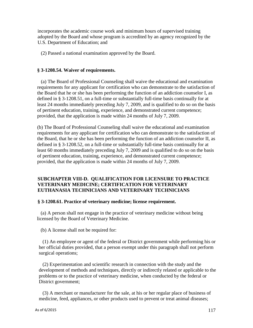incorporates the academic course work and minimum hours of supervised training adopted by the Board and whose program is accredited by an agency recognized by the U.S. Department of Education; and

(2) Passed a national examination approved by the Board.

#### **§ 3-1208.54. Waiver of requirements.**

(a) The Board of Professional Counseling shall waive the educational and examination requirements for any applicant for certification who can demonstrate to the satisfaction of the Board that he or she has been performing the function of an addiction counselor I, as defined in § 3-1208.51, on a full-time or substantially full-time basis continually for at least 24 months immediately preceding July 7, 2009, and is qualified to do so on the basis of pertinent education, training, experience, and demonstrated current competence; provided, that the application is made within 24 months of July 7, 2009.

(b) The Board of Professional Counseling shall waive the educational and examination requirements for any applicant for certification who can demonstrate to the satisfaction of the Board, that he or she has been performing the function of an addiction counselor II, as defined in § 3-1208.52, on a full-time or substantially full-time basis continually for at least 60 months immediately preceding July 7, 2009 and is qualified to do so on the basis of pertinent education, training, experience, and demonstrated current competence; provided, that the application is made within 24 months of July 7, 2009.

### **SUBCHAPTER VIII-D. QUALIFICATION FOR LICENSURE TO PRACTICE VETERINARY MEDICINE; CERTIFICATION FOR VETERINARY EUTHANASIA TECHNICIANS AND VETERINARY TECHNICIANS**

#### **§ 3-1208.61. Practice of veterinary medicine; license requirement.**

(a) A person shall not engage in the practice of veterinary medicine without being licensed by the Board of Veterinary Medicine.

(b) A license shall not be required for:

(1) An employee or agent of the federal or District government while performing his or her official duties provided, that a person exempt under this paragraph shall not perform surgical operations;

(2) Experimentation and scientific research in connection with the study and the development of methods and techniques, directly or indirectly related or applicable to the problems or to the practice of veterinary medicine, when conducted by the federal or District government;

(3) A merchant or manufacturer for the sale, at his or her regular place of business of medicine, feed, appliances, or other products used to prevent or treat animal diseases;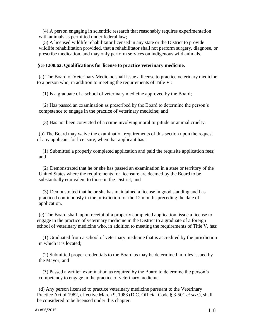(4) A person engaging in scientific research that reasonably requires experimentation with animals as permitted under federal law;

(5) A licensed wildlife rehabilitator licensed in any state or the District to provide wildlife rehabilitation provided, that a rehabilitator shall not perform surgery, diagnose, or prescribe medication, and may only perform services on indigenous wild animals.

#### **§ 3-1208.62. Qualifications for license to practice veterinary medicine.**

(a) The Board of Veterinary Medicine shall issue a license to practice veterinary medicine to a person who, in addition to meeting the requirements of Title V :

(1) Is a graduate of a school of veterinary medicine approved by the Board;

(2) Has passed an examination as prescribed by the Board to determine the person's competence to engage in the practice of veterinary medicine; and

(3) Has not been convicted of a crime involving moral turpitude or animal cruelty.

(b) The Board may waive the examination requirements of this section upon the request of any applicant for licensure, when that applicant has:

(1) Submitted a properly completed application and paid the requisite application fees; and

(2) Demonstrated that he or she has passed an examination in a state or territory of the United States where the requirements for licensure are deemed by the Board to be substantially equivalent to those in the District; and

(3) Demonstrated that he or she has maintained a license in good standing and has practiced continuously in the jurisdiction for the 12 months preceding the date of application.

(c) The Board shall, upon receipt of a properly completed application, issue a license to engage in the practice of veterinary medicine in the District to a graduate of a foreign school of veterinary medicine who, in addition to meeting the requirements of Title V, has:

(1) Graduated from a school of veterinary medicine that is accredited by the jurisdiction in which it is located;

(2) Submitted proper credentials to the Board as may be determined in rules issued by the Mayor; and

(3) Passed a written examination as required by the Board to determine the person's competency to engage in the practice of veterinary medicine.

(d) Any person licensed to practice veterinary medicine pursuant to the Veterinary Practice Act of 1982, effective March 9, 1983 (D.C. Official Code § 3-501 *et seq*.), shall be considered to be licensed under this chapter.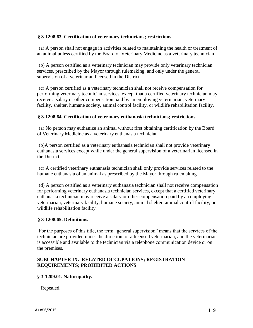### **§ 3-1208.63. Certification of veterinary technicians; restrictions.**

(a) A person shall not engage in activities related to maintaining the health or treatment of an animal unless certified by the Board of Veterinary Medicine as a veterinary technician.

(b) A person certified as a veterinary technician may provide only veterinary technician services, prescribed by the Mayor through rulemaking, and only under the general supervision of a veterinarian licensed in the District.

(c) A person certified as a veterinary technician shall not receive compensation for performing veterinary technician services, except that a certified veterinary technician may receive a salary or other compensation paid by an employing veterinarian, veterinary facility, shelter, humane society, animal control facility, or wildlife rehabilitation facility.

### **§ 3-1208.64. Certification of veterinary euthanasia technicians; restrictions.**

(a) No person may euthanize an animal without first obtaining certification by the Board of Veterinary Medicine as a veterinary euthanasia technician.

(b)A person certified as a veterinary euthanasia technician shall not provide veterinary euthanasia services except while under the general supervision of a veterinarian licensed in the District.

(c) A certified veterinary euthanasia technician shall only provide services related to the humane euthanasia of an animal as prescribed by the Mayor through rulemaking.

(d) A person certified as a veterinary euthanasia technician shall not receive compensation for performing veterinary euthanasia technician services, except that a certified veterinary euthanasia technician may receive a salary or other compensation paid by an employing veterinarian, veterinary facility, humane society, animal shelter, animal control facility, or wildlife rehabilitation facility.

#### **§ 3-1208.65. Definitions.**

For the purposes of this title, the term "general supervision" means that the services of the technician are provided under the direction of a licensed veterinarian, and the veterinarian is accessible and available to the technician via a telephone communication device or on the premises.

### **SUBCHAPTER IX. RELATED OCCUPATIONS; REGISTRATION REQUIREMENTS; PROHIBITED ACTIONS**

#### **§ 3-1209.01. Naturopathy.**

Repealed.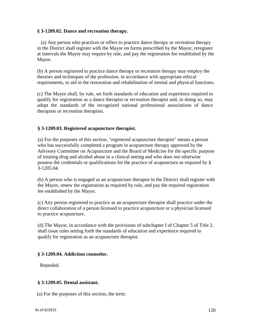#### **§ 3-1209.02. Dance and recreation therapy.**

(a) Any person who practices or offers to practice dance therapy or recreation therapy in the District shall register with the Mayor on forms prescribed by the Mayor, reregister at intervals the Mayor may require by rule, and pay the registration fee established by the Mayor.

(b) A person registered to practice dance therapy or recreation therapy may employ the theories and techniques of the profession, in accordance with appropriate ethical requirements, to aid in the restoration and rehabilitation of mental and physical functions.

(c) The Mayor shall, by rule, set forth standards of education and experience required to qualify for registration as a dance therapist or recreation therapist and, in doing so, may adopt the standards of the recognized national professional associations of dance therapists or recreation therapists.

### **§ 3-1209.03. Registered acupuncture therapist.**

(a) For the purposes of this section, "registered acupuncture therapist" means a person who has successfully completed a program in acupuncture therapy approved by the Advisory Committee on Acupuncture and the Board of Medicine for the specific purpose of treating drug and alcohol abuse in a clinical setting and who does not otherwise possess the credentials or qualifications for the practice of acupuncture as required by § 3-1205.04.

(b) A person who is engaged as an acupuncture therapist in the District shall register with the Mayor, renew the registration as required by rule, and pay the required registration fee established by the Mayor.

(c) Any person registered to practice as an acupuncture therapist shall practice under the direct collaboration of a person licensed to practice acupuncture or a physician licensed to practice acupuncture.

(d) The Mayor, in accordance with the provisions of subchapter I of Chapter 5 of Title 2, shall issue rules setting forth the standards of education and experience required to qualify for registration as an acupuncture therapist.

#### **§ 3-1209.04. Addiction counselor.**

Repealed.

#### **§ 3-1209.05. Dental assistant.**

(a) For the purposes of this section, the term: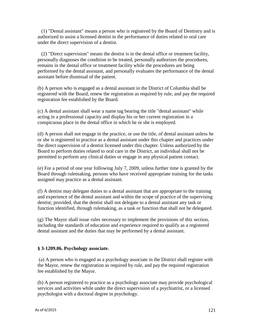(1) "Dental assistant" means a person who is registered by the Board of Dentistry and is authorized to assist a licensed dentist in the performance of duties related to oral care under the direct supervision of a dentist.

(2) "Direct supervision" means the dentist is in the dental office or treatment facility, personally diagnoses the condition to be treated, personally authorizes the procedures, remains in the dental office or treatment facility while the procedures are being performed by the dental assistant, and personally evaluates the performance of the dental assistant before dismissal of the patient.

(b) A person who is engaged as a dental assistant in the District of Columbia shall be registered with the Board, renew the registration as required by rule, and pay the required registration fee established by the Board.

(c) A dental assistant shall wear a name tag bearing the title "dental assistant" while acting in a professional capacity and display his or her current registration in a conspicuous place in the dental office in which he or she is employed.

(d) A person shall not engage in the practice, or use the title, of dental assistant unless he or she is registered to practice as a dental assistant under this chapter and practices under the direct supervision of a dentist licensed under this chapter. Unless authorized by the Board to perform duties related to oral care in the District, an individual shall not be permitted to perform any clinical duties or engage in any physical patient contact.

(e) For a period of one year following July 7, 2009, unless further time is granted by the Board through rulemaking, persons who have received appropriate training for the tasks assigned may practice as a dental assistant.

(f) A dentist may delegate duties to a dental assistant that are appropriate to the training and experience of the dental assistant and within the scope of practice of the supervising dentist; provided, that the dentist shall not delegate to a dental assistant any task or function identified, through rulemaking, as a task or function that shall not be delegated.

(g) The Mayor shall issue rules necessary to implement the provisions of this section, including the standards of education and experience required to qualify as a registered dental assistant and the duties that may be performed by a dental assistant.

## **§ 3-1209.06. Psychology associate.**

(a) A person who is engaged as a psychology associate in the District shall register with the Mayor, renew the registration as required by rule, and pay the required registration fee established by the Mayor.

(b) A person registered to practice as a psychology associate may provide psychological services and activities while under the direct supervision of a psychiatrist, or a licensed psychologist with a doctoral degree in psychology.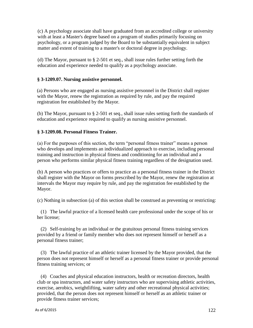(c) A psychology associate shall have graduated from an accredited college or university with at least a Master's degree based on a program of studies primarily focusing on psychology, or a program judged by the Board to be substantially equivalent in subject matter and extent of training to a master's or doctoral degree in psychology.

(d) The Mayor, pursuant to  $\S 2-501$  et seq., shall issue rules further setting forth the education and experience needed to qualify as a psychology associate.

## **§ 3-1209.07. Nursing assistive personnel.**

(a) Persons who are engaged as nursing assistive personnel in the District shall register with the Mayor, renew the registration as required by rule, and pay the required registration fee established by the Mayor.

(b) The Mayor, pursuant to § 2-501 et seq., shall issue rules setting forth the standards of education and experience required to qualify as nursing assistive personnel.

## **§ 3-1209.08. Personal Fitness Trainer.**

(a) For the purposes of this section, the term "personal fitness trainer" means a person who develops and implements an individualized approach to exercise, including personal training and instruction in physical fitness and conditioning for an individual and a person who performs similar physical fitness training regardless of the designation used.

(b) A person who practices or offers to practice as a personal fitness trainer in the District shall register with the Mayor on forms prescribed by the Mayor, renew the registration at intervals the Mayor may require by rule, and pay the registration fee established by the Mayor.

(c) Nothing in subsection (a) of this section shall be construed as preventing or restricting:

(1) The lawful practice of a licensed health care professional under the scope of his or her license;

(2) Self-training by an individual or the gratuitous personal fitness training services provided by a friend or family member who does not represent himself or herself as a personal fitness trainer;

(3) The lawful practice of an athletic trainer licensed by the Mayor provided, that the person does not represent himself or herself as a personal fitness trainer or provide personal fitness training services; or

(4) Coaches and physical education instructors, health or recreation directors, health club or spa instructors, and water safety instructors who are supervising athletic activities, exercise, aerobics, weightlifting, water safety and other recreational physical activities; provided, that the person does not represent himself or herself as an athletic trainer or provide fitness trainer services;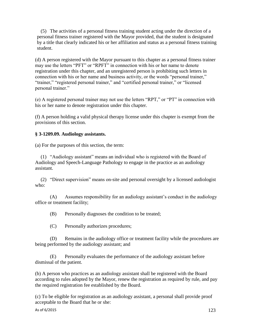(5) The activities of a personal fitness training student acting under the direction of a personal fitness trainer registered with the Mayor provided, that the student is designated by a title that clearly indicated his or her affiliation and status as a personal fitness training student.

(d) A person registered with the Mayor pursuant to this chapter as a personal fitness trainer may use the letters "PFT" or "RPFT" in connection with his or her name to denote registration under this chapter, and an unregistered person is prohibiting such letters in connection with his or her name and business activity, or the words "personal trainer," "trainer," "registered personal trainer," and "certified personal trainer," or "licensed personal trainer."

(e) A registered personal trainer may not use the letters "RPT," or "PT" in connection with his or her name to denote registration under this chapter.

(f) A person holding a valid physical therapy license under this chapter is exempt from the provisions of this section.

## **§ 3-1209.09. Audiology assistants.**

(a) For the purposes of this section, the term:

(1) "Audiology assistant" means an individual who is registered with the Board of Audiology and Speech-Language Pathology to engage in the practice as an audiology assistant.

(2) "Direct supervision" means on-site and personal oversight by a licensed audiologist who:

(A) Assumes responsibility for an audiology assistant's conduct in the audiology office or treatment facility;

(B) Personally diagnoses the condition to be treated;

(C) Personally authorizes procedures;

(D) Remains in the audiology office or treatment facility while the procedures are being performed by the audiology assistant; and

(E) Personally evaluates the performance of the audiology assistant before dismissal of the patient.

(b) A person who practices as an audiology assistant shall be registered with the Board according to rules adopted by the Mayor, renew the registration as required by rule, and pay the required registration fee established by the Board.

(c) To be eligible for registration as an audiology assistant, a personal shall provide proof acceptable to the Board that he or she: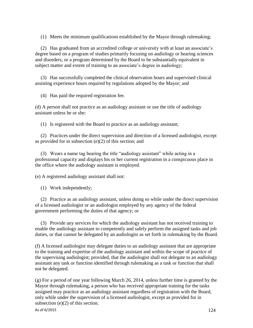(1) Meets the minimum qualifications established by the Mayor through rulemaking;

(2) Has graduated from an accredited college or university with at least an associate's degree based on a program of studies primarily focusing on audiology or hearing sciences and disorders, or a program determined by the Board to be substantially equivalent in subject matter and extent of training to an associate's degree in audiology;

(3) Has successfully completed the clinical observation hours and supervised clinical assisting experience hours required by regulations adopted by the Mayor; and

(4) Has paid the required registration fee.

(d) A person shall not practice as an audiology assistant or use the title of audiology assistant unless he or she:

(1) Is registered with the Board to practice as an audiology assistant;

(2) Practices under the direct supervision and direction of a licensed audiologist, except as provided for in subsection (e)(2) of this section; and

(3) Wears a name tag bearing the title "audiology assistant" while acting in a professional capacity and displays his or her current registration in a conspicuous place in the office where the audiology assistant is employed.

(e) A registered audiology assistant shall not:

(1) Work independently;

(2) Practice as an audiology assistant, unless doing so while under the direct supervision of a licensed audiologist or an audiologist employed by any agency of the federal government performing the duties of that agency; or

(3) Provide any services for which the audiology assistant has not received training to enable the audiology assistant to competently and safely perform the assigned tasks and job duties, or that cannot be delegated by an audiologist as set forth in rulemaking by the Board.

(f) A licensed audiologist may delegate duties to an audiology assistant that are appropriate to the training and expertise of the audiology assistant and within the scope of practice of the supervising audiologist; provided, that the audiologist shall not delegate to an audiology assistant any task or function identified through rulemaking as a task or function that shall not be delegated.

(g) For a period of one year following March 26, 2014, unless further time is granted by the Mayor through rulemaking, a person who has received appropriate training for the tasks assigned may practice as an audiology assistant regardless of registration with the Board, only while under the supervision of a licensed audiologist, except as provided for in subsection (e)(2) of this section.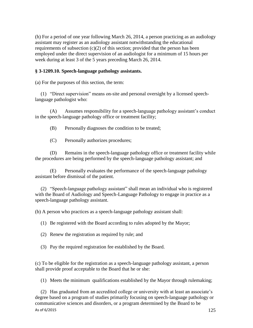(h) For a period of one year following March 26, 2014, a person practicing as an audiology assistant may register as an audiology assistant notwithstanding the educational requirements of subsection  $(c)(2)$  of this section; provided that the person has been employed under the direct supervision of an audiologist for a minimum of 15 hours per week during at least 3 of the 5 years preceding March 26, 2014.

### **§ 3-1209.10. Speech-language pathology assistants.**

(a) For the purposes of this section, the term:

(1) "Direct supervision" means on-site and personal oversight by a licensed speechlanguage pathologist who:

(A) Assumes responsibility for a speech-language pathology assistant's conduct in the speech-language pathology office or treatment facility;

(B) Personally diagnoses the condition to be treated;

(C) Personally authorizes procedures;

(D) Remains in the speech-language pathology office or treatment facility while the procedures are being performed by the speech-language pathology assistant; and

(E) Personally evaluates the performance of the speech-language pathology assistant before dismissal of the patient.

(2) "Speech-language pathology assistant" shall mean an individual who is registered with the Board of Audiology and Speech-Language Pathology to engage in practice as a speech-language pathology assistant.

(b) A person who practices as a speech-language pathology assistant shall:

(1) Be registered with the Board according to rules adopted by the Mayor;

(2) Renew the registration as required by rule; and

(3) Pay the required registration fee established by the Board.

(c) To be eligible for the registration as a speech-language pathology assistant, a person shall provide proof acceptable to the Board that he or she:

(1) Meets the minimum qualifications established by the Mayor through rulemaking;

(2) Has graduated from an accredited college or university with at least an associate's degree based on a program of studies primarily focusing on speech-language pathology or communicative sciences and disorders, or a program determined by the Board to be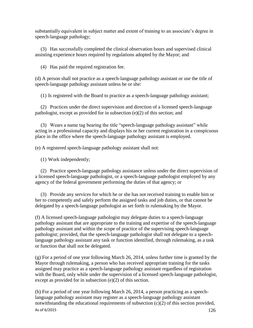substantially equivalent in subject matter and extent of training to an associate's degree in speech-language pathology;

(3) Has successfully completed the clinical observation hours and supervised clinical assisting experience hours required by regulations adopted by the Mayor; and

(4) Has paid the required registration fee.

(d) A person shall not practice as a speech-language pathology assistant or use the title of speech-language pathology assistant unless he or she:

(1) Is registered with the Board to practice as a speech-language pathology assistant;

(2) Practices under the direct supervision and direction of a licensed speech-language pathologist, except as provided for in subsection (e)(2) of this section; and

(3) Wears a name tag bearing the title "speech-language pathology assistant" while acting in a professional capacity and displays his or her current registration in a conspicuous place in the office where the speech-language pathology assistant is employed.

(e) A registered speech-language pathology assistant shall not:

(1) Work independently;

(2) Practice speech-language pathology assistance unless under the direct supervision of a licensed speech-language pathologist, or a speech-language pathologist employed by any agency of the federal government performing the duties of that agency; or

(3) Provide any services for which he or she has not received training to enable him or her to competently and safely perform the assigned tasks and job duties, or that cannot be delegated by a speech-language pathologist as set forth in rulemaking by the Mayor.

(f) A licensed speech-language pathologist may delegate duties to a speech-language pathology assistant that are appropriate to the training and expertise of the speech-language pathology assistant and within the scope of practice of the supervising speech-language pathologist; provided, that the speech-language pathologist shall not delegate to a speechlanguage pathology assistant any task or function identified, through rulemaking, as a task or function that shall not be delegated.

(g) For a period of one year following March 26, 2014, unless further time is granted by the Mayor through rulemaking, a person who has received appropriate training for the tasks assigned may practice as a speech-language pathology assistant regardless of registration with the Board, only while under the supervision of a licensed speech-language pathologist, except as provided for in subsection (e)(2) of this section.

(h) For a period of one year following March 26, 2014, a person practicing as a speechlanguage pathology assistant may register as a speech-language pathology assistant notwithstanding the educational requirements of subsection (c)(2) of this section provided,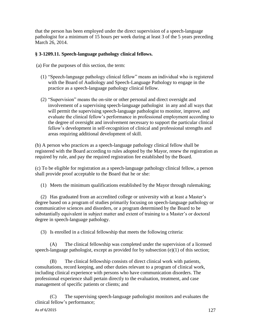that the person has been employed under the direct supervision of a speech-language pathologist for a minimum of 15 hours per week during at least 3 of the 5 years preceding March 26, 2014.

### **§ 3-1209.11. Speech-language pathology clinical fellows.**

(a) For the purposes of this section, the term:

- (1) "Speech-language pathology clinical fellow" means an individual who is registered with the Board of Audiology and Speech-Language Pathology to engage in the practice as a speech-language pathology clinical fellow.
- (2) "Supervision" means the on-site or other personal and direct oversight and involvement of a supervising speech-language pathologist in any and all ways that will permit the supervising speech-language pathologist to monitor, improve, and evaluate the clinical fellow's performance in professional employment according to the degree of oversight and involvement necessary to support the particular clinical fellow's development in self-recognition of clinical and professional strengths and areas requiring additional development of skill.

(b) A person who practices as a speech-language pathology clinical fellow shall be registered with the Board according to rules adopted by the Mayor, renew the registration as required by rule, and pay the required registration fee established by the Board.

(c) To be eligible for registration as a speech-language pathology clinical fellow, a person shall provide proof acceptable to the Board that he or she:

(1) Meets the minimum qualifications established by the Mayor through rulemaking;

(2) Has graduated from an accredited college or university with at least a Master's degree based on a program of studies primarily focusing on speech-language pathology or communicative sciences and disorders, or a program determined by the Board to be substantially equivalent in subject matter and extent of training to a Master's or doctoral degree in speech-language pathology.

(3) Is enrolled in a clinical fellowship that meets the following criteria:

(A) The clinical fellowship was completed under the supervision of a licensed speech-language pathologist, except as provided for by subsection (e)(1) of this section;

(B) The clinical fellowship consists of direct clinical work with patients, consultations, record keeping, and other duties relevant to a program of clinical work, including clinical experience with persons who have communication disorders. The professional experience shall pertain directly to the evaluation, treatment, and case management of specific patients or clients; and

(C) The supervising speech-language pathologist monitors and evaluates the clinical fellow's performance;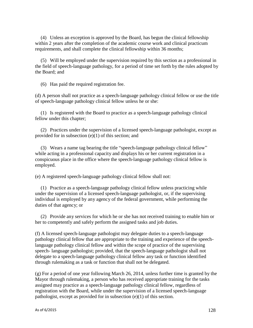(4) Unless an exception is approved by the Board, has begun the clinical fellowship within 2 years after the completion of the academic course work and clinical practicum requirements, and shall complete the clinical fellowship within 36 months;

(5) Will be employed under the supervision required by this section as a professional in the field of speech-language pathology, for a period of time set forth by the rules adopted by the Board; and

(6) Has paid the required registration fee.

(d) A person shall not practice as a speech-language pathology clinical fellow or use the title of speech-language pathology clinical fellow unless he or she:

(1) Is registered with the Board to practice as a speech-language pathology clinical fellow under this chapter;

(2) Practices under the supervision of a licensed speech-language pathologist, except as provided for in subsection (e)(1) of this section; and

(3) Wears a name tag bearing the title "speech-language pathology clinical fellow" while acting in a professional capacity and displays his or her current registration in a conspicuous place in the office where the speech-language pathology clinical fellow is employed.

(e) A registered speech-language pathology clinical fellow shall not:

(1) Practice as a speech-language pathology clinical fellow unless practicing while under the supervision of a licensed speech-language pathologist, or, if the supervising individual is employed by any agency of the federal government, while performing the duties of that agency; or

(2) Provide any services for which he or she has not received training to enable him or her to competently and safely perform the assigned tasks and job duties.

(f) A licensed speech-language pathologist may delegate duties to a speech-language pathology clinical fellow that are appropriate to the training and experience of the speechlanguage pathology clinical fellow and within the scope of practice of the supervising speech- language pathologist; provided, that the speech-language pathologist shall not delegate to a speech-language pathology clinical fellow any task or function identified through rulemaking as a task or function that shall not be delegated.

(g) For a period of one year following March 26, 2014, unless further time is granted by the Mayor through rulemaking, a person who has received appropriate training for the tasks assigned may practice as a speech-language pathology clinical fellow, regardless of registration with the Board, while under the supervision of a licensed speech-language pathologist, except as provided for in subsection (e)(1) of this section.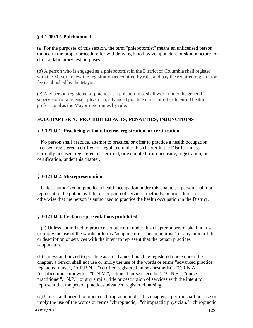### **§ 3-1209.12. Phlebotomist.**

(a) For the purposes of this section, the term "phlebotomist" means an unlicensed person trained in the proper procedure for withdrawing blood by venipuncture or skin puncture for clinical laboratory test purposes.

(b) A person who is engaged as a phlebotomist in the District of Columbia shall register with the Mayor, renew the registration as required by rule, and pay the required registration fee established by the Mayor.

(c) Any person registered to practice as a phlebotomist shall work under the general supervision of a licensed physician, advanced practice nurse, or other licensed health professional as the Mayor determines by rule.

# **SUBCHAPTER X. PROHIBITED ACTS; PENALTIES; INJUNCTIONS**

## **§ 3-1210.01. Practicing without license, registration, or certification.**

No person shall practice, attempt to practice, or offer to practice a health occupation licensed, registered, certified, or regulated under this chapter in the District unless currently licensed, registered, or certified, or exempted from licensure, registration, or certification, under this chapter.

## **§ 3-1210.02. Misrepresentation.**

Unless authorized to practice a health occupation under this chapter, a person shall not represent to the public by title, description of services, methods, or procedures, or otherwise that the person is authorized to practice the health occupation in the District.

## **§ 3-1210.03. Certain representations prohibited.**

(a) Unless authorized to practice acupuncture under this chapter, a person shall not use or imply the use of the words or terms "acupuncture," "acupuncturist," or any similar title or description of services with the intent to represent that the person practices acupuncture.

(b) Unless authorized to practice as an advanced practice registered nurse under this chapter, a person shall not use or imply the use of the words or terms "advanced practice registered nurse", "A.P.R.N.", "certified registered nurse anesthetist", "C.R.N.A.", "certified nurse midwife", "C.N.M.", "clinical nurse specialist", "C.N.S.", "nurse practitioner", "N.P.", or any similar title or description of services with the intent to represent that the person practices advanced registered nursing.

(c) Unless authorized to practice chiropractic under this chapter, a person shall not use or imply the use of the words or terms "chiropractic," "chiropractic physician," "chiropractic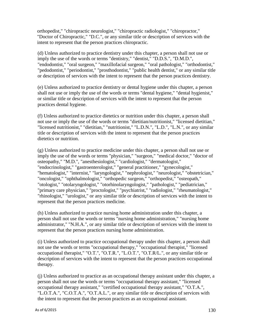orthopedist," "chiropractic neurologist," "chiropractic radiologist," "chiropractor," "Doctor of Chiropractic," "D.C.", or any similar title or description of services with the intent to represent that the person practices chiropractic.

(d) Unless authorized to practice dentistry under this chapter, a person shall not use or imply the use of the words or terms "dentistry," "dentist," "D.D.S.", "D.M.D.", "endodontist," "oral surgeon," "maxillofacial surgeon," "oral pathologist," "orthodontist," "pedodontist," "periodontist," "prosthodontist," "public health dentist," or any similar title or description of services with the intent to represent that the person practices dentistry.

(e) Unless authorized to practice dentistry or dental hygiene under this chapter, a person shall not use or imply the use of the words or terms "dental hygiene," "dental hygienist," or similar title or description of services with the intent to represent that the person practices dental hygiene.

(f) Unless authorized to practice dietetics or nutrition under this chapter, a person shall not use or imply the use of the words or terms "dietitian/nutritionist," "licensed dietitian," "licensed nutritionist," "dietitian," "nutritionist," "L.D.N.", "L.D.", "L.N.", or any similar title or description of services with the intent to represent that the person practices dietetics or nutrition.

(g) Unless authorized to practice medicine under this chapter, a person shall not use or imply the use of the words or terms "physician," "surgeon," "medical doctor," "doctor of osteopathy," "M.D.", "anesthesiologist," "cardiologist," "dermatologist," "endocrinologist," "gastroenterologist," "general practitioner," "gynecologist," "hematologist," "internist," "laryngologist," "nephrologist," "neurologist," "obstetrician," "oncologist," "ophthalmologist," "orthopedic surgeon," "orthopedist," "osteopath," "otologist," "otolaryngologist," "otorhinolaryngologist," "pathologist," "pediatrician," "primary care physician," "proctologist," "psychiatrist," "radiologist," "rheumatologist," "rhinologist," "urologist," or any similar title or description of services with the intent to represent that the person practices medicine.

(h) Unless authorized to practice nursing home administration under this chapter, a person shall not use the words or terms "nursing home administration," "nursing home administrator," "N.H.A.", or any similar title or description of services with the intent to represent that the person practices nursing home administration.

(i) Unless authorized to practice occupational therapy under this chapter, a person shall not use the words or terms "occupational therapy," "occupational therapist," "licensed occupational therapist," "O.T.", "O.T.R.", "L.O.T.", "O.T.R/L.", or any similar title or description of services with the intent to represent that the person practices occupational therapy.

(j) Unless authorized to practice as an occupational therapy assistant under this chapter, a person shall not use the words or terms "occupational therapy assistant," "licensed occupational therapy assistant," "certified occupational therapy assistant," "O.T.A.", "L.O.T.A.", "C.O.T.A.", "O.T.A.L.", or any similar title or description of services with the intent to represent that the person practices as an occupational assistant.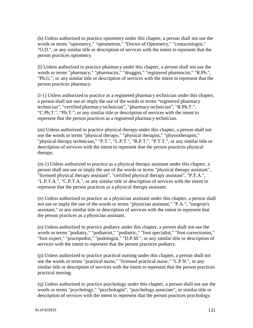(k) Unless authorized to practice optometry under this chapter, a person shall not use the words or terms "optometry," "optometrist," "Doctor of Optometry," "contactologist," "O.D.", or any similar title or description of services with the intent to represent that the person practices optometry.

(l) Unless authorized to practice pharmacy under this chapter, a person shall not use the words or terms "pharmacy," "pharmacist," "druggist," "registered pharmacist," "R.Ph.", "Ph.G.", or any similar title or description of services with the intent to represent that the person practices pharmacy.

(l-1) Unless authorized to practice as a registered pharmacy technician under this chapter, a person shall not use or imply the use of the words or terms "registered pharmacy technician", "certified pharmacy technician", "pharmacy technician", "R.Ph.T.", "C.Ph.T.", "Ph.T.", or any similar title or description of services with the intent to represent that the person practices as a registered pharmacy technician.

(m) Unless authorized to practice physical therapy under this chapter, a person shall not use the words or terms "physical therapy," "physical therapist," "physiotherapist," "physical therapy technician," "P.T.", "L.P.T.", "R.P.T.", "P.T.T.", or any similar title or description of services with the intent to represent that the person practices physical therapy.

(m-1) Unless authorized to practice as a physical therapy assistant under this chapter, a person shall not use or imply the use of the words or terms "physical therapy assistant", "licensed physical therapy assistant", "certified physical therapy assistant", "P.T.A.", "L.P.T.A.", "C.P.T.A.", or any similar title or description of services with the intent to represent that the person practices as a physical therapy assistant.

(n) Unless authorized to practice as a physician assistant under this chapter, a person shall not use or imply the use of the words or terms "physician assistant," "P.A.", "surgeon's assistant," or any similar title or description of services with the intent to represent that the person practices as a physician assistant.

(o) Unless authorized to practice podiatry under this chapter, a person shall not use the words or terms "podiatry," "podiatrist," "podiatric," "foot specialist," "foot correctionist," "foot expert," "practipedist," "podologist," "D.P.M.", or any similar title or description of services with the intent to represent that the person practices podiatry.

(p) Unless authorized to practice practical nursing under this chapter, a person shall not use the words or terms "practical nurse," "licensed practical nurse," "L.P.N.", or any similar title or description of services with the intent to represent that the person practices practical nursing.

(q) Unless authorized to practice psychology under this chapter, a person shall not use the words or terms "psychology," "psychologist", "psychology associate", or similar title or description of services with the intent to represent that the person practices psychology.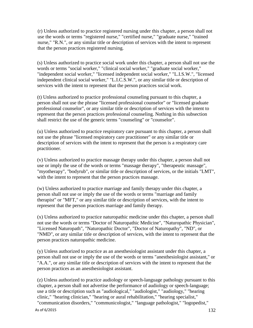(r) Unless authorized to practice registered nursing under this chapter, a person shall not use the words or terms "registered nurse," "certified nurse," "graduate nurse," "trained nurse," "R.N.", or any similar title or description of services with the intent to represent that the person practices registered nursing.

(s) Unless authorized to practice social work under this chapter, a person shall not use the words or terms "social worker," "clinical social worker," "graduate social worker," "independent social worker," "licensed independent social worker," "L.I.S.W.", "licensed independent clinical social worker," "L.I.C.S.W.", or any similar title or description of services with the intent to represent that the person practices social work.

(t) Unless authorized to practice professional counseling pursuant to this chapter, a person shall not use the phrase "licensed professional counselor" or "licensed graduate professional counselor", or any similar title or description of services with the intent to represent that the person practices professional counseling. Nothing in this subsection shall restrict the use of the generic terms "counseling" or "counselor".

(u) Unless authorized to practice respiratory care pursuant to this chapter, a person shall not use the phrase "licensed respiratory care practitioner" or any similar title or description of services with the intent to represent that the person is a respiratory care practitioner.

(v) Unless authorized to practice massage therapy under this chapter, a person shall not use or imply the use of the words or terms "massage therapy", "therapeutic massage", "myotherapy", "bodyrub", or similar title or description of services, or the initials "LMT", with the intent to represent that the person practices massage.

(w) Unless authorized to practice marriage and family therapy under this chapter, a person shall not use or imply the use of the words or terms "marriage and family therapist" or "MFT," or any similar title or description of services, with the intent to represent that the person practices marriage and family therapy.

(x) Unless authorized to practice naturopathic medicine under this chapter, a person shall not use the words or terms "Doctor of Naturopathic Medicine", "Naturopathic Physician", "Licensed Naturopath", "Naturopathic Doctor", "Doctor of Naturopathy", "ND", or "NMD", or any similar title or description of services, with the intent to represent that the person practices naturopathic medicine.

(y) Unless authorized to practice as an anesthesiologist assistant under this chapter, a person shall not use or imply the use of the words or terms "anesthesiologist assistant," or "A.A.", or any similar title or description of services with the intent to represent that the person practices as an anesthesiologist assistant.

(z) Unless authorized to practice audiology or speech-language pathology pursuant to this chapter, a person shall not advertise the performance of audiology or speech-language; use a title or description such as "audiological," "audiologist," "audiology," "hearing clinic," "hearing clinician," "hearing or aural rehabilitation," "hearing specialist," "communication disorders," "communicologist," "language pathologist," "logopedist,"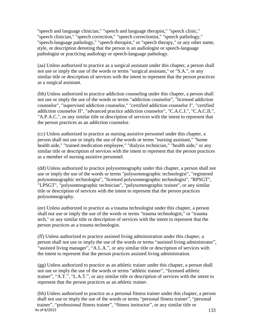"speech and language clinician," "speech and language therapist," "speech clinic," "speech clinician," "speech correction," "speech correctionist," "speech pathology," "speech-language pathology," "speech therapist," or "speech therapy," or any other name, style, or description denoting that the person is an audiologist or speech-language pathologist or practicing audiology or speech-language pathology.

(aa) Unless authorized to practice as a surgical assistant under this chapter, a person shall not use or imply the use of the words or terms "surgical assistant," or "S.A.", or any similar title or description of services with the intent to represent that the person practices as a surgical assistant.

(bb) Unless authorized to practice addiction counseling under this chapter, a person shall not use or imply the use of the words or terms "addiction counselor", "licensed addiction counselor", "supervised addiction counselor," "certified addiction counselor I", "certified addiction counselor II", "advanced practice addiction counselor", "C.A.C.I.", "C.A.C.II.", "A.P.A.C.", or any similar title or description of services with the intent to represent that the person practices as an addiction counselor.

(cc) Unless authorized to practice as nursing assistive personnel under this chapter, a person shall not use or imply the use of the words or terms "nursing assistant," "home health aide," "trained medication employee," "dialysis technician," "health aide," or any similar title or description of services with the intent to represent that the person practices as a member of nursing assistive personnel.

(dd) Unless authorized to practice polysomnography under this chapter, a person shall not use or imply the use of the words or terms "polysomnographic technologist", "registered polysomnographic technologist", "licensed polysomnographic technologist", "RPSGT", "LPSGT", "polysomnographic technician", "polysomnographic trainee", or any similar title or description of services with the intent to represent that the person practices polysomnography.

(ee) Unless authorized to practice as a trauma technologist under this chapter, a person shall not use or imply the use of the words or terms "trauma technologist," or "trauma tech," or any similar title or description of services with the intent to represent that the person practices as a trauma technologist.

(ff) Unless authorized to practice assisted living administration under this chapter, a person shall not use or imply the use of the words or terms "assisted living administrator", "assisted living manager", "A.L.A.", or any similar title or description of services with the intent to represent that the person practices assisted living administration.

(gg) Unless authorized to practice as an athletic trainer under this chapter, a person shall not use or imply the use of the words or terms "athletic trainer", "licensed athletic trainer", "A.T.", "L.A.T.", or any similar title or description of services with the intent to represent that the person practices as an athletic trainer.

As of  $6/2015$  133 (hh) Unless authorized to practice as a personal fitness trainer under this chapter, a person shall not use or imply the use of the words or terms "personal fitness trainer", "personal trainer", "professional fitness trainer", "fitness instructor", or any similar title or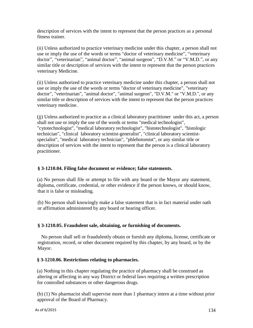description of services with the intent to represent that the person practices as a personal fitness trainer.

(ii) Unless authorized to practice veterinary medicine under this chapter, a person shall not use or imply the use of the words or terms "doctor of veterinary medicine", "veterinary doctor", "veterinarian", "animal doctor", "animal surgeon", "D.V.M." or "V.M.D.", or any similar title or description of services with the intent to represent that the person practices veterinary Medicine.

(ii) Unless authorized to practice veterinary medicine under this chapter, a person shall not use or imply the use of the words or terms "doctor of veterinary medicine", "veterinary doctor", "veterinarian", "animal doctor", "animal surgeon", "D.V.M." or "V.M.D.", or any similar title or description of services with the intent to represent that the person practices veterinary medicine.

(jj) Unless authorized to practice as a clinical laboratory practitioner under this act, a person shall not use or imply the use of the words or terms "medical technologist", "cytotechnologist", "medical laboratory technologist", "histotechnologist", "histologic technician", "clinical laboratory scientist-generalist", "clinical laboratory scientistspecialist", "medical laboratory technician", "phlebotomist", or any similar title or description of services with the intent to represent that the person is a clinical laboratory practitioner.

## **§ 3-1210.04. Filing false document or evidence; false statements.**

(a) No person shall file or attempt to file with any board or the Mayor any statement, diploma, certificate, credential, or other evidence if the person knows, or should know, that it is false or misleading.

(b) No person shall knowingly make a false statement that is in fact material under oath or affirmation administered by any board or hearing officer.

# **§ 3-1210.05. Fraudulent sale, obtaining, or furnishing of documents.**

No person shall sell or fraudulently obtain or furnish any diploma, license, certificate or registration, record, or other document required by this chapter, by any board, or by the Mayor.

## **§ 3-1210.06. Restrictions relating to pharmacies.**

(a) Nothing in this chapter regulating the practice of pharmacy shall be construed as altering or affecting in any way District or federal laws requiring a written prescription for controlled substances or other dangerous drugs.

(b) (1) No pharmacist shall supervise more than 1 pharmacy intern at a time without prior approval of the Board of Pharmacy.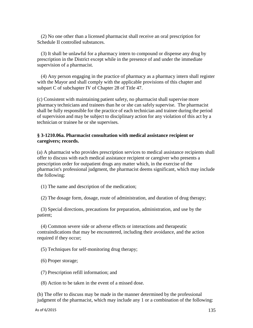(2) No one other than a licensed pharmacist shall receive an oral prescription for Schedule II controlled substances.

(3) It shall be unlawful for a pharmacy intern to compound or dispense any drug by prescription in the District except while in the presence of and under the immediate supervision of a pharmacist.

(4) Any person engaging in the practice of pharmacy as a pharmacy intern shall register with the Mayor and shall comply with the applicable provisions of this chapter and subpart C of subchapter IV of Chapter 28 of Title 47.

(c) Consistent with maintaining patient safety, no pharmacist shall supervise more pharmacy technicians and trainees than he or she can safely supervise. The pharmacist shall be fully responsible for the practice of each technician and trainee during the period of supervision and may be subject to disciplinary action for any violation of this act by a technician or trainee he or she supervises.

### **§ 3-1210.06a. Pharmacist consultation with medical assistance recipient or caregivers; records.**

(a) A pharmacist who provides prescription services to medical assistance recipients shall offer to discuss with each medical assistance recipient or caregiver who presents a prescription order for outpatient drugs any matter which, in the exercise of the pharmacist's professional judgment, the pharmacist deems significant, which may include the following:

(1) The name and description of the medication;

(2) The dosage form, dosage, route of administration, and duration of drug therapy;

(3) Special directions, precautions for preparation, administration, and use by the patient;

(4) Common severe side or adverse effects or interactions and therapeutic contraindications that may be encountered, including their avoidance, and the action required if they occur;

(5) Techniques for self-monitoring drug therapy;

(6) Proper storage;

(7) Prescription refill information; and

(8) Action to be taken in the event of a missed dose.

(b) The offer to discuss may be made in the manner determined by the professional judgment of the pharmacist, which may include any 1 or a combination of the following: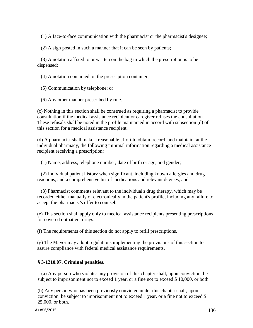(1) A face-to-face communication with the pharmacist or the pharmacist's designee;

(2) A sign posted in such a manner that it can be seen by patients;

(3) A notation affixed to or written on the bag in which the prescription is to be dispensed;

(4) A notation contained on the prescription container;

(5) Communication by telephone; or

(6) Any other manner prescribed by rule.

(c) Nothing in this section shall be construed as requiring a pharmacist to provide consultation if the medical assistance recipient or caregiver refuses the consultation. These refusals shall be noted in the profile maintained in accord with subsection (d) of this section for a medical assistance recipient.

(d) A pharmacist shall make a reasonable effort to obtain, record, and maintain, at the individual pharmacy, the following minimal information regarding a medical assistance recipient receiving a prescription:

(1) Name, address, telephone number, date of birth or age, and gender;

(2) Individual patient history when significant, including known allergies and drug reactions, and a comprehensive list of medications and relevant devices; and

(3) Pharmacist comments relevant to the individual's drug therapy, which may be recorded either manually or electronically in the patient's profile, including any failure to accept the pharmacist's offer to counsel.

(e) This section shall apply only to medical assistance recipients presenting prescriptions for covered outpatient drugs.

(f) The requirements of this section do not apply to refill prescriptions.

(g) The Mayor may adopt regulations implementing the provisions of this section to assure compliance with federal medical assistance requirements.

## **§ 3-1210.07. Criminal penalties.**

(a) Any person who violates any provision of this chapter shall, upon conviction, be subject to imprisonment not to exceed 1 year, or a fine not to exceed \$ 10,000, or both.

(b) Any person who has been previously convicted under this chapter shall, upon conviction, be subject to imprisonment not to exceed 1 year, or a fine not to exceed \$ 25,000, or both.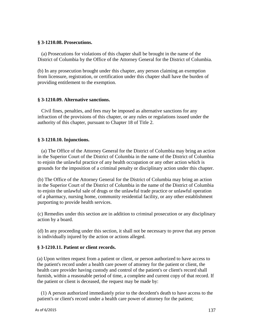#### **§ 3-1210.08. Prosecutions.**

(a) Prosecutions for violations of this chapter shall be brought in the name of the District of Columbia by the Office of the Attorney General for the District of Columbia.

(b) In any prosecution brought under this chapter, any person claiming an exemption from licensure, registration, or certification under this chapter shall have the burden of providing entitlement to the exemption.

#### **§ 3-1210.09. Alternative sanctions.**

Civil fines, penalties, and fees may be imposed as alternative sanctions for any infraction of the provisions of this chapter, or any rules or regulations issued under the authority of this chapter, pursuant to Chapter 18 of Title 2.

#### **§ 3-1210.10. Injunctions.**

(a) The Office of the Attorney General for the District of Columbia may bring an action in the Superior Court of the District of Columbia in the name of the District of Columbia to enjoin the unlawful practice of any health occupation or any other action which is grounds for the imposition of a criminal penalty or disciplinary action under this chapter.

(b) The Office of the Attorney General for the District of Columbia may bring an action in the Superior Court of the District of Columbia in the name of the District of Columbia to enjoin the unlawful sale of drugs or the unlawful trade practice or unlawful operation of a pharmacy, nursing home, community residential facility, or any other establishment purporting to provide health services.

(c) Remedies under this section are in addition to criminal prosecution or any disciplinary action by a board.

(d) In any proceeding under this section, it shall not be necessary to prove that any person is individually injured by the action or actions alleged.

#### **§ 3-1210.11. Patient or client records.**

(a) Upon written request from a patient or client, or person authorized to have access to the patient's record under a health care power of attorney for the patient or client, the health care provider having custody and control of the patient's or client's record shall furnish, within a reasonable period of time, a complete and current copy of that record. If the patient or client is deceased, the request may be made by:

(1) A person authorized immediately prior to the decedent's death to have access to the patient's or client's record under a health care power of attorney for the patient;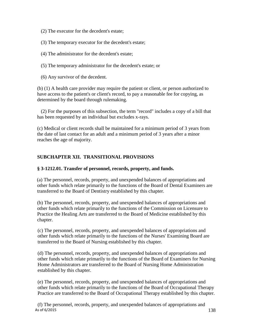(2) The executor for the decedent's estate;

(3) The temporary executor for the decedent's estate;

(4) The administrator for the decedent's estate;

(5) The temporary administrator for the decedent's estate; or

(6) Any survivor of the decedent.

(b) (1) A health care provider may require the patient or client, or person authorized to have access to the patient's or client's record, to pay a reasonable fee for copying, as determined by the board through rulemaking.

(2) For the purposes of this subsection, the term "record" includes a copy of a bill that has been requested by an individual but excludes x-rays.

(c) Medical or client records shall be maintained for a minimum period of 3 years from the date of last contact for an adult and a minimum period of 3 years after a minor reaches the age of majority.

# **SUBCHAPTER XII. TRANSITIONAL PROVISIONS**

## **§ 3-1212.01. Transfer of personnel, records, property, and funds.**

(a) The personnel, records, property, and unexpended balances of appropriations and other funds which relate primarily to the functions of the Board of Dental Examiners are transferred to the Board of Dentistry established by this chapter.

(b) The personnel, records, property, and unexpended balances of appropriations and other funds which relate primarily to the functions of the Commission on Licensure to Practice the Healing Arts are transferred to the Board of Medicine established by this chapter.

(c) The personnel, records, property, and unexpended balances of appropriations and other funds which relate primarily to the functions of the Nurses' Examining Board are transferred to the Board of Nursing established by this chapter.

(d) The personnel, records, property, and unexpended balances of appropriations and other funds which relate primarily to the functions of the Board of Examiners for Nursing Home Administrators are transferred to the Board of Nursing Home Administration established by this chapter.

(e) The personnel, records, property, and unexpended balances of appropriations and other funds which relate primarily to the functions of the Board of Occupational Therapy Practice are transferred to the Board of Occupational Therapy established by this chapter.

As of  $6/2015$  138 (f) The personnel, records, property, and unexpended balances of appropriations and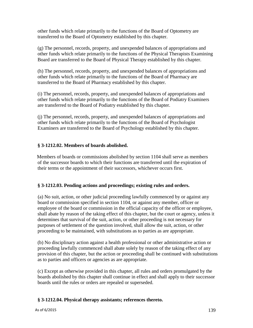other funds which relate primarily to the functions of the Board of Optometry are transferred to the Board of Optometry established by this chapter.

(g) The personnel, records, property, and unexpended balances of appropriations and other funds which relate primarily to the functions of the Physical Therapists Examining Board are transferred to the Board of Physical Therapy established by this chapter.

(h) The personnel, records, property, and unexpended balances of appropriations and other funds which relate primarily to the functions of the Board of Pharmacy are transferred to the Board of Pharmacy established by this chapter.

(i) The personnel, records, property, and unexpended balances of appropriations and other funds which relate primarily to the functions of the Board of Podiatry Examiners are transferred to the Board of Podiatry established by this chapter.

(j) The personnel, records, property, and unexpended balances of appropriations and other funds which relate primarily to the functions of the Board of Psychologist Examiners are transferred to the Board of Psychology established by this chapter.

## **§ 3-1212.02. Members of boards abolished.**

Members of boards or commissions abolished by section 1104 shall serve as members of the successor boards to which their functions are transferred until the expiration of their terms or the appointment of their successors, whichever occurs first.

# **§ 3-1212.03. Pending actions and proceedings; existing rules and orders.**

(a) No suit, action, or other judicial proceeding lawfully commenced by or against any board or commission specified in section 1104, or against any member, officer or employee of the board or commission in the official capacity of the officer or employee, shall abate by reason of the taking effect of this chapter, but the court or agency, unless it determines that survival of the suit, action, or other proceeding is not necessary for purposes of settlement of the question involved, shall allow the suit, action, or other proceeding to be maintained, with substitutions as to parties as are appropriate.

(b) No disciplinary action against a health professional or other administrative action or proceeding lawfully commenced shall abate solely by reason of the taking effect of any provision of this chapter, but the action or proceeding shall be continued with substitutions as to parties and officers or agencies as are appropriate.

(c) Except as otherwise provided in this chapter, all rules and orders promulgated by the boards abolished by this chapter shall continue in effect and shall apply to their successor boards until the rules or orders are repealed or superseded.

# **§ 3-1212.04. Physical therapy assistants; references thereto.**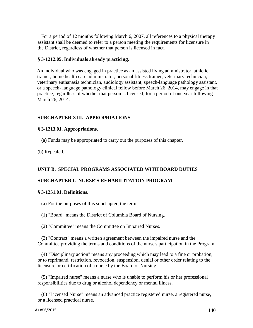For a period of 12 months following March 6, 2007, all references to a physical therapy assistant shall be deemed to refer to a person meeting the requirements for licensure in the District, regardless of whether that person is licensed in fact.

#### **§ 3-1212.05. Individuals already practicing.**

An individual who was engaged in practice as an assisted living administrator, athletic trainer, home health care administrator, personal fitness trainer, veterinary technician, veterinary euthanasia technician, audiology assistant, speech-language pathology assistant, or a speech- language pathology clinical fellow before March 26, 2014, may engage in that practice, regardless of whether that person is licensed, for a period of one year following March 26, 2014.

#### **SUBCHAPTER XIII. APPROPRIATIONS**

#### **§ 3-1213.01. Appropriations.**

(a) Funds may be appropriated to carry out the purposes of this chapter.

(b) Repealed.

#### **UNIT B. SPECIAL PROGRAMS ASSOCIATED WITH BOARD DUTIES**

#### **SUBCHAPTER I. NURSE'S REHABILITATION PROGRAM**

#### **§ 3-1251.01. Definitions.**

- (a) For the purposes of this subchapter, the term:
- (1) "Board" means the District of Columbia Board of Nursing.
- (2) "Committee" means the Committee on Impaired Nurses.

(3) "Contract" means a written agreement between the impaired nurse and the Committee providing the terms and conditions of the nurse's participation in the Program.

(4) "Disciplinary action" means any proceeding which may lead to a fine or probation, or to reprimand, restriction, revocation, suspension, denial or other order relating to the licensure or certification of a nurse by the Board of Nursing.

(5) "Impaired nurse" means a nurse who is unable to perform his or her professional responsibilities due to drug or alcohol dependency or mental illness.

(6) "Licensed Nurse" means an advanced practice registered nurse, a registered nurse, or a licensed practical nurse.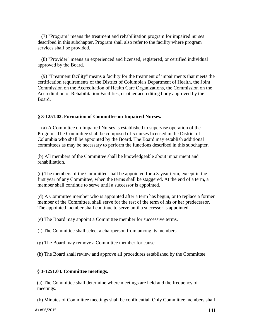(7) "Program" means the treatment and rehabilitation program for impaired nurses described in this subchapter. Program shall also refer to the facility where program services shall be provided.

(8) "Provider" means an experienced and licensed, registered, or certified individual approved by the Board.

(9) "Treatment facility" means a facility for the treatment of impairments that meets the certification requirements of the District of Columbia's Department of Health, the Joint Commission on the Accreditation of Health Care Organizations, the Commission on the Accreditation of Rehabilitation Facilities, or other accrediting body approved by the Board.

#### **§ 3-1251.02. Formation of Committee on Impaired Nurses.**

(a) A Committee on Impaired Nurses is established to supervise operation of the Program. The Committee shall be composed of 5 nurses licensed in the District of Columbia who shall be appointed by the Board. The Board may establish additional committees as may be necessary to perform the functions described in this subchapter.

(b) All members of the Committee shall be knowledgeable about impairment and rehabilitation.

(c) The members of the Committee shall be appointed for a 3-year term, except in the first year of any Committee, when the terms shall be staggered. At the end of a term, a member shall continue to serve until a successor is appointed.

(d) A Committee member who is appointed after a term has begun, or to replace a former member of the Committee, shall serve for the rest of the term of his or her predecessor. The appointed member shall continue to serve until a successor is appointed.

(e) The Board may appoint a Committee member for successive terms.

(f) The Committee shall select a chairperson from among its members.

(g) The Board may remove a Committee member for cause.

(h) The Board shall review and approve all procedures established by the Committee.

#### **§ 3-1251.03. Committee meetings.**

(a) The Committee shall determine where meetings are held and the frequency of meetings.

(b) Minutes of Committee meetings shall be confidential. Only Committee members shall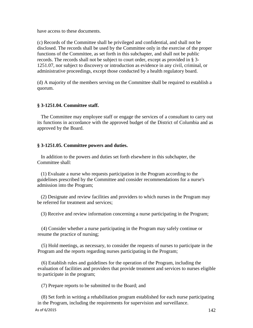have access to these documents.

(c) Records of the Committee shall be privileged and confidential, and shall not be disclosed. The records shall be used by the Committee only in the exercise of the proper functions of the Committee, as set forth in this subchapter, and shall not be public records. The records shall not be subject to court order, except as provided in § 3- 1251.07, nor subject to discovery or introduction as evidence in any civil, criminal, or administrative proceedings, except those conducted by a health regulatory board.

(d) A majority of the members serving on the Committee shall be required to establish a quorum.

### **§ 3-1251.04. Committee staff.**

The Committee may employee staff or engage the services of a consultant to carry out its functions in accordance with the approved budget of the District of Columbia and as approved by the Board.

### **§ 3-1251.05. Committee powers and duties.**

In addition to the powers and duties set forth elsewhere in this subchapter, the Committee shall:

(1) Evaluate a nurse who requests participation in the Program according to the guidelines prescribed by the Committee and consider recommendations for a nurse's admission into the Program;

(2) Designate and review facilities and providers to which nurses in the Program may be referred for treatment and services;

(3) Receive and review information concerning a nurse participating in the Program;

(4) Consider whether a nurse participating in the Program may safely continue or resume the practice of nursing;

(5) Hold meetings, as necessary, to consider the requests of nurses to participate in the Program and the reports regarding nurses participating in the Program;

(6) Establish rules and guidelines for the operation of the Program, including the evaluation of facilities and providers that provide treatment and services to nurses eligible to participate in the program;

(7) Prepare reports to be submitted to the Board; and

(8) Set forth in writing a rehabilitation program established for each nurse participating in the Program, including the requirements for supervision and surveillance.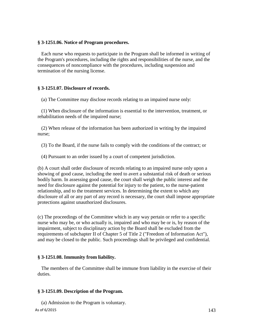### **§ 3-1251.06. Notice of Program procedures.**

Each nurse who requests to participate in the Program shall be informed in writing of the Program's procedures, including the rights and responsibilities of the nurse, and the consequences of noncompliance with the procedures, including suspension and termination of the nursing license.

## **§ 3-1251.07. Disclosure of records.**

(a) The Committee may disclose records relating to an impaired nurse only:

(1) When disclosure of the information is essential to the intervention, treatment, or rehabilitation needs of the impaired nurse;

(2) When release of the information has been authorized in writing by the impaired nurse;

(3) To the Board, if the nurse fails to comply with the conditions of the contract; or

(4) Pursuant to an order issued by a court of competent jurisdiction.

(b) A court shall order disclosure of records relating to an impaired nurse only upon a showing of good cause, including the need to avert a substantial risk of death or serious bodily harm. In assessing good cause, the court shall weigh the public interest and the need for disclosure against the potential for injury to the patient, to the nurse-patient relationship, and to the treatment services. In determining the extent to which any disclosure of all or any part of any record is necessary, the court shall impose appropriate protections against unauthorized disclosures.

(c) The proceedings of the Committee which in any way pertain or refer to a specific nurse who may be, or who actually is, impaired and who may be or is, by reason of the impairment, subject to disciplinary action by the Board shall be excluded from the requirements of subchapter II of Chapter 5 of Title 2 ("Freedom of Information Act"), and may be closed to the public. Such proceedings shall be privileged and confidential.

## **§ 3-1251.08. Immunity from liability.**

The members of the Committee shall be immune from liability in the exercise of their duties.

## **§ 3-1251.09. Description of the Program.**

As of 6/2015  $143$ (a) Admission to the Program is voluntary.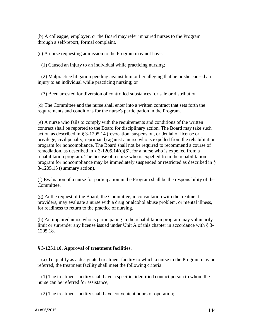(b) A colleague, employer, or the Board may refer impaired nurses to the Program through a self-report, formal complaint.

(c) A nurse requesting admission to the Program may not have:

(1) Caused an injury to an individual while practicing nursing;

(2) Malpractice litigation pending against him or her alleging that he or she caused an injury to an individual while practicing nursing; or

(3) Been arrested for diversion of controlled substances for sale or distribution.

(d) The Committee and the nurse shall enter into a written contract that sets forth the requirements and conditions for the nurse's participation in the Program.

(e) A nurse who fails to comply with the requirements and conditions of the written contract shall be reported to the Board for disciplinary action. The Board may take such action as described in § 3-1205.14 (revocation, suspension, or denial of license or privilege, civil penalty, reprimand) against a nurse who is expelled from the rehabilitation program for noncompliance. The Board shall not be required to recommend a course of remediation, as described in § 3-1205.14(c)(6), for a nurse who is expelled from a rehabilitation program. The license of a nurse who is expelled from the rehabilitation program for noncompliance may be immediately suspended or restricted as described in § 3-1205.15 (summary action).

(f) Evaluation of a nurse for participation in the Program shall be the responsibility of the Committee.

(g) At the request of the Board, the Committee, in consultation with the treatment providers, may evaluate a nurse with a drug or alcohol abuse problem, or mental illness, for readiness to return to the practice of nursing.

(h) An impaired nurse who is participating in the rehabilitation program may voluntarily limit or surrender any license issued under Unit A of this chapter in accordance with § 3- 1205.18.

# **§ 3-1251.10. Approval of treatment facilities.**

(a) To qualify as a designated treatment facility to which a nurse in the Program may be referred, the treatment facility shall meet the following criteria:

(1) The treatment facility shall have a specific, identified contact person to whom the nurse can be referred for assistance;

(2) The treatment facility shall have convenient hours of operation;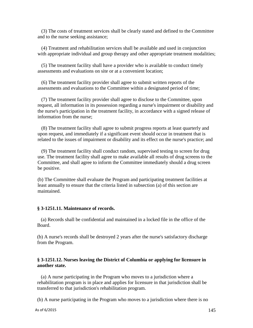(3) The costs of treatment services shall be clearly stated and defined to the Committee and to the nurse seeking assistance;

(4) Treatment and rehabilitation services shall be available and used in conjunction with appropriate individual and group therapy and other appropriate treatment modalities;

(5) The treatment facility shall have a provider who is available to conduct timely assessments and evaluations on site or at a convenient location;

(6) The treatment facility provider shall agree to submit written reports of the assessments and evaluations to the Committee within a designated period of time;

(7) The treatment facility provider shall agree to disclose to the Committee, upon request, all information in its possession regarding a nurse's impairment or disability and the nurse's participation in the treatment facility, in accordance with a signed release of information from the nurse;

(8) The treatment facility shall agree to submit progress reports at least quarterly and upon request, and immediately if a significant event should occur in treatment that is related to the issues of impairment or disability and its effect on the nurse's practice; and

(9) The treatment facility shall conduct random, supervised testing to screen for drug use. The treatment facility shall agree to make available all results of drug screens to the Committee, and shall agree to inform the Committee immediately should a drug screen be positive.

(b) The Committee shall evaluate the Program and participating treatment facilities at least annually to ensure that the criteria listed in subsection (a) of this section are maintained.

### **§ 3-1251.11. Maintenance of records.**

(a) Records shall be confidential and maintained in a locked file in the office of the Board.

(b) A nurse's records shall be destroyed 2 years after the nurse's satisfactory discharge from the Program.

### **§ 3-1251.12. Nurses leaving the District of Columbia or applying for licensure in another state.**

(a) A nurse participating in the Program who moves to a jurisdiction where a rehabilitation program is in place and applies for licensure in that jurisdiction shall be transferred to that jurisdiction's rehabilitation program.

(b) A nurse participating in the Program who moves to a jurisdiction where there is no